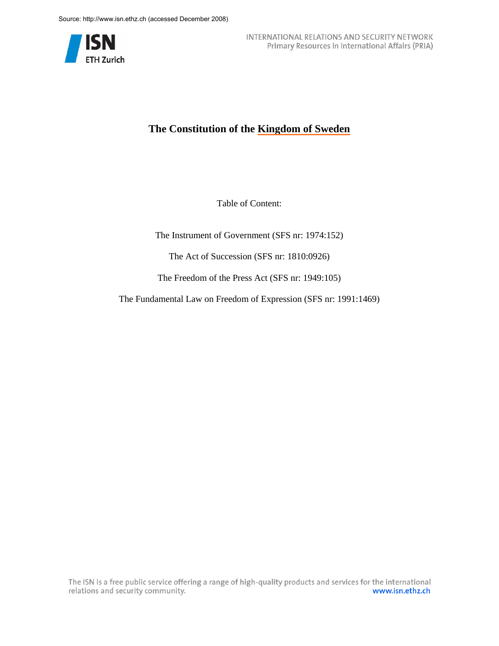

INTERNATIONAL RELATIONS AND SECURITY NETWORK Primary Resources in International Affairs (PRIA)

# **The Constitution of the Kingdom of Sweden**

Table of Content:

The Instrument of Government (SFS nr: 1974:152)

The Act of Succession (SFS nr: 1810:0926)

The Freedom of the Press Act (SFS nr: 1949:105)

The Fundamental Law on Freedom of Expression (SFS nr: 1991:1469)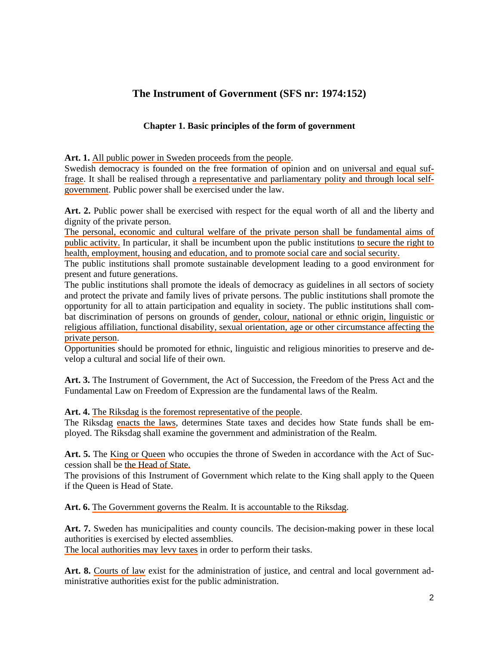# **The Instrument of Government (SFS nr: 1974:152)**

# **Chapter 1. Basic principles of the form of government**

Art. 1. All public power in Sweden proceeds from the people.

Swedish democracy is founded on the free formation of opinion and on universal and equal suffrage. It shall be realised through a representative and parliamentary polity and through local selfgovernment. Public power shall be exercised under the law.

**Art. 2.** Public power shall be exercised with respect for the equal worth of all and the liberty and dignity of the private person.

The personal, economic and cultural welfare of the private person shall be fundamental aims of public activity. In particular, it shall be incumbent upon the public institutions to secure the right to health, employment, housing and education, and to promote social care and social security.

The public institutions shall promote sustainable development leading to a good environment for present and future generations.

The public institutions shall promote the ideals of democracy as guidelines in all sectors of society and protect the private and family lives of private persons. The public institutions shall promote the opportunity for all to attain participation and equality in society. The public institutions shall combat discrimination of persons on grounds of gender, colour, national or ethnic origin, linguistic or religious affiliation, functional disability, sexual orientation, age or other circumstance affecting the private person.

Opportunities should be promoted for ethnic, linguistic and religious minorities to preserve and develop a cultural and social life of their own.

**Art. 3.** The Instrument of Government, the Act of Succession, the Freedom of the Press Act and the Fundamental Law on Freedom of Expression are the fundamental laws of the Realm.

Art. 4. The Riksdag is the foremost representative of the people.

The Riksdag enacts the laws, determines State taxes and decides how State funds shall be employed. The Riksdag shall examine the government and administration of the Realm.

**Art. 5.** The King or Queen who occupies the throne of Sweden in accordance with the Act of Succession shall be the Head of State.

The provisions of this Instrument of Government which relate to the King shall apply to the Queen if the Queen is Head of State.

**Art. 6.** The Government governs the Realm. It is accountable to the Riksdag.

**Art. 7.** Sweden has municipalities and county councils. The decision-making power in these local authorities is exercised by elected assemblies.

The local authorities may levy taxes in order to perform their tasks.

**Art. 8.** Courts of law exist for the administration of justice, and central and local government administrative authorities exist for the public administration.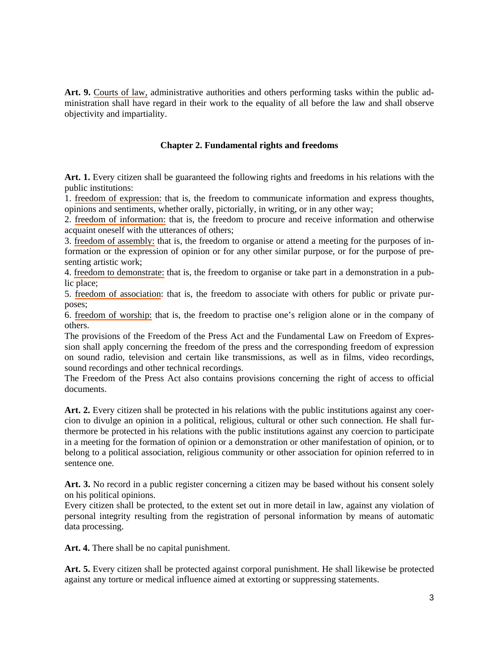**Art. 9.** Courts of law, administrative authorities and others performing tasks within the public administration shall have regard in their work to the equality of all before the law and shall observe objectivity and impartiality.

### **Chapter 2. Fundamental rights and freedoms**

**Art. 1.** Every citizen shall be guaranteed the following rights and freedoms in his relations with the public institutions:

1. freedom of expression: that is, the freedom to communicate information and express thoughts, opinions and sentiments, whether orally, pictorially, in writing, or in any other way;

2. freedom of information: that is, the freedom to procure and receive information and otherwise acquaint oneself with the utterances of others;

3. freedom of assembly: that is, the freedom to organise or attend a meeting for the purposes of information or the expression of opinion or for any other similar purpose, or for the purpose of presenting artistic work;

4. freedom to demonstrate: that is, the freedom to organise or take part in a demonstration in a public place;

5. freedom of association: that is, the freedom to associate with others for public or private purposes;

6. freedom of worship: that is, the freedom to practise one's religion alone or in the company of others.

The provisions of the Freedom of the Press Act and the Fundamental Law on Freedom of Expression shall apply concerning the freedom of the press and the corresponding freedom of expression on sound radio, television and certain like transmissions, as well as in films, video recordings, sound recordings and other technical recordings.

The Freedom of the Press Act also contains provisions concerning the right of access to official documents.

**Art. 2.** Every citizen shall be protected in his relations with the public institutions against any coercion to divulge an opinion in a political, religious, cultural or other such connection. He shall furthermore be protected in his relations with the public institutions against any coercion to participate in a meeting for the formation of opinion or a demonstration or other manifestation of opinion, or to belong to a political association, religious community or other association for opinion referred to in sentence one.

Art. 3. No record in a public register concerning a citizen may be based without his consent solely on his political opinions.

Every citizen shall be protected, to the extent set out in more detail in law, against any violation of personal integrity resulting from the registration of personal information by means of automatic data processing.

**Art. 4.** There shall be no capital punishment.

**Art. 5.** Every citizen shall be protected against corporal punishment. He shall likewise be protected against any torture or medical influence aimed at extorting or suppressing statements.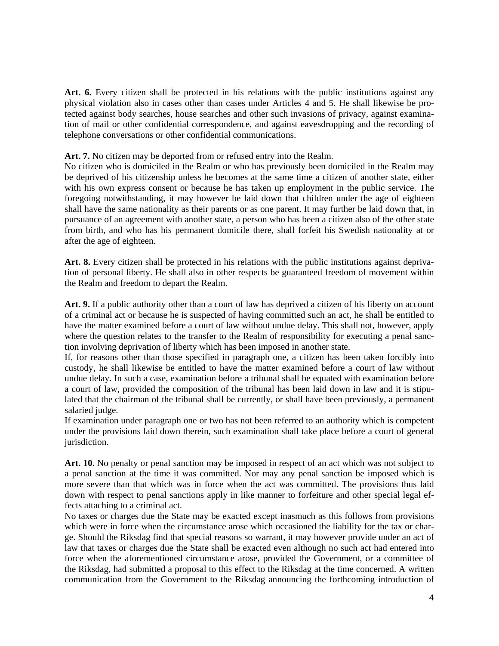**Art. 6.** Every citizen shall be protected in his relations with the public institutions against any physical violation also in cases other than cases under Articles 4 and 5. He shall likewise be protected against body searches, house searches and other such invasions of privacy, against examination of mail or other confidential correspondence, and against eavesdropping and the recording of telephone conversations or other confidential communications.

Art. 7. No citizen may be deported from or refused entry into the Realm.

No citizen who is domiciled in the Realm or who has previously been domiciled in the Realm may be deprived of his citizenship unless he becomes at the same time a citizen of another state, either with his own express consent or because he has taken up employment in the public service. The foregoing notwithstanding, it may however be laid down that children under the age of eighteen shall have the same nationality as their parents or as one parent. It may further be laid down that, in pursuance of an agreement with another state, a person who has been a citizen also of the other state from birth, and who has his permanent domicile there, shall forfeit his Swedish nationality at or after the age of eighteen.

**Art. 8.** Every citizen shall be protected in his relations with the public institutions against deprivation of personal liberty. He shall also in other respects be guaranteed freedom of movement within the Realm and freedom to depart the Realm.

Art. 9. If a public authority other than a court of law has deprived a citizen of his liberty on account of a criminal act or because he is suspected of having committed such an act, he shall be entitled to have the matter examined before a court of law without undue delay. This shall not, however, apply where the question relates to the transfer to the Realm of responsibility for executing a penal sanction involving deprivation of liberty which has been imposed in another state.

If, for reasons other than those specified in paragraph one, a citizen has been taken forcibly into custody, he shall likewise be entitled to have the matter examined before a court of law without undue delay. In such a case, examination before a tribunal shall be equated with examination before a court of law, provided the composition of the tribunal has been laid down in law and it is stipulated that the chairman of the tribunal shall be currently, or shall have been previously, a permanent salaried judge.

If examination under paragraph one or two has not been referred to an authority which is competent under the provisions laid down therein, such examination shall take place before a court of general jurisdiction.

**Art. 10.** No penalty or penal sanction may be imposed in respect of an act which was not subject to a penal sanction at the time it was committed. Nor may any penal sanction be imposed which is more severe than that which was in force when the act was committed. The provisions thus laid down with respect to penal sanctions apply in like manner to forfeiture and other special legal effects attaching to a criminal act.

No taxes or charges due the State may be exacted except inasmuch as this follows from provisions which were in force when the circumstance arose which occasioned the liability for the tax or charge. Should the Riksdag find that special reasons so warrant, it may however provide under an act of law that taxes or charges due the State shall be exacted even although no such act had entered into force when the aforementioned circumstance arose, provided the Government, or a committee of the Riksdag, had submitted a proposal to this effect to the Riksdag at the time concerned. A written communication from the Government to the Riksdag announcing the forthcoming introduction of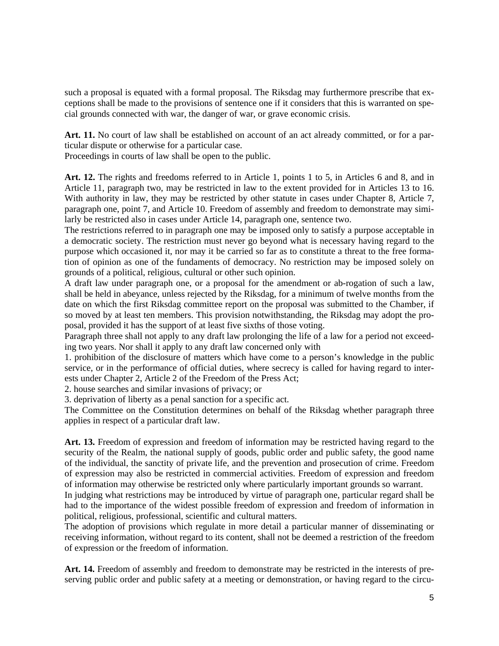such a proposal is equated with a formal proposal. The Riksdag may furthermore prescribe that exceptions shall be made to the provisions of sentence one if it considers that this is warranted on special grounds connected with war, the danger of war, or grave economic crisis.

Art. 11. No court of law shall be established on account of an act already committed, or for a particular dispute or otherwise for a particular case.

Proceedings in courts of law shall be open to the public.

**Art. 12.** The rights and freedoms referred to in Article 1, points 1 to 5, in Articles 6 and 8, and in Article 11, paragraph two, may be restricted in law to the extent provided for in Articles 13 to 16. With authority in law, they may be restricted by other statute in cases under Chapter 8, Article 7, paragraph one, point 7, and Article 10. Freedom of assembly and freedom to demonstrate may similarly be restricted also in cases under Article 14, paragraph one, sentence two.

The restrictions referred to in paragraph one may be imposed only to satisfy a purpose acceptable in a democratic society. The restriction must never go beyond what is necessary having regard to the purpose which occasioned it, nor may it be carried so far as to constitute a threat to the free formation of opinion as one of the fundaments of democracy. No restriction may be imposed solely on grounds of a political, religious, cultural or other such opinion.

A draft law under paragraph one, or a proposal for the amendment or ab-rogation of such a law, shall be held in abeyance, unless rejected by the Riksdag, for a minimum of twelve months from the date on which the first Riksdag committee report on the proposal was submitted to the Chamber, if so moved by at least ten members. This provision notwithstanding, the Riksdag may adopt the proposal, provided it has the support of at least five sixths of those voting.

Paragraph three shall not apply to any draft law prolonging the life of a law for a period not exceeding two years. Nor shall it apply to any draft law concerned only with

1. prohibition of the disclosure of matters which have come to a person's knowledge in the public service, or in the performance of official duties, where secrecy is called for having regard to interests under Chapter 2, Article 2 of the Freedom of the Press Act;

2. house searches and similar invasions of privacy; or

3. deprivation of liberty as a penal sanction for a specific act.

The Committee on the Constitution determines on behalf of the Riksdag whether paragraph three applies in respect of a particular draft law.

**Art. 13.** Freedom of expression and freedom of information may be restricted having regard to the security of the Realm, the national supply of goods, public order and public safety, the good name of the individual, the sanctity of private life, and the prevention and prosecution of crime. Freedom of expression may also be restricted in commercial activities. Freedom of expression and freedom of information may otherwise be restricted only where particularly important grounds so warrant.

In judging what restrictions may be introduced by virtue of paragraph one, particular regard shall be had to the importance of the widest possible freedom of expression and freedom of information in political, religious, professional, scientific and cultural matters.

The adoption of provisions which regulate in more detail a particular manner of disseminating or receiving information, without regard to its content, shall not be deemed a restriction of the freedom of expression or the freedom of information.

**Art. 14.** Freedom of assembly and freedom to demonstrate may be restricted in the interests of preserving public order and public safety at a meeting or demonstration, or having regard to the circu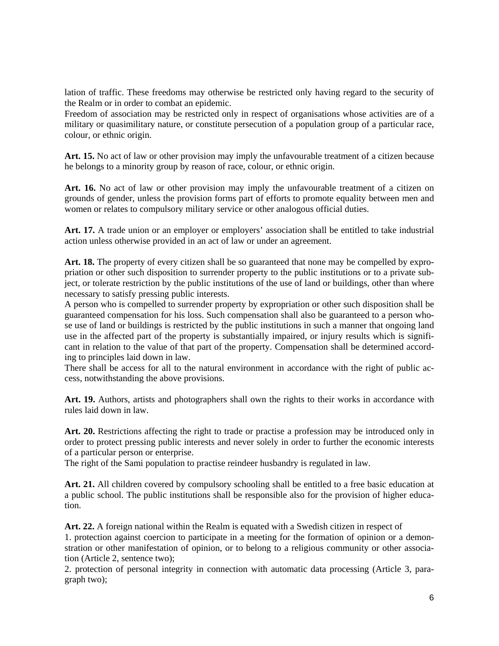lation of traffic. These freedoms may otherwise be restricted only having regard to the security of the Realm or in order to combat an epidemic.

Freedom of association may be restricted only in respect of organisations whose activities are of a military or quasimilitary nature, or constitute persecution of a population group of a particular race, colour, or ethnic origin.

**Art. 15.** No act of law or other provision may imply the unfavourable treatment of a citizen because he belongs to a minority group by reason of race, colour, or ethnic origin.

Art. 16. No act of law or other provision may imply the unfavourable treatment of a citizen on grounds of gender, unless the provision forms part of efforts to promote equality between men and women or relates to compulsory military service or other analogous official duties.

**Art. 17.** A trade union or an employer or employers' association shall be entitled to take industrial action unless otherwise provided in an act of law or under an agreement.

**Art. 18.** The property of every citizen shall be so guaranteed that none may be compelled by expropriation or other such disposition to surrender property to the public institutions or to a private subject, or tolerate restriction by the public institutions of the use of land or buildings, other than where necessary to satisfy pressing public interests.

A person who is compelled to surrender property by expropriation or other such disposition shall be guaranteed compensation for his loss. Such compensation shall also be guaranteed to a person whose use of land or buildings is restricted by the public institutions in such a manner that ongoing land use in the affected part of the property is substantially impaired, or injury results which is significant in relation to the value of that part of the property. Compensation shall be determined according to principles laid down in law.

There shall be access for all to the natural environment in accordance with the right of public access, notwithstanding the above provisions.

Art. 19. Authors, artists and photographers shall own the rights to their works in accordance with rules laid down in law.

**Art. 20.** Restrictions affecting the right to trade or practise a profession may be introduced only in order to protect pressing public interests and never solely in order to further the economic interests of a particular person or enterprise.

The right of the Sami population to practise reindeer husbandry is regulated in law.

**Art. 21.** All children covered by compulsory schooling shall be entitled to a free basic education at a public school. The public institutions shall be responsible also for the provision of higher education.

**Art. 22.** A foreign national within the Realm is equated with a Swedish citizen in respect of 1. protection against coercion to participate in a meeting for the formation of opinion or a demonstration or other manifestation of opinion, or to belong to a religious community or other association (Article 2, sentence two);

2. protection of personal integrity in connection with automatic data processing (Article 3, paragraph two);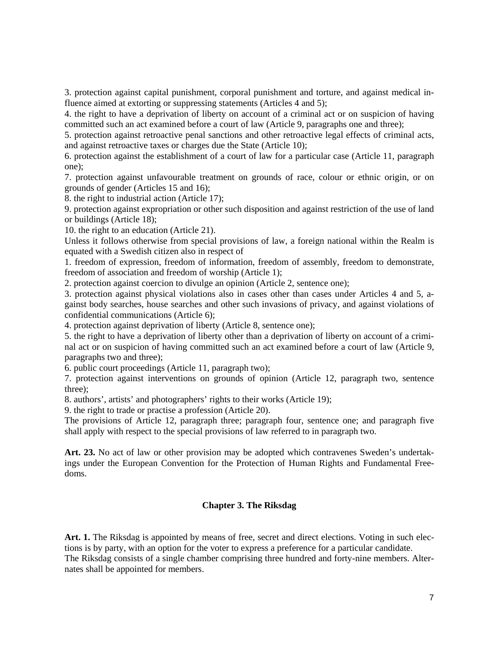3. protection against capital punishment, corporal punishment and torture, and against medical influence aimed at extorting or suppressing statements (Articles 4 and 5);

4. the right to have a deprivation of liberty on account of a criminal act or on suspicion of having committed such an act examined before a court of law (Article 9, paragraphs one and three);

5. protection against retroactive penal sanctions and other retroactive legal effects of criminal acts, and against retroactive taxes or charges due the State (Article 10);

6. protection against the establishment of a court of law for a particular case (Article 11, paragraph one);

7. protection against unfavourable treatment on grounds of race, colour or ethnic origin, or on grounds of gender (Articles 15 and 16);

8. the right to industrial action (Article 17);

9. protection against expropriation or other such disposition and against restriction of the use of land or buildings (Article 18);

10. the right to an education (Article 21).

Unless it follows otherwise from special provisions of law, a foreign national within the Realm is equated with a Swedish citizen also in respect of

1. freedom of expression, freedom of information, freedom of assembly, freedom to demonstrate, freedom of association and freedom of worship (Article 1);

2. protection against coercion to divulge an opinion (Article 2, sentence one);

3. protection against physical violations also in cases other than cases under Articles 4 and 5, against body searches, house searches and other such invasions of privacy, and against violations of confidential communications (Article 6);

4. protection against deprivation of liberty (Article 8, sentence one);

5. the right to have a deprivation of liberty other than a deprivation of liberty on account of a criminal act or on suspicion of having committed such an act examined before a court of law (Article 9, paragraphs two and three);

6. public court proceedings (Article 11, paragraph two);

7. protection against interventions on grounds of opinion (Article 12, paragraph two, sentence three);

8. authors', artists' and photographers' rights to their works (Article 19);

9. the right to trade or practise a profession (Article 20).

The provisions of Article 12, paragraph three; paragraph four, sentence one; and paragraph five shall apply with respect to the special provisions of law referred to in paragraph two.

**Art. 23.** No act of law or other provision may be adopted which contravenes Sweden's undertakings under the European Convention for the Protection of Human Rights and Fundamental Freedoms.

### **Chapter 3. The Riksdag**

**Art. 1.** The Riksdag is appointed by means of free, secret and direct elections. Voting in such elections is by party, with an option for the voter to express a preference for a particular candidate. The Riksdag consists of a single chamber comprising three hundred and forty-nine members. Alternates shall be appointed for members.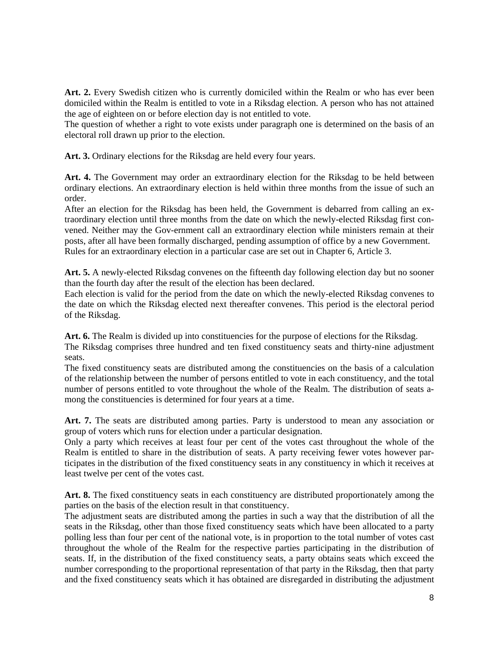**Art. 2.** Every Swedish citizen who is currently domiciled within the Realm or who has ever been domiciled within the Realm is entitled to vote in a Riksdag election. A person who has not attained the age of eighteen on or before election day is not entitled to vote.

The question of whether a right to vote exists under paragraph one is determined on the basis of an electoral roll drawn up prior to the election.

**Art. 3.** Ordinary elections for the Riksdag are held every four years.

Art. 4. The Government may order an extraordinary election for the Riksdag to be held between ordinary elections. An extraordinary election is held within three months from the issue of such an order.

After an election for the Riksdag has been held, the Government is debarred from calling an extraordinary election until three months from the date on which the newly-elected Riksdag first convened. Neither may the Gov-ernment call an extraordinary election while ministers remain at their posts, after all have been formally discharged, pending assumption of office by a new Government. Rules for an extraordinary election in a particular case are set out in Chapter 6, Article 3.

**Art. 5.** A newly-elected Riksdag convenes on the fifteenth day following election day but no sooner than the fourth day after the result of the election has been declared.

Each election is valid for the period from the date on which the newly-elected Riksdag convenes to the date on which the Riksdag elected next thereafter convenes. This period is the electoral period of the Riksdag.

Art. 6. The Realm is divided up into constituencies for the purpose of elections for the Riksdag.

The Riksdag comprises three hundred and ten fixed constituency seats and thirty-nine adjustment seats.

The fixed constituency seats are distributed among the constituencies on the basis of a calculation of the relationship between the number of persons entitled to vote in each constituency, and the total number of persons entitled to vote throughout the whole of the Realm. The distribution of seats among the constituencies is determined for four years at a time.

**Art. 7.** The seats are distributed among parties. Party is understood to mean any association or group of voters which runs for election under a particular designation.

Only a party which receives at least four per cent of the votes cast throughout the whole of the Realm is entitled to share in the distribution of seats. A party receiving fewer votes however participates in the distribution of the fixed constituency seats in any constituency in which it receives at least twelve per cent of the votes cast.

**Art. 8.** The fixed constituency seats in each constituency are distributed proportionately among the parties on the basis of the election result in that constituency.

The adjustment seats are distributed among the parties in such a way that the distribution of all the seats in the Riksdag, other than those fixed constituency seats which have been allocated to a party polling less than four per cent of the national vote, is in proportion to the total number of votes cast throughout the whole of the Realm for the respective parties participating in the distribution of seats. If, in the distribution of the fixed constituency seats, a party obtains seats which exceed the number corresponding to the proportional representation of that party in the Riksdag, then that party and the fixed constituency seats which it has obtained are disregarded in distributing the adjustment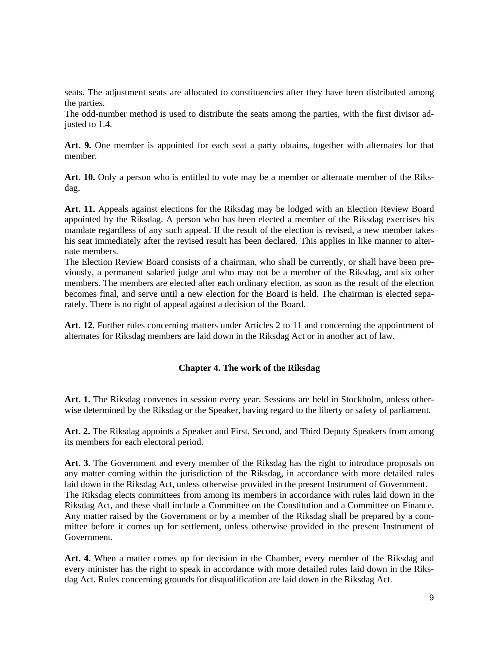seats. The adjustment seats are allocated to constituencies after they have been distributed among the parties.

The odd-number method is used to distribute the seats among the parties, with the first divisor adjusted to 1.4.

**Art. 9.** One member is appointed for each seat a party obtains, together with alternates for that member.

**Art. 10.** Only a person who is entitled to vote may be a member or alternate member of the Riksdag.

**Art. 11.** Appeals against elections for the Riksdag may be lodged with an Election Review Board appointed by the Riksdag. A person who has been elected a member of the Riksdag exercises his mandate regardless of any such appeal. If the result of the election is revised, a new member takes his seat immediately after the revised result has been declared. This applies in like manner to alternate members.

The Election Review Board consists of a chairman, who shall be currently, or shall have been previously, a permanent salaried judge and who may not be a member of the Riksdag, and six other members. The members are elected after each ordinary election, as soon as the result of the election becomes final, and serve until a new election for the Board is held. The chairman is elected separately. There is no right of appeal against a decision of the Board.

**Art. 12.** Further rules concerning matters under Articles 2 to 11 and concerning the appointment of alternates for Riksdag members are laid down in the Riksdag Act or in another act of law.

### **Chapter 4. The work of the Riksdag**

**Art. 1.** The Riksdag convenes in session every year. Sessions are held in Stockholm, unless otherwise determined by the Riksdag or the Speaker, having regard to the liberty or safety of parliament.

**Art. 2.** The Riksdag appoints a Speaker and First, Second, and Third Deputy Speakers from among its members for each electoral period.

**Art. 3.** The Government and every member of the Riksdag has the right to introduce proposals on any matter coming within the jurisdiction of the Riksdag, in accordance with more detailed rules laid down in the Riksdag Act, unless otherwise provided in the present Instrument of Government. The Riksdag elects committees from among its members in accordance with rules laid down in the Riksdag Act, and these shall include a Committee on the Constitution and a Committee on Finance. Any matter raised by the Government or by a member of the Riksdag shall be prepared by a committee before it comes up for settlement, unless otherwise provided in the present Instrument of Government.

Art. 4. When a matter comes up for decision in the Chamber, every member of the Riksdag and every minister has the right to speak in accordance with more detailed rules laid down in the Riksdag Act. Rules concerning grounds for disqualification are laid down in the Riksdag Act.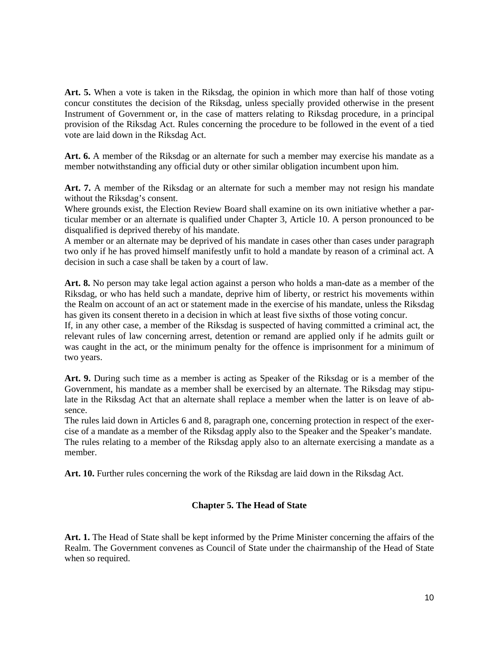**Art. 5.** When a vote is taken in the Riksdag, the opinion in which more than half of those voting concur constitutes the decision of the Riksdag, unless specially provided otherwise in the present Instrument of Government or, in the case of matters relating to Riksdag procedure, in a principal provision of the Riksdag Act. Rules concerning the procedure to be followed in the event of a tied vote are laid down in the Riksdag Act.

Art. 6. A member of the Riksdag or an alternate for such a member may exercise his mandate as a member notwithstanding any official duty or other similar obligation incumbent upon him.

Art. 7. A member of the Riksdag or an alternate for such a member may not resign his mandate without the Riksdag's consent.

Where grounds exist, the Election Review Board shall examine on its own initiative whether a particular member or an alternate is qualified under Chapter 3, Article 10. A person pronounced to be disqualified is deprived thereby of his mandate.

A member or an alternate may be deprived of his mandate in cases other than cases under paragraph two only if he has proved himself manifestly unfit to hold a mandate by reason of a criminal act. A decision in such a case shall be taken by a court of law.

**Art. 8.** No person may take legal action against a person who holds a man-date as a member of the Riksdag, or who has held such a mandate, deprive him of liberty, or restrict his movements within the Realm on account of an act or statement made in the exercise of his mandate, unless the Riksdag has given its consent thereto in a decision in which at least five sixths of those voting concur.

If, in any other case, a member of the Riksdag is suspected of having committed a criminal act, the relevant rules of law concerning arrest, detention or remand are applied only if he admits guilt or was caught in the act, or the minimum penalty for the offence is imprisonment for a minimum of two years.

**Art. 9.** During such time as a member is acting as Speaker of the Riksdag or is a member of the Government, his mandate as a member shall be exercised by an alternate. The Riksdag may stipulate in the Riksdag Act that an alternate shall replace a member when the latter is on leave of absence.

The rules laid down in Articles 6 and 8, paragraph one, concerning protection in respect of the exercise of a mandate as a member of the Riksdag apply also to the Speaker and the Speaker's mandate. The rules relating to a member of the Riksdag apply also to an alternate exercising a mandate as a member.

**Art. 10.** Further rules concerning the work of the Riksdag are laid down in the Riksdag Act.

### **Chapter 5. The Head of State**

**Art. 1.** The Head of State shall be kept informed by the Prime Minister concerning the affairs of the Realm. The Government convenes as Council of State under the chairmanship of the Head of State when so required.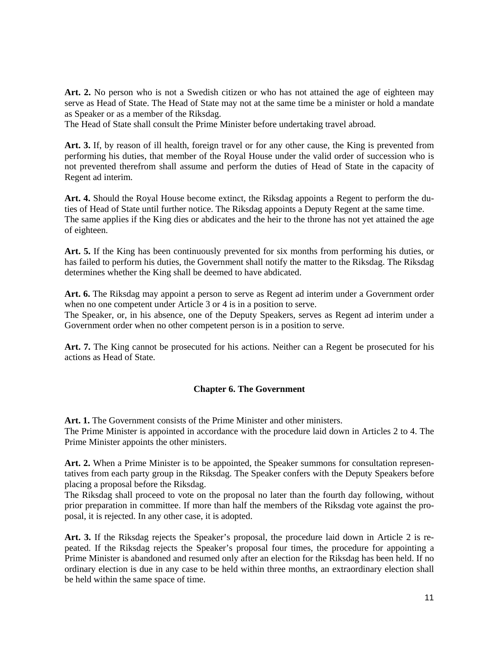**Art. 2.** No person who is not a Swedish citizen or who has not attained the age of eighteen may serve as Head of State. The Head of State may not at the same time be a minister or hold a mandate as Speaker or as a member of the Riksdag.

The Head of State shall consult the Prime Minister before undertaking travel abroad.

**Art. 3.** If, by reason of ill health, foreign travel or for any other cause, the King is prevented from performing his duties, that member of the Royal House under the valid order of succession who is not prevented therefrom shall assume and perform the duties of Head of State in the capacity of Regent ad interim.

**Art. 4.** Should the Royal House become extinct, the Riksdag appoints a Regent to perform the duties of Head of State until further notice. The Riksdag appoints a Deputy Regent at the same time. The same applies if the King dies or abdicates and the heir to the throne has not yet attained the age of eighteen.

**Art. 5.** If the King has been continuously prevented for six months from performing his duties, or has failed to perform his duties, the Government shall notify the matter to the Riksdag. The Riksdag determines whether the King shall be deemed to have abdicated.

**Art. 6.** The Riksdag may appoint a person to serve as Regent ad interim under a Government order when no one competent under Article 3 or 4 is in a position to serve.

The Speaker, or, in his absence, one of the Deputy Speakers, serves as Regent ad interim under a Government order when no other competent person is in a position to serve.

**Art. 7.** The King cannot be prosecuted for his actions. Neither can a Regent be prosecuted for his actions as Head of State.

### **Chapter 6. The Government**

**Art. 1.** The Government consists of the Prime Minister and other ministers. The Prime Minister is appointed in accordance with the procedure laid down in Articles 2 to 4. The Prime Minister appoints the other ministers.

**Art. 2.** When a Prime Minister is to be appointed, the Speaker summons for consultation representatives from each party group in the Riksdag. The Speaker confers with the Deputy Speakers before placing a proposal before the Riksdag.

The Riksdag shall proceed to vote on the proposal no later than the fourth day following, without prior preparation in committee. If more than half the members of the Riksdag vote against the proposal, it is rejected. In any other case, it is adopted.

**Art. 3.** If the Riksdag rejects the Speaker's proposal, the procedure laid down in Article 2 is repeated. If the Riksdag rejects the Speaker's proposal four times, the procedure for appointing a Prime Minister is abandoned and resumed only after an election for the Riksdag has been held. If no ordinary election is due in any case to be held within three months, an extraordinary election shall be held within the same space of time.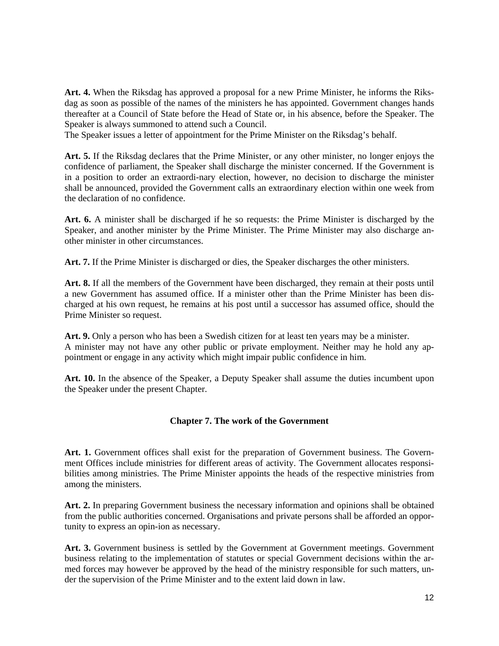**Art. 4.** When the Riksdag has approved a proposal for a new Prime Minister, he informs the Riksdag as soon as possible of the names of the ministers he has appointed. Government changes hands thereafter at a Council of State before the Head of State or, in his absence, before the Speaker. The Speaker is always summoned to attend such a Council.

The Speaker issues a letter of appointment for the Prime Minister on the Riksdag's behalf.

**Art. 5.** If the Riksdag declares that the Prime Minister, or any other minister, no longer enjoys the confidence of parliament, the Speaker shall discharge the minister concerned. If the Government is in a position to order an extraordi-nary election, however, no decision to discharge the minister shall be announced, provided the Government calls an extraordinary election within one week from the declaration of no confidence.

**Art. 6.** A minister shall be discharged if he so requests: the Prime Minister is discharged by the Speaker, and another minister by the Prime Minister. The Prime Minister may also discharge another minister in other circumstances.

**Art. 7.** If the Prime Minister is discharged or dies, the Speaker discharges the other ministers.

**Art. 8.** If all the members of the Government have been discharged, they remain at their posts until a new Government has assumed office. If a minister other than the Prime Minister has been discharged at his own request, he remains at his post until a successor has assumed office, should the Prime Minister so request.

**Art. 9.** Only a person who has been a Swedish citizen for at least ten years may be a minister. A minister may not have any other public or private employment. Neither may he hold any appointment or engage in any activity which might impair public confidence in him.

**Art. 10.** In the absence of the Speaker, a Deputy Speaker shall assume the duties incumbent upon the Speaker under the present Chapter.

# **Chapter 7. The work of the Government**

**Art. 1.** Government offices shall exist for the preparation of Government business. The Government Offices include ministries for different areas of activity. The Government allocates responsibilities among ministries. The Prime Minister appoints the heads of the respective ministries from among the ministers.

**Art. 2.** In preparing Government business the necessary information and opinions shall be obtained from the public authorities concerned. Organisations and private persons shall be afforded an opportunity to express an opin-ion as necessary.

Art. 3. Government business is settled by the Government at Government meetings. Government business relating to the implementation of statutes or special Government decisions within the armed forces may however be approved by the head of the ministry responsible for such matters, under the supervision of the Prime Minister and to the extent laid down in law.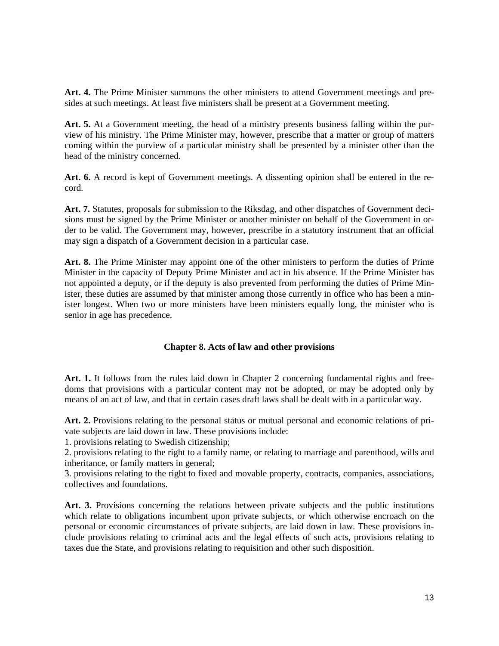**Art. 4.** The Prime Minister summons the other ministers to attend Government meetings and presides at such meetings. At least five ministers shall be present at a Government meeting.

**Art. 5.** At a Government meeting, the head of a ministry presents business falling within the purview of his ministry. The Prime Minister may, however, prescribe that a matter or group of matters coming within the purview of a particular ministry shall be presented by a minister other than the head of the ministry concerned.

**Art. 6.** A record is kept of Government meetings. A dissenting opinion shall be entered in the record.

**Art. 7.** Statutes, proposals for submission to the Riksdag, and other dispatches of Government decisions must be signed by the Prime Minister or another minister on behalf of the Government in order to be valid. The Government may, however, prescribe in a statutory instrument that an official may sign a dispatch of a Government decision in a particular case.

**Art. 8.** The Prime Minister may appoint one of the other ministers to perform the duties of Prime Minister in the capacity of Deputy Prime Minister and act in his absence. If the Prime Minister has not appointed a deputy, or if the deputy is also prevented from performing the duties of Prime Minister, these duties are assumed by that minister among those currently in office who has been a minister longest. When two or more ministers have been ministers equally long, the minister who is senior in age has precedence.

### **Chapter 8. Acts of law and other provisions**

Art. 1. It follows from the rules laid down in Chapter 2 concerning fundamental rights and freedoms that provisions with a particular content may not be adopted, or may be adopted only by means of an act of law, and that in certain cases draft laws shall be dealt with in a particular way.

**Art. 2.** Provisions relating to the personal status or mutual personal and economic relations of private subjects are laid down in law. These provisions include:

1. provisions relating to Swedish citizenship;

2. provisions relating to the right to a family name, or relating to marriage and parenthood, wills and inheritance, or family matters in general;

3. provisions relating to the right to fixed and movable property, contracts, companies, associations, collectives and foundations.

**Art. 3.** Provisions concerning the relations between private subjects and the public institutions which relate to obligations incumbent upon private subjects, or which otherwise encroach on the personal or economic circumstances of private subjects, are laid down in law. These provisions include provisions relating to criminal acts and the legal effects of such acts, provisions relating to taxes due the State, and provisions relating to requisition and other such disposition.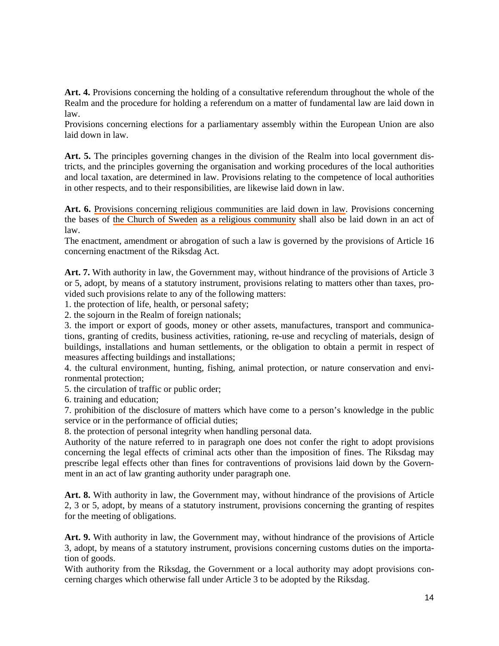**Art. 4.** Provisions concerning the holding of a consultative referendum throughout the whole of the Realm and the procedure for holding a referendum on a matter of fundamental law are laid down in law.

Provisions concerning elections for a parliamentary assembly within the European Union are also laid down in law.

**Art. 5.** The principles governing changes in the division of the Realm into local government districts, and the principles governing the organisation and working procedures of the local authorities and local taxation, are determined in law. Provisions relating to the competence of local authorities in other respects, and to their responsibilities, are likewise laid down in law.

**Art. 6.** Provisions concerning religious communities are laid down in law. Provisions concerning the bases of the Church of Sweden as a religious community shall also be laid down in an act of law.

The enactment, amendment or abrogation of such a law is governed by the provisions of Article 16 concerning enactment of the Riksdag Act.

**Art. 7.** With authority in law, the Government may, without hindrance of the provisions of Article 3 or 5, adopt, by means of a statutory instrument, provisions relating to matters other than taxes, provided such provisions relate to any of the following matters:

1. the protection of life, health, or personal safety;

2. the sojourn in the Realm of foreign nationals;

3. the import or export of goods, money or other assets, manufactures, transport and communications, granting of credits, business activities, rationing, re-use and recycling of materials, design of buildings, installations and human settlements, or the obligation to obtain a permit in respect of measures affecting buildings and installations;

4. the cultural environment, hunting, fishing, animal protection, or nature conservation and environmental protection;

5. the circulation of traffic or public order;

6. training and education;

7. prohibition of the disclosure of matters which have come to a person's knowledge in the public service or in the performance of official duties;

8. the protection of personal integrity when handling personal data.

Authority of the nature referred to in paragraph one does not confer the right to adopt provisions concerning the legal effects of criminal acts other than the imposition of fines. The Riksdag may prescribe legal effects other than fines for contraventions of provisions laid down by the Government in an act of law granting authority under paragraph one.

**Art. 8.** With authority in law, the Government may, without hindrance of the provisions of Article 2, 3 or 5, adopt, by means of a statutory instrument, provisions concerning the granting of respites for the meeting of obligations.

**Art. 9.** With authority in law, the Government may, without hindrance of the provisions of Article 3, adopt, by means of a statutory instrument, provisions concerning customs duties on the importation of goods.

With authority from the Riksdag, the Government or a local authority may adopt provisions concerning charges which otherwise fall under Article 3 to be adopted by the Riksdag.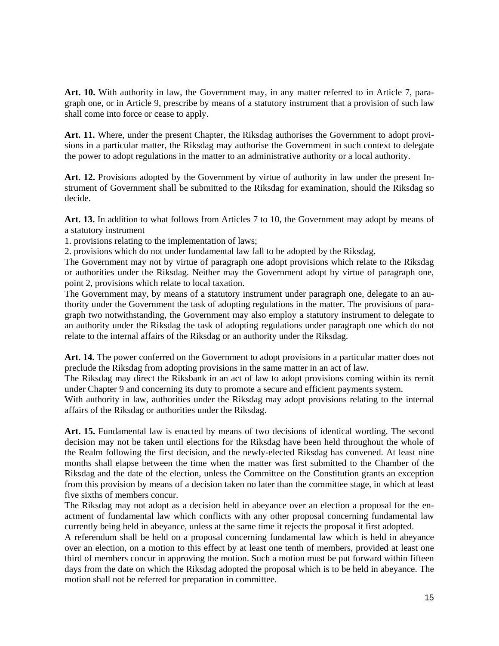**Art. 10.** With authority in law, the Government may, in any matter referred to in Article 7, paragraph one, or in Article 9, prescribe by means of a statutory instrument that a provision of such law shall come into force or cease to apply.

Art. 11. Where, under the present Chapter, the Riksdag authorises the Government to adopt provisions in a particular matter, the Riksdag may authorise the Government in such context to delegate the power to adopt regulations in the matter to an administrative authority or a local authority.

**Art. 12.** Provisions adopted by the Government by virtue of authority in law under the present Instrument of Government shall be submitted to the Riksdag for examination, should the Riksdag so decide.

**Art. 13.** In addition to what follows from Articles 7 to 10, the Government may adopt by means of a statutory instrument

1. provisions relating to the implementation of laws;

2. provisions which do not under fundamental law fall to be adopted by the Riksdag.

The Government may not by virtue of paragraph one adopt provisions which relate to the Riksdag or authorities under the Riksdag. Neither may the Government adopt by virtue of paragraph one, point 2, provisions which relate to local taxation.

The Government may, by means of a statutory instrument under paragraph one, delegate to an authority under the Government the task of adopting regulations in the matter. The provisions of paragraph two notwithstanding, the Government may also employ a statutory instrument to delegate to an authority under the Riksdag the task of adopting regulations under paragraph one which do not relate to the internal affairs of the Riksdag or an authority under the Riksdag.

**Art. 14.** The power conferred on the Government to adopt provisions in a particular matter does not preclude the Riksdag from adopting provisions in the same matter in an act of law.

The Riksdag may direct the Riksbank in an act of law to adopt provisions coming within its remit under Chapter 9 and concerning its duty to promote a secure and efficient payments system.

With authority in law, authorities under the Riksdag may adopt provisions relating to the internal affairs of the Riksdag or authorities under the Riksdag.

**Art. 15.** Fundamental law is enacted by means of two decisions of identical wording. The second decision may not be taken until elections for the Riksdag have been held throughout the whole of the Realm following the first decision, and the newly-elected Riksdag has convened. At least nine months shall elapse between the time when the matter was first submitted to the Chamber of the Riksdag and the date of the election, unless the Committee on the Constitution grants an exception from this provision by means of a decision taken no later than the committee stage, in which at least five sixths of members concur.

The Riksdag may not adopt as a decision held in abeyance over an election a proposal for the enactment of fundamental law which conflicts with any other proposal concerning fundamental law currently being held in abeyance, unless at the same time it rejects the proposal it first adopted.

A referendum shall be held on a proposal concerning fundamental law which is held in abeyance over an election, on a motion to this effect by at least one tenth of members, provided at least one third of members concur in approving the motion. Such a motion must be put forward within fifteen days from the date on which the Riksdag adopted the proposal which is to be held in abeyance. The motion shall not be referred for preparation in committee.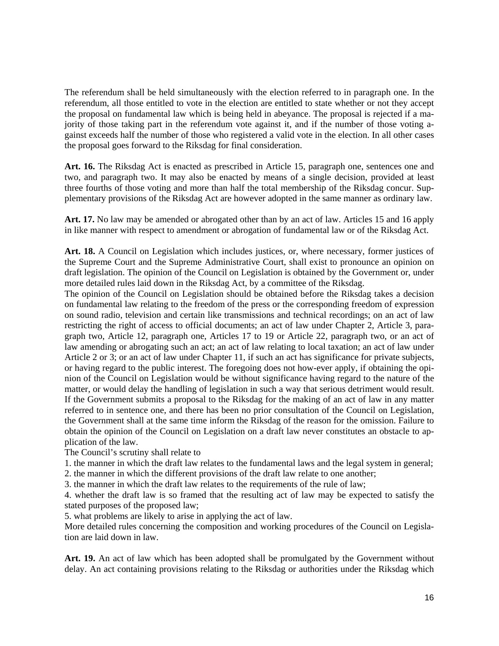The referendum shall be held simultaneously with the election referred to in paragraph one. In the referendum, all those entitled to vote in the election are entitled to state whether or not they accept the proposal on fundamental law which is being held in abeyance. The proposal is rejected if a majority of those taking part in the referendum vote against it, and if the number of those voting against exceeds half the number of those who registered a valid vote in the election. In all other cases the proposal goes forward to the Riksdag for final consideration.

**Art. 16.** The Riksdag Act is enacted as prescribed in Article 15, paragraph one, sentences one and two, and paragraph two. It may also be enacted by means of a single decision, provided at least three fourths of those voting and more than half the total membership of the Riksdag concur. Supplementary provisions of the Riksdag Act are however adopted in the same manner as ordinary law.

**Art. 17.** No law may be amended or abrogated other than by an act of law. Articles 15 and 16 apply in like manner with respect to amendment or abrogation of fundamental law or of the Riksdag Act.

**Art. 18.** A Council on Legislation which includes justices, or, where necessary, former justices of the Supreme Court and the Supreme Administrative Court, shall exist to pronounce an opinion on draft legislation. The opinion of the Council on Legislation is obtained by the Government or, under more detailed rules laid down in the Riksdag Act, by a committee of the Riksdag.

The opinion of the Council on Legislation should be obtained before the Riksdag takes a decision on fundamental law relating to the freedom of the press or the corresponding freedom of expression on sound radio, television and certain like transmissions and technical recordings; on an act of law restricting the right of access to official documents; an act of law under Chapter 2, Article 3, paragraph two, Article 12, paragraph one, Articles 17 to 19 or Article 22, paragraph two, or an act of law amending or abrogating such an act; an act of law relating to local taxation; an act of law under Article 2 or 3; or an act of law under Chapter 11, if such an act has significance for private subjects, or having regard to the public interest. The foregoing does not how-ever apply, if obtaining the opinion of the Council on Legislation would be without significance having regard to the nature of the matter, or would delay the handling of legislation in such a way that serious detriment would result. If the Government submits a proposal to the Riksdag for the making of an act of law in any matter referred to in sentence one, and there has been no prior consultation of the Council on Legislation, the Government shall at the same time inform the Riksdag of the reason for the omission. Failure to obtain the opinion of the Council on Legislation on a draft law never constitutes an obstacle to application of the law.

The Council's scrutiny shall relate to

1. the manner in which the draft law relates to the fundamental laws and the legal system in general;

2. the manner in which the different provisions of the draft law relate to one another;

3. the manner in which the draft law relates to the requirements of the rule of law;

4. whether the draft law is so framed that the resulting act of law may be expected to satisfy the stated purposes of the proposed law;

5. what problems are likely to arise in applying the act of law.

More detailed rules concerning the composition and working procedures of the Council on Legislation are laid down in law.

**Art. 19.** An act of law which has been adopted shall be promulgated by the Government without delay. An act containing provisions relating to the Riksdag or authorities under the Riksdag which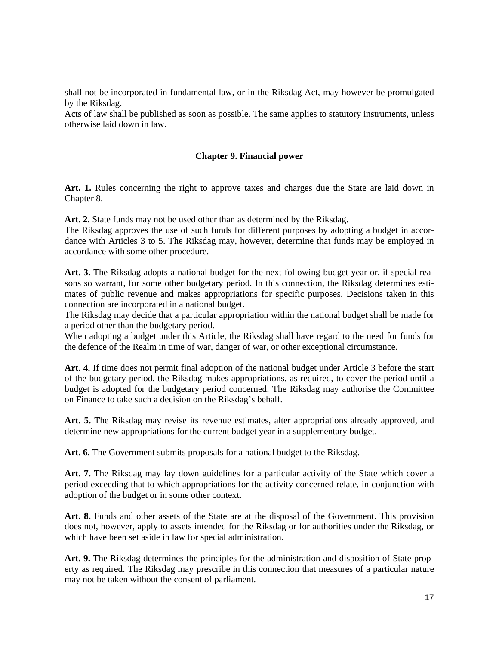shall not be incorporated in fundamental law, or in the Riksdag Act, may however be promulgated by the Riksdag.

Acts of law shall be published as soon as possible. The same applies to statutory instruments, unless otherwise laid down in law.

### **Chapter 9. Financial power**

**Art. 1.** Rules concerning the right to approve taxes and charges due the State are laid down in Chapter 8.

**Art. 2.** State funds may not be used other than as determined by the Riksdag.

The Riksdag approves the use of such funds for different purposes by adopting a budget in accordance with Articles 3 to 5. The Riksdag may, however, determine that funds may be employed in accordance with some other procedure.

**Art. 3.** The Riksdag adopts a national budget for the next following budget year or, if special reasons so warrant, for some other budgetary period. In this connection, the Riksdag determines estimates of public revenue and makes appropriations for specific purposes. Decisions taken in this connection are incorporated in a national budget.

The Riksdag may decide that a particular appropriation within the national budget shall be made for a period other than the budgetary period.

When adopting a budget under this Article, the Riksdag shall have regard to the need for funds for the defence of the Realm in time of war, danger of war, or other exceptional circumstance.

**Art. 4.** If time does not permit final adoption of the national budget under Article 3 before the start of the budgetary period, the Riksdag makes appropriations, as required, to cover the period until a budget is adopted for the budgetary period concerned. The Riksdag may authorise the Committee on Finance to take such a decision on the Riksdag's behalf.

**Art. 5.** The Riksdag may revise its revenue estimates, alter appropriations already approved, and determine new appropriations for the current budget year in a supplementary budget.

**Art. 6.** The Government submits proposals for a national budget to the Riksdag.

**Art. 7.** The Riksdag may lay down guidelines for a particular activity of the State which cover a period exceeding that to which appropriations for the activity concerned relate, in conjunction with adoption of the budget or in some other context.

**Art. 8.** Funds and other assets of the State are at the disposal of the Government. This provision does not, however, apply to assets intended for the Riksdag or for authorities under the Riksdag, or which have been set aside in law for special administration.

**Art. 9.** The Riksdag determines the principles for the administration and disposition of State property as required. The Riksdag may prescribe in this connection that measures of a particular nature may not be taken without the consent of parliament.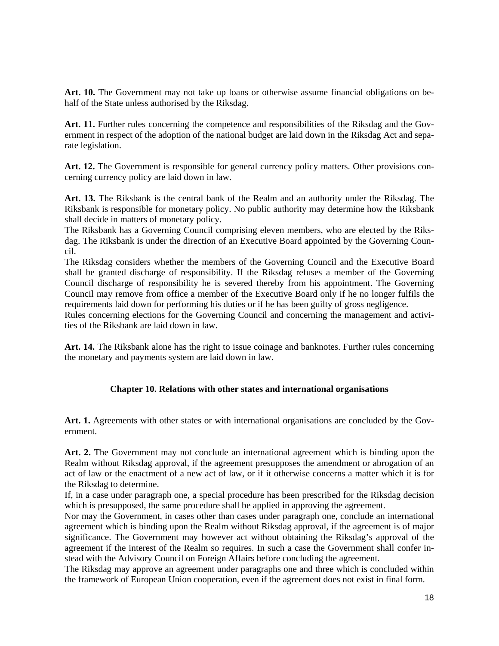Art. 10. The Government may not take up loans or otherwise assume financial obligations on behalf of the State unless authorised by the Riksdag.

**Art. 11.** Further rules concerning the competence and responsibilities of the Riksdag and the Government in respect of the adoption of the national budget are laid down in the Riksdag Act and separate legislation.

Art. 12. The Government is responsible for general currency policy matters. Other provisions concerning currency policy are laid down in law.

**Art. 13.** The Riksbank is the central bank of the Realm and an authority under the Riksdag. The Riksbank is responsible for monetary policy. No public authority may determine how the Riksbank shall decide in matters of monetary policy.

The Riksbank has a Governing Council comprising eleven members, who are elected by the Riksdag. The Riksbank is under the direction of an Executive Board appointed by the Governing Council.

The Riksdag considers whether the members of the Governing Council and the Executive Board shall be granted discharge of responsibility. If the Riksdag refuses a member of the Governing Council discharge of responsibility he is severed thereby from his appointment. The Governing Council may remove from office a member of the Executive Board only if he no longer fulfils the requirements laid down for performing his duties or if he has been guilty of gross negligence.

Rules concerning elections for the Governing Council and concerning the management and activities of the Riksbank are laid down in law.

**Art. 14.** The Riksbank alone has the right to issue coinage and banknotes. Further rules concerning the monetary and payments system are laid down in law.

### **Chapter 10. Relations with other states and international organisations**

**Art. 1.** Agreements with other states or with international organisations are concluded by the Government.

**Art. 2.** The Government may not conclude an international agreement which is binding upon the Realm without Riksdag approval, if the agreement presupposes the amendment or abrogation of an act of law or the enactment of a new act of law, or if it otherwise concerns a matter which it is for the Riksdag to determine.

If, in a case under paragraph one, a special procedure has been prescribed for the Riksdag decision which is presupposed, the same procedure shall be applied in approving the agreement.

Nor may the Government, in cases other than cases under paragraph one, conclude an international agreement which is binding upon the Realm without Riksdag approval, if the agreement is of major significance. The Government may however act without obtaining the Riksdag's approval of the agreement if the interest of the Realm so requires. In such a case the Government shall confer instead with the Advisory Council on Foreign Affairs before concluding the agreement.

The Riksdag may approve an agreement under paragraphs one and three which is concluded within the framework of European Union cooperation, even if the agreement does not exist in final form.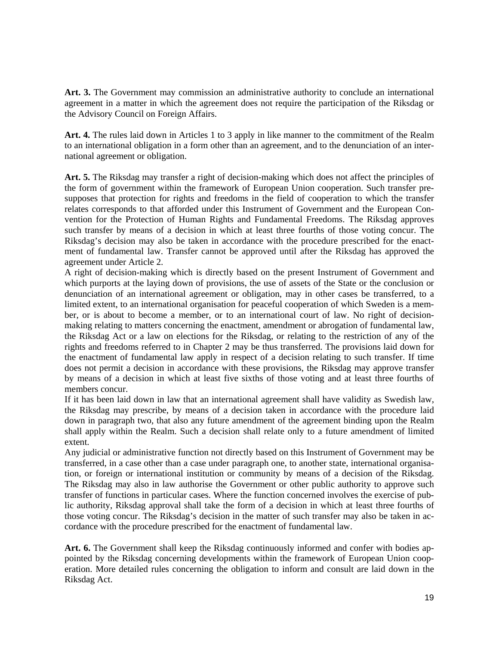**Art. 3.** The Government may commission an administrative authority to conclude an international agreement in a matter in which the agreement does not require the participation of the Riksdag or the Advisory Council on Foreign Affairs.

**Art. 4.** The rules laid down in Articles 1 to 3 apply in like manner to the commitment of the Realm to an international obligation in a form other than an agreement, and to the denunciation of an international agreement or obligation.

**Art. 5.** The Riksdag may transfer a right of decision-making which does not affect the principles of the form of government within the framework of European Union cooperation. Such transfer presupposes that protection for rights and freedoms in the field of cooperation to which the transfer relates corresponds to that afforded under this Instrument of Government and the European Convention for the Protection of Human Rights and Fundamental Freedoms. The Riksdag approves such transfer by means of a decision in which at least three fourths of those voting concur. The Riksdag's decision may also be taken in accordance with the procedure prescribed for the enactment of fundamental law. Transfer cannot be approved until after the Riksdag has approved the agreement under Article 2.

A right of decision-making which is directly based on the present Instrument of Government and which purports at the laying down of provisions, the use of assets of the State or the conclusion or denunciation of an international agreement or obligation, may in other cases be transferred, to a limited extent, to an international organisation for peaceful cooperation of which Sweden is a member, or is about to become a member, or to an international court of law. No right of decisionmaking relating to matters concerning the enactment, amendment or abrogation of fundamental law, the Riksdag Act or a law on elections for the Riksdag, or relating to the restriction of any of the rights and freedoms referred to in Chapter 2 may be thus transferred. The provisions laid down for the enactment of fundamental law apply in respect of a decision relating to such transfer. If time does not permit a decision in accordance with these provisions, the Riksdag may approve transfer by means of a decision in which at least five sixths of those voting and at least three fourths of members concur.

If it has been laid down in law that an international agreement shall have validity as Swedish law, the Riksdag may prescribe, by means of a decision taken in accordance with the procedure laid down in paragraph two, that also any future amendment of the agreement binding upon the Realm shall apply within the Realm. Such a decision shall relate only to a future amendment of limited extent.

Any judicial or administrative function not directly based on this Instrument of Government may be transferred, in a case other than a case under paragraph one, to another state, international organisation, or foreign or international institution or community by means of a decision of the Riksdag. The Riksdag may also in law authorise the Government or other public authority to approve such transfer of functions in particular cases. Where the function concerned involves the exercise of public authority, Riksdag approval shall take the form of a decision in which at least three fourths of those voting concur. The Riksdag's decision in the matter of such transfer may also be taken in accordance with the procedure prescribed for the enactment of fundamental law.

Art. 6. The Government shall keep the Riksdag continuously informed and confer with bodies appointed by the Riksdag concerning developments within the framework of European Union cooperation. More detailed rules concerning the obligation to inform and consult are laid down in the Riksdag Act.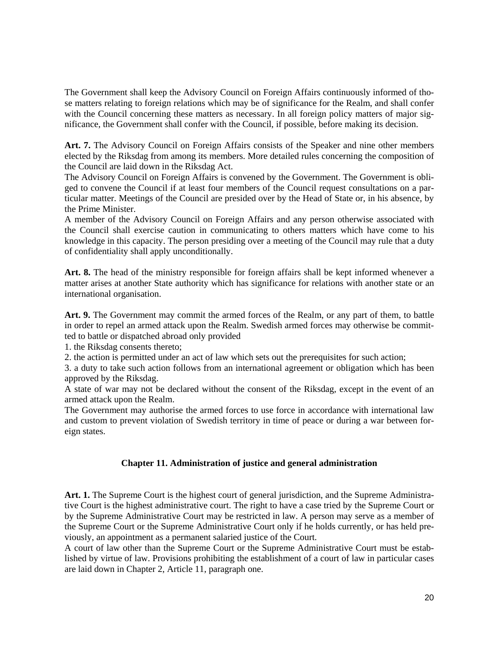The Government shall keep the Advisory Council on Foreign Affairs continuously informed of those matters relating to foreign relations which may be of significance for the Realm, and shall confer with the Council concerning these matters as necessary. In all foreign policy matters of major significance, the Government shall confer with the Council, if possible, before making its decision.

**Art. 7.** The Advisory Council on Foreign Affairs consists of the Speaker and nine other members elected by the Riksdag from among its members. More detailed rules concerning the composition of the Council are laid down in the Riksdag Act.

The Advisory Council on Foreign Affairs is convened by the Government. The Government is obliged to convene the Council if at least four members of the Council request consultations on a particular matter. Meetings of the Council are presided over by the Head of State or, in his absence, by the Prime Minister.

A member of the Advisory Council on Foreign Affairs and any person otherwise associated with the Council shall exercise caution in communicating to others matters which have come to his knowledge in this capacity. The person presiding over a meeting of the Council may rule that a duty of confidentiality shall apply unconditionally.

**Art. 8.** The head of the ministry responsible for foreign affairs shall be kept informed whenever a matter arises at another State authority which has significance for relations with another state or an international organisation.

Art. 9. The Government may commit the armed forces of the Realm, or any part of them, to battle in order to repel an armed attack upon the Realm. Swedish armed forces may otherwise be committed to battle or dispatched abroad only provided

1. the Riksdag consents thereto;

2. the action is permitted under an act of law which sets out the prerequisites for such action;

3. a duty to take such action follows from an international agreement or obligation which has been approved by the Riksdag.

A state of war may not be declared without the consent of the Riksdag, except in the event of an armed attack upon the Realm.

The Government may authorise the armed forces to use force in accordance with international law and custom to prevent violation of Swedish territory in time of peace or during a war between foreign states.

### **Chapter 11. Administration of justice and general administration**

**Art. 1.** The Supreme Court is the highest court of general jurisdiction, and the Supreme Administrative Court is the highest administrative court. The right to have a case tried by the Supreme Court or by the Supreme Administrative Court may be restricted in law. A person may serve as a member of the Supreme Court or the Supreme Administrative Court only if he holds currently, or has held previously, an appointment as a permanent salaried justice of the Court.

A court of law other than the Supreme Court or the Supreme Administrative Court must be established by virtue of law. Provisions prohibiting the establishment of a court of law in particular cases are laid down in Chapter 2, Article 11, paragraph one.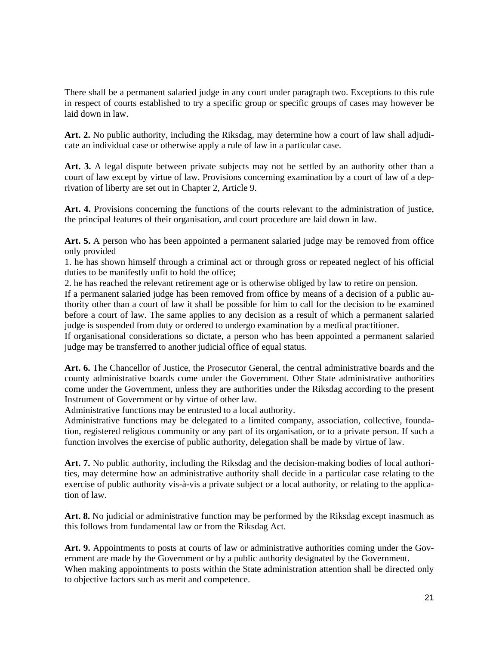There shall be a permanent salaried judge in any court under paragraph two. Exceptions to this rule in respect of courts established to try a specific group or specific groups of cases may however be laid down in law.

**Art. 2.** No public authority, including the Riksdag, may determine how a court of law shall adjudicate an individual case or otherwise apply a rule of law in a particular case.

**Art. 3.** A legal dispute between private subjects may not be settled by an authority other than a court of law except by virtue of law. Provisions concerning examination by a court of law of a deprivation of liberty are set out in Chapter 2, Article 9.

**Art. 4.** Provisions concerning the functions of the courts relevant to the administration of justice, the principal features of their organisation, and court procedure are laid down in law.

Art. 5. A person who has been appointed a permanent salaried judge may be removed from office only provided

1. he has shown himself through a criminal act or through gross or repeated neglect of his official duties to be manifestly unfit to hold the office;

2. he has reached the relevant retirement age or is otherwise obliged by law to retire on pension.

If a permanent salaried judge has been removed from office by means of a decision of a public authority other than a court of law it shall be possible for him to call for the decision to be examined before a court of law. The same applies to any decision as a result of which a permanent salaried judge is suspended from duty or ordered to undergo examination by a medical practitioner.

If organisational considerations so dictate, a person who has been appointed a permanent salaried judge may be transferred to another judicial office of equal status.

**Art. 6.** The Chancellor of Justice, the Prosecutor General, the central administrative boards and the county administrative boards come under the Government. Other State administrative authorities come under the Government, unless they are authorities under the Riksdag according to the present Instrument of Government or by virtue of other law.

Administrative functions may be entrusted to a local authority.

Administrative functions may be delegated to a limited company, association, collective, foundation, registered religious community or any part of its organisation, or to a private person. If such a function involves the exercise of public authority, delegation shall be made by virtue of law.

**Art. 7.** No public authority, including the Riksdag and the decision-making bodies of local authorities, may determine how an administrative authority shall decide in a particular case relating to the exercise of public authority vis-à-vis a private subject or a local authority, or relating to the application of law.

**Art. 8.** No judicial or administrative function may be performed by the Riksdag except inasmuch as this follows from fundamental law or from the Riksdag Act.

Art. 9. Appointments to posts at courts of law or administrative authorities coming under the Government are made by the Government or by a public authority designated by the Government. When making appointments to posts within the State administration attention shall be directed only to objective factors such as merit and competence.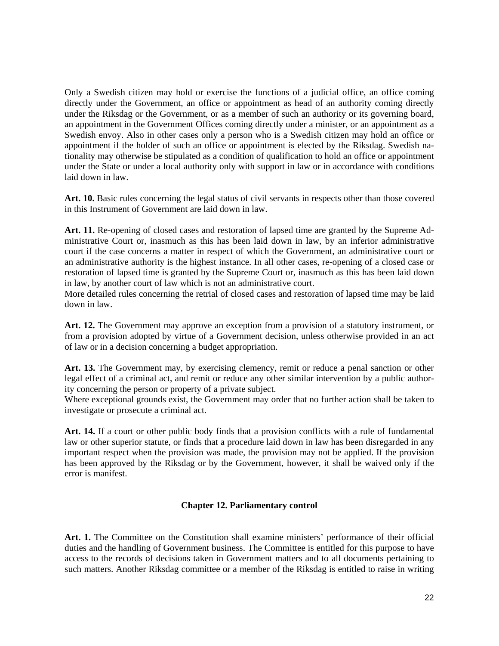Only a Swedish citizen may hold or exercise the functions of a judicial office, an office coming directly under the Government, an office or appointment as head of an authority coming directly under the Riksdag or the Government, or as a member of such an authority or its governing board, an appointment in the Government Offices coming directly under a minister, or an appointment as a Swedish envoy. Also in other cases only a person who is a Swedish citizen may hold an office or appointment if the holder of such an office or appointment is elected by the Riksdag. Swedish nationality may otherwise be stipulated as a condition of qualification to hold an office or appointment under the State or under a local authority only with support in law or in accordance with conditions laid down in law.

**Art. 10.** Basic rules concerning the legal status of civil servants in respects other than those covered in this Instrument of Government are laid down in law.

**Art. 11.** Re-opening of closed cases and restoration of lapsed time are granted by the Supreme Administrative Court or, inasmuch as this has been laid down in law, by an inferior administrative court if the case concerns a matter in respect of which the Government, an administrative court or an administrative authority is the highest instance. In all other cases, re-opening of a closed case or restoration of lapsed time is granted by the Supreme Court or, inasmuch as this has been laid down in law, by another court of law which is not an administrative court.

More detailed rules concerning the retrial of closed cases and restoration of lapsed time may be laid down in law.

**Art. 12.** The Government may approve an exception from a provision of a statutory instrument, or from a provision adopted by virtue of a Government decision, unless otherwise provided in an act of law or in a decision concerning a budget appropriation.

**Art. 13.** The Government may, by exercising clemency, remit or reduce a penal sanction or other legal effect of a criminal act, and remit or reduce any other similar intervention by a public authority concerning the person or property of a private subject.

Where exceptional grounds exist, the Government may order that no further action shall be taken to investigate or prosecute a criminal act.

**Art. 14.** If a court or other public body finds that a provision conflicts with a rule of fundamental law or other superior statute, or finds that a procedure laid down in law has been disregarded in any important respect when the provision was made, the provision may not be applied. If the provision has been approved by the Riksdag or by the Government, however, it shall be waived only if the error is manifest.

### **Chapter 12. Parliamentary control**

**Art. 1.** The Committee on the Constitution shall examine ministers' performance of their official duties and the handling of Government business. The Committee is entitled for this purpose to have access to the records of decisions taken in Government matters and to all documents pertaining to such matters. Another Riksdag committee or a member of the Riksdag is entitled to raise in writing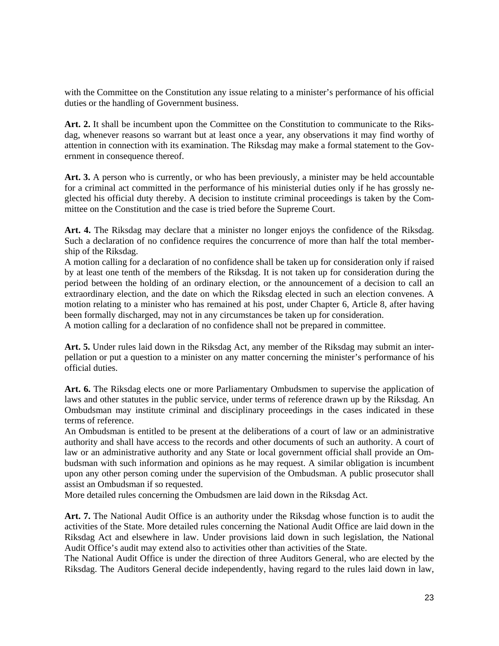with the Committee on the Constitution any issue relating to a minister's performance of his official duties or the handling of Government business.

**Art. 2.** It shall be incumbent upon the Committee on the Constitution to communicate to the Riksdag, whenever reasons so warrant but at least once a year, any observations it may find worthy of attention in connection with its examination. The Riksdag may make a formal statement to the Government in consequence thereof.

Art. 3. A person who is currently, or who has been previously, a minister may be held accountable for a criminal act committed in the performance of his ministerial duties only if he has grossly neglected his official duty thereby. A decision to institute criminal proceedings is taken by the Committee on the Constitution and the case is tried before the Supreme Court.

**Art. 4.** The Riksdag may declare that a minister no longer enjoys the confidence of the Riksdag. Such a declaration of no confidence requires the concurrence of more than half the total membership of the Riksdag.

A motion calling for a declaration of no confidence shall be taken up for consideration only if raised by at least one tenth of the members of the Riksdag. It is not taken up for consideration during the period between the holding of an ordinary election, or the announcement of a decision to call an extraordinary election, and the date on which the Riksdag elected in such an election convenes. A motion relating to a minister who has remained at his post, under Chapter 6, Article 8, after having been formally discharged, may not in any circumstances be taken up for consideration.

A motion calling for a declaration of no confidence shall not be prepared in committee.

**Art. 5.** Under rules laid down in the Riksdag Act, any member of the Riksdag may submit an interpellation or put a question to a minister on any matter concerning the minister's performance of his official duties.

**Art. 6.** The Riksdag elects one or more Parliamentary Ombudsmen to supervise the application of laws and other statutes in the public service, under terms of reference drawn up by the Riksdag. An Ombudsman may institute criminal and disciplinary proceedings in the cases indicated in these terms of reference.

An Ombudsman is entitled to be present at the deliberations of a court of law or an administrative authority and shall have access to the records and other documents of such an authority. A court of law or an administrative authority and any State or local government official shall provide an Ombudsman with such information and opinions as he may request. A similar obligation is incumbent upon any other person coming under the supervision of the Ombudsman. A public prosecutor shall assist an Ombudsman if so requested.

More detailed rules concerning the Ombudsmen are laid down in the Riksdag Act.

**Art. 7.** The National Audit Office is an authority under the Riksdag whose function is to audit the activities of the State. More detailed rules concerning the National Audit Office are laid down in the Riksdag Act and elsewhere in law. Under provisions laid down in such legislation, the National Audit Office's audit may extend also to activities other than activities of the State.

The National Audit Office is under the direction of three Auditors General, who are elected by the Riksdag. The Auditors General decide independently, having regard to the rules laid down in law,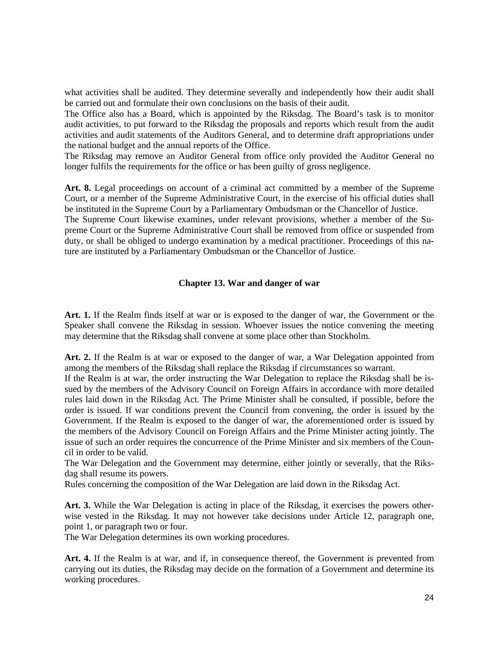what activities shall be audited. They determine severally and independently how their audit shall be carried out and formulate their own conclusions on the basis of their audit.

The Office also has a Board, which is appointed by the Riksdag. The Board's task is to monitor audit activities, to put forward to the Riksdag the proposals and reports which result from the audit activities and audit statements of the Auditors General, and to determine draft appropriations under the national budget and the annual reports of the Office.

The Riksdag may remove an Auditor General from office only provided the Auditor General no longer fulfils the requirements for the office or has been guilty of gross negligence.

Art. 8. Legal proceedings on account of a criminal act committed by a member of the Supreme Court, or a member of the Supreme Administrative Court, in the exercise of his official duties shall be instituted in the Supreme Court by a Parliamentary Ombudsman or the Chancellor of Justice.

The Supreme Court likewise examines, under relevant provisions, whether a member of the Supreme Court or the Supreme Administrative Court shall be removed from office or suspended from duty, or shall be obliged to undergo examination by a medical practitioner. Proceedings of this nature are instituted by a Parliamentary Ombudsman or the Chancellor of Justice.

### **Chapter 13. War and danger of war**

**Art. 1.** If the Realm finds itself at war or is exposed to the danger of war, the Government or the Speaker shall convene the Riksdag in session. Whoever issues the notice convening the meeting may determine that the Riksdag shall convene at some place other than Stockholm.

**Art. 2.** If the Realm is at war or exposed to the danger of war, a War Delegation appointed from among the members of the Riksdag shall replace the Riksdag if circumstances so warrant.

If the Realm is at war, the order instructing the War Delegation to replace the Riksdag shall be issued by the members of the Advisory Council on Foreign Affairs in accordance with more detailed rules laid down in the Riksdag Act. The Prime Minister shall be consulted, if possible, before the order is issued. If war conditions prevent the Council from convening, the order is issued by the Government. If the Realm is exposed to the danger of war, the aforementioned order is issued by the members of the Advisory Council on Foreign Affairs and the Prime Minister acting jointly. The issue of such an order requires the concurrence of the Prime Minister and six members of the Council in order to be valid.

The War Delegation and the Government may determine, either jointly or severally, that the Riksdag shall resume its powers.

Rules concerning the composition of the War Delegation are laid down in the Riksdag Act.

Art. 3. While the War Delegation is acting in place of the Riksdag, it exercises the powers otherwise vested in the Riksdag. It may not however take decisions under Article 12, paragraph one, point 1, or paragraph two or four.

The War Delegation determines its own working procedures.

**Art. 4.** If the Realm is at war, and if, in consequence thereof, the Government is prevented from carrying out its duties, the Riksdag may decide on the formation of a Government and determine its working procedures.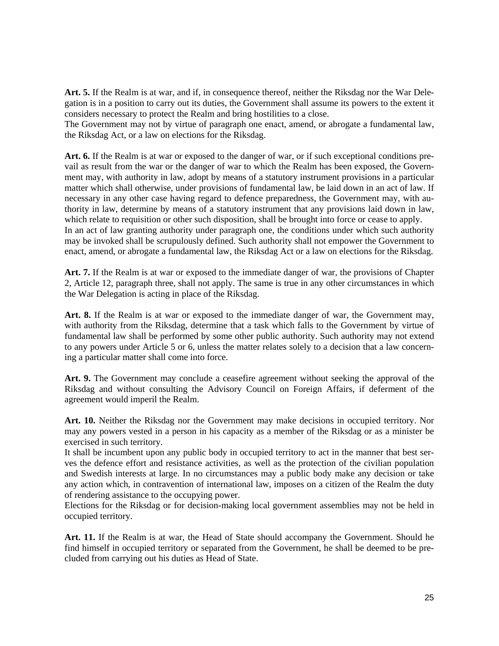**Art. 5.** If the Realm is at war, and if, in consequence thereof, neither the Riksdag nor the War Delegation is in a position to carry out its duties, the Government shall assume its powers to the extent it considers necessary to protect the Realm and bring hostilities to a close.

The Government may not by virtue of paragraph one enact, amend, or abrogate a fundamental law, the Riksdag Act, or a law on elections for the Riksdag.

**Art. 6.** If the Realm is at war or exposed to the danger of war, or if such exceptional conditions prevail as result from the war or the danger of war to which the Realm has been exposed, the Government may, with authority in law, adopt by means of a statutory instrument provisions in a particular matter which shall otherwise, under provisions of fundamental law, be laid down in an act of law. If necessary in any other case having regard to defence preparedness, the Government may, with authority in law, determine by means of a statutory instrument that any provisions laid down in law, which relate to requisition or other such disposition, shall be brought into force or cease to apply. In an act of law granting authority under paragraph one, the conditions under which such authority may be invoked shall be scrupulously defined. Such authority shall not empower the Government to enact, amend, or abrogate a fundamental law, the Riksdag Act or a law on elections for the Riksdag.

**Art. 7.** If the Realm is at war or exposed to the immediate danger of war, the provisions of Chapter 2, Article 12, paragraph three, shall not apply. The same is true in any other circumstances in which the War Delegation is acting in place of the Riksdag.

Art. 8. If the Realm is at war or exposed to the immediate danger of war, the Government may, with authority from the Riksdag, determine that a task which falls to the Government by virtue of fundamental law shall be performed by some other public authority. Such authority may not extend to any powers under Article 5 or 6, unless the matter relates solely to a decision that a law concerning a particular matter shall come into force.

**Art. 9.** The Government may conclude a ceasefire agreement without seeking the approval of the Riksdag and without consulting the Advisory Council on Foreign Affairs, if deferment of the agreement would imperil the Realm.

**Art. 10.** Neither the Riksdag nor the Government may make decisions in occupied territory. Nor may any powers vested in a person in his capacity as a member of the Riksdag or as a minister be exercised in such territory.

It shall be incumbent upon any public body in occupied territory to act in the manner that best serves the defence effort and resistance activities, as well as the protection of the civilian population and Swedish interests at large. In no circumstances may a public body make any decision or take any action which, in contravention of international law, imposes on a citizen of the Realm the duty of rendering assistance to the occupying power.

Elections for the Riksdag or for decision-making local government assemblies may not be held in occupied territory.

**Art. 11.** If the Realm is at war, the Head of State should accompany the Government. Should he find himself in occupied territory or separated from the Government, he shall be deemed to be precluded from carrying out his duties as Head of State.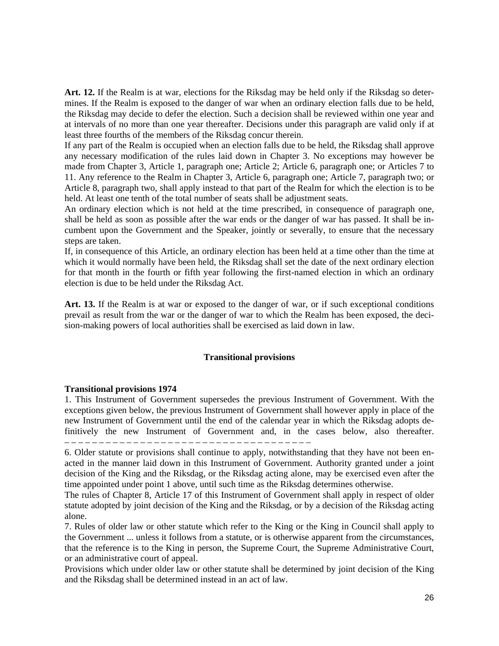**Art. 12.** If the Realm is at war, elections for the Riksdag may be held only if the Riksdag so determines. If the Realm is exposed to the danger of war when an ordinary election falls due to be held, the Riksdag may decide to defer the election. Such a decision shall be reviewed within one year and at intervals of no more than one year thereafter. Decisions under this paragraph are valid only if at least three fourths of the members of the Riksdag concur therein.

If any part of the Realm is occupied when an election falls due to be held, the Riksdag shall approve any necessary modification of the rules laid down in Chapter 3. No exceptions may however be made from Chapter 3, Article 1, paragraph one; Article 2; Article 6, paragraph one; or Articles 7 to 11. Any reference to the Realm in Chapter 3, Article 6, paragraph one; Article 7, paragraph two; or Article 8, paragraph two, shall apply instead to that part of the Realm for which the election is to be held. At least one tenth of the total number of seats shall be adjustment seats.

An ordinary election which is not held at the time prescribed, in consequence of paragraph one, shall be held as soon as possible after the war ends or the danger of war has passed. It shall be incumbent upon the Government and the Speaker, jointly or severally, to ensure that the necessary steps are taken.

If, in consequence of this Article, an ordinary election has been held at a time other than the time at which it would normally have been held, the Riksdag shall set the date of the next ordinary election for that month in the fourth or fifth year following the first-named election in which an ordinary election is due to be held under the Riksdag Act.

Art. 13. If the Realm is at war or exposed to the danger of war, or if such exceptional conditions prevail as result from the war or the danger of war to which the Realm has been exposed, the decision-making powers of local authorities shall be exercised as laid down in law.

#### **Transitional provisions**

#### **Transitional provisions 1974**

1. This Instrument of Government supersedes the previous Instrument of Government. With the exceptions given below, the previous Instrument of Government shall however apply in place of the new Instrument of Government until the end of the calendar year in which the Riksdag adopts definitively the new Instrument of Government and, in the cases below, also thereafter. – – – – – – – – – – – – – – – – – – – – – – – – – – – – – – – – – – – –

6. Older statute or provisions shall continue to apply, notwithstanding that they have not been enacted in the manner laid down in this Instrument of Government. Authority granted under a joint decision of the King and the Riksdag, or the Riksdag acting alone, may be exercised even after the time appointed under point 1 above, until such time as the Riksdag determines otherwise.

The rules of Chapter 8, Article 17 of this Instrument of Government shall apply in respect of older statute adopted by joint decision of the King and the Riksdag, or by a decision of the Riksdag acting alone.

7. Rules of older law or other statute which refer to the King or the King in Council shall apply to the Government ... unless it follows from a statute, or is otherwise apparent from the circumstances, that the reference is to the King in person, the Supreme Court, the Supreme Administrative Court, or an administrative court of appeal.

Provisions which under older law or other statute shall be determined by joint decision of the King and the Riksdag shall be determined instead in an act of law.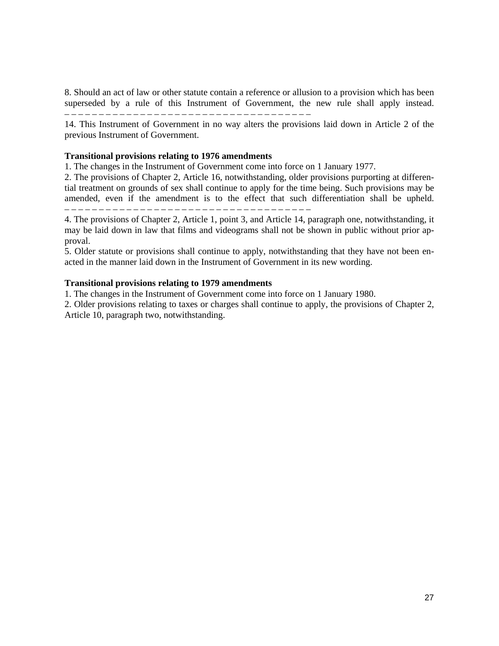8. Should an act of law or other statute contain a reference or allusion to a provision which has been superseded by a rule of this Instrument of Government, the new rule shall apply instead. – – – – – – – – – – – – – – – – – – – – – – – – – – – – – – – – – – – –

14. This Instrument of Government in no way alters the provisions laid down in Article 2 of the previous Instrument of Government.

#### **Transitional provisions relating to 1976 amendments**

1. The changes in the Instrument of Government come into force on 1 January 1977.

2. The provisions of Chapter 2, Article 16, notwithstanding, older provisions purporting at differential treatment on grounds of sex shall continue to apply for the time being. Such provisions may be amended, even if the amendment is to the effect that such differentiation shall be upheld.

4. The provisions of Chapter 2, Article 1, point 3, and Article 14, paragraph one, notwithstanding, it may be laid down in law that films and videograms shall not be shown in public without prior approval.

5. Older statute or provisions shall continue to apply, notwithstanding that they have not been enacted in the manner laid down in the Instrument of Government in its new wording.

### **Transitional provisions relating to 1979 amendments**

1. The changes in the Instrument of Government come into force on 1 January 1980.

2. Older provisions relating to taxes or charges shall continue to apply, the provisions of Chapter 2, Article 10, paragraph two, notwithstanding.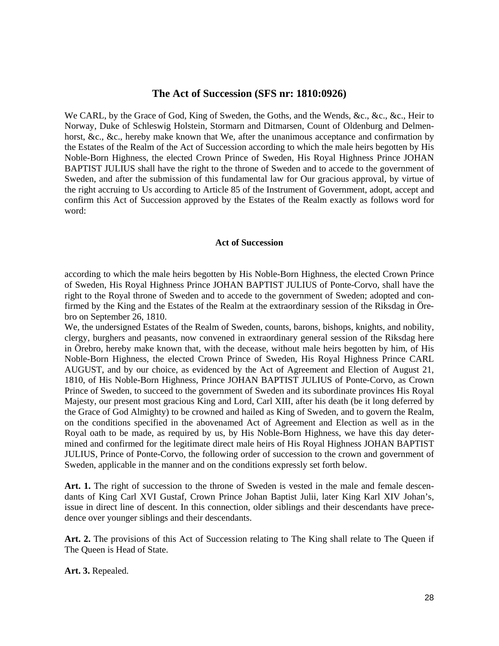## **The Act of Succession (SFS nr: 1810:0926)**

We CARL, by the Grace of God, King of Sweden, the Goths, and the Wends, &c., &c., &c., Heir to Norway, Duke of Schleswig Holstein, Stormarn and Ditmarsen, Count of Oldenburg and Delmenhorst, &c., &c., hereby make known that We, after the unanimous acceptance and confirmation by the Estates of the Realm of the Act of Succession according to which the male heirs begotten by His Noble-Born Highness, the elected Crown Prince of Sweden, His Royal Highness Prince JOHAN BAPTIST JULIUS shall have the right to the throne of Sweden and to accede to the government of Sweden, and after the submission of this fundamental law for Our gracious approval, by virtue of the right accruing to Us according to Article 85 of the Instrument of Government, adopt, accept and confirm this Act of Succession approved by the Estates of the Realm exactly as follows word for word:

### **Act of Succession**

according to which the male heirs begotten by His Noble-Born Highness, the elected Crown Prince of Sweden, His Royal Highness Prince JOHAN BAPTIST JULIUS of Ponte-Corvo, shall have the right to the Royal throne of Sweden and to accede to the government of Sweden; adopted and confirmed by the King and the Estates of the Realm at the extraordinary session of the Riksdag in Örebro on September 26, 1810.

We, the undersigned Estates of the Realm of Sweden, counts, barons, bishops, knights, and nobility, clergy, burghers and peasants, now convened in extraordinary general session of the Riksdag here in Örebro, hereby make known that, with the decease, without male heirs begotten by him, of His Noble-Born Highness, the elected Crown Prince of Sweden, His Royal Highness Prince CARL AUGUST, and by our choice, as evidenced by the Act of Agreement and Election of August 21, 1810, of His Noble-Born Highness, Prince JOHAN BAPTIST JULIUS of Ponte-Corvo, as Crown Prince of Sweden, to succeed to the government of Sweden and its subordinate provinces His Royal Majesty, our present most gracious King and Lord, Carl XIII, after his death (be it long deferred by the Grace of God Almighty) to be crowned and hailed as King of Sweden, and to govern the Realm, on the conditions specified in the abovenamed Act of Agreement and Election as well as in the Royal oath to be made, as required by us, by His Noble-Born Highness, we have this day determined and confirmed for the legitimate direct male heirs of His Royal Highness JOHAN BAPTIST JULIUS, Prince of Ponte-Corvo, the following order of succession to the crown and government of Sweden, applicable in the manner and on the conditions expressly set forth below.

**Art. 1.** The right of succession to the throne of Sweden is vested in the male and female descendants of King Carl XVI Gustaf, Crown Prince Johan Baptist Julii, later King Karl XIV Johan's, issue in direct line of descent. In this connection, older siblings and their descendants have precedence over younger siblings and their descendants.

**Art. 2.** The provisions of this Act of Succession relating to The King shall relate to The Queen if The Queen is Head of State.

**Art. 3.** Repealed.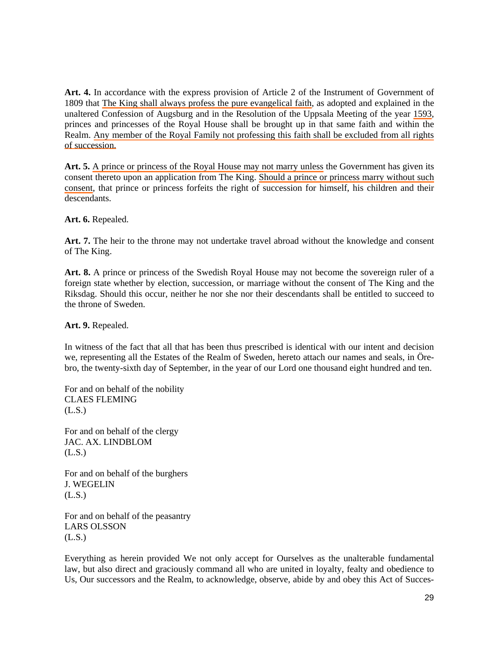**Art. 4.** In accordance with the express provision of Article 2 of the Instrument of Government of 1809 that The King shall always profess the pure evangelical faith, as adopted and explained in the unaltered Confession of Augsburg and in the Resolution of the Uppsala Meeting of the year 1593, princes and princesses of the Royal House shall be brought up in that same faith and within the Realm. Any member of the Royal Family not professing this faith shall be excluded from all rights of succession.

Art. 5. A prince or princess of the Royal House may not marry unless the Government has given its consent thereto upon an application from The King. Should a prince or princess marry without such consent, that prince or princess forfeits the right of succession for himself, his children and their descendants.

**Art. 6.** Repealed.

**Art. 7.** The heir to the throne may not undertake travel abroad without the knowledge and consent of The King.

**Art. 8.** A prince or princess of the Swedish Royal House may not become the sovereign ruler of a foreign state whether by election, succession, or marriage without the consent of The King and the Riksdag. Should this occur, neither he nor she nor their descendants shall be entitled to succeed to the throne of Sweden.

**Art. 9.** Repealed.

In witness of the fact that all that has been thus prescribed is identical with our intent and decision we, representing all the Estates of the Realm of Sweden, hereto attach our names and seals, in Örebro, the twenty-sixth day of September, in the year of our Lord one thousand eight hundred and ten.

For and on behalf of the nobility CLAES FLEMING (L.S.)

For and on behalf of the clergy JAC. AX. LINDBLOM (L.S.)

For and on behalf of the burghers J. WEGELIN (L.S.)

For and on behalf of the peasantry LARS OLSSON (L.S.)

Everything as herein provided We not only accept for Ourselves as the unalterable fundamental law, but also direct and graciously command all who are united in loyalty, fealty and obedience to Us, Our successors and the Realm, to acknowledge, observe, abide by and obey this Act of Succes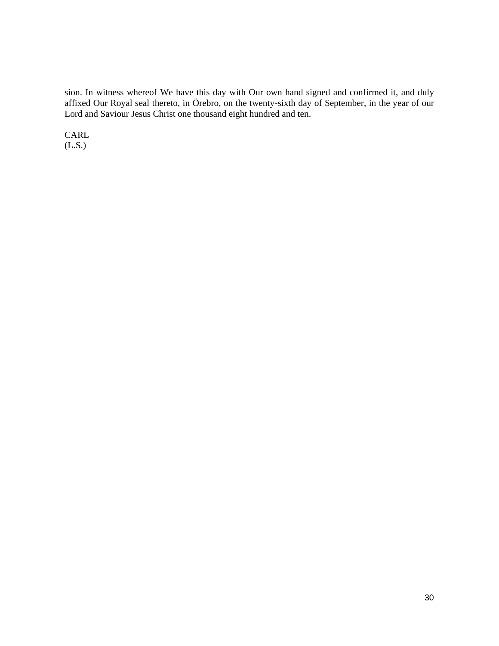sion. In witness whereof We have this day with Our own hand signed and confirmed it, and duly affixed Our Royal seal thereto, in Örebro, on the twenty-sixth day of September, in the year of our Lord and Saviour Jesus Christ one thousand eight hundred and ten.

CARL (L.S.)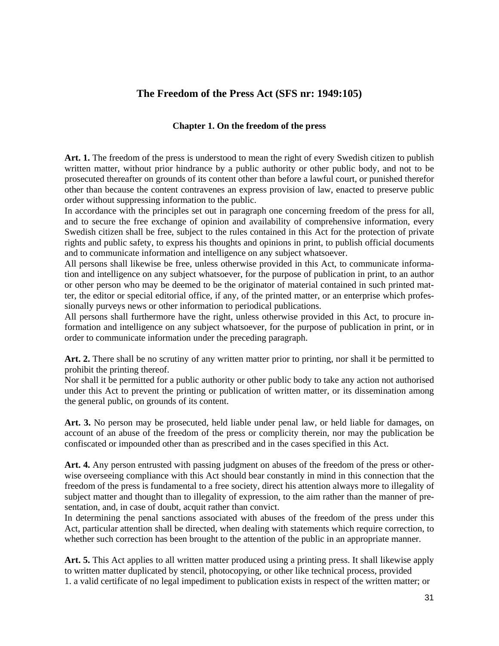# **The Freedom of the Press Act (SFS nr: 1949:105)**

### **Chapter 1. On the freedom of the press**

**Art. 1.** The freedom of the press is understood to mean the right of every Swedish citizen to publish written matter, without prior hindrance by a public authority or other public body, and not to be prosecuted thereafter on grounds of its content other than before a lawful court, or punished therefor other than because the content contravenes an express provision of law, enacted to preserve public order without suppressing information to the public.

In accordance with the principles set out in paragraph one concerning freedom of the press for all, and to secure the free exchange of opinion and availability of comprehensive information, every Swedish citizen shall be free, subject to the rules contained in this Act for the protection of private rights and public safety, to express his thoughts and opinions in print, to publish official documents and to communicate information and intelligence on any subject whatsoever.

All persons shall likewise be free, unless otherwise provided in this Act, to communicate information and intelligence on any subject whatsoever, for the purpose of publication in print, to an author or other person who may be deemed to be the originator of material contained in such printed matter, the editor or special editorial office, if any, of the printed matter, or an enterprise which professionally purveys news or other information to periodical publications.

All persons shall furthermore have the right, unless otherwise provided in this Act, to procure information and intelligence on any subject whatsoever, for the purpose of publication in print, or in order to communicate information under the preceding paragraph.

Art. 2. There shall be no scrutiny of any written matter prior to printing, nor shall it be permitted to prohibit the printing thereof.

Nor shall it be permitted for a public authority or other public body to take any action not authorised under this Act to prevent the printing or publication of written matter, or its dissemination among the general public, on grounds of its content.

**Art. 3.** No person may be prosecuted, held liable under penal law, or held liable for damages, on account of an abuse of the freedom of the press or complicity therein, nor may the publication be confiscated or impounded other than as prescribed and in the cases specified in this Act.

**Art. 4.** Any person entrusted with passing judgment on abuses of the freedom of the press or otherwise overseeing compliance with this Act should bear constantly in mind in this connection that the freedom of the press is fundamental to a free society, direct his attention always more to illegality of subject matter and thought than to illegality of expression, to the aim rather than the manner of presentation, and, in case of doubt, acquit rather than convict.

In determining the penal sanctions associated with abuses of the freedom of the press under this Act, particular attention shall be directed, when dealing with statements which require correction, to whether such correction has been brought to the attention of the public in an appropriate manner.

**Art. 5.** This Act applies to all written matter produced using a printing press. It shall likewise apply to written matter duplicated by stencil, photocopying, or other like technical process, provided 1. a valid certificate of no legal impediment to publication exists in respect of the written matter; or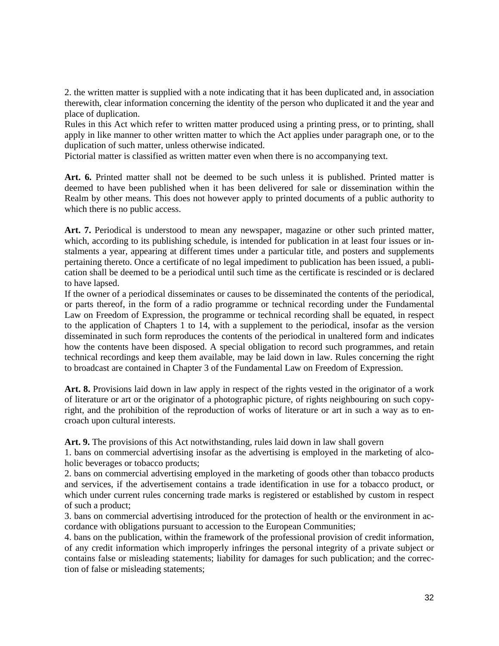2. the written matter is supplied with a note indicating that it has been duplicated and, in association therewith, clear information concerning the identity of the person who duplicated it and the year and place of duplication.

Rules in this Act which refer to written matter produced using a printing press, or to printing, shall apply in like manner to other written matter to which the Act applies under paragraph one, or to the duplication of such matter, unless otherwise indicated.

Pictorial matter is classified as written matter even when there is no accompanying text.

**Art. 6.** Printed matter shall not be deemed to be such unless it is published. Printed matter is deemed to have been published when it has been delivered for sale or dissemination within the Realm by other means. This does not however apply to printed documents of a public authority to which there is no public access.

**Art. 7.** Periodical is understood to mean any newspaper, magazine or other such printed matter, which, according to its publishing schedule, is intended for publication in at least four issues or instalments a year, appearing at different times under a particular title, and posters and supplements pertaining thereto. Once a certificate of no legal impediment to publication has been issued, a publication shall be deemed to be a periodical until such time as the certificate is rescinded or is declared to have lapsed.

If the owner of a periodical disseminates or causes to be disseminated the contents of the periodical, or parts thereof, in the form of a radio programme or technical recording under the Fundamental Law on Freedom of Expression, the programme or technical recording shall be equated, in respect to the application of Chapters 1 to 14, with a supplement to the periodical, insofar as the version disseminated in such form reproduces the contents of the periodical in unaltered form and indicates how the contents have been disposed. A special obligation to record such programmes, and retain technical recordings and keep them available, may be laid down in law. Rules concerning the right to broadcast are contained in Chapter 3 of the Fundamental Law on Freedom of Expression.

**Art. 8.** Provisions laid down in law apply in respect of the rights vested in the originator of a work of literature or art or the originator of a photographic picture, of rights neighbouring on such copyright, and the prohibition of the reproduction of works of literature or art in such a way as to encroach upon cultural interests.

**Art. 9.** The provisions of this Act notwithstanding, rules laid down in law shall govern

1. bans on commercial advertising insofar as the advertising is employed in the marketing of alcoholic beverages or tobacco products;

2. bans on commercial advertising employed in the marketing of goods other than tobacco products and services, if the advertisement contains a trade identification in use for a tobacco product, or which under current rules concerning trade marks is registered or established by custom in respect of such a product;

3. bans on commercial advertising introduced for the protection of health or the environment in accordance with obligations pursuant to accession to the European Communities;

4. bans on the publication, within the framework of the professional provision of credit information, of any credit information which improperly infringes the personal integrity of a private subject or contains false or misleading statements; liability for damages for such publication; and the correction of false or misleading statements;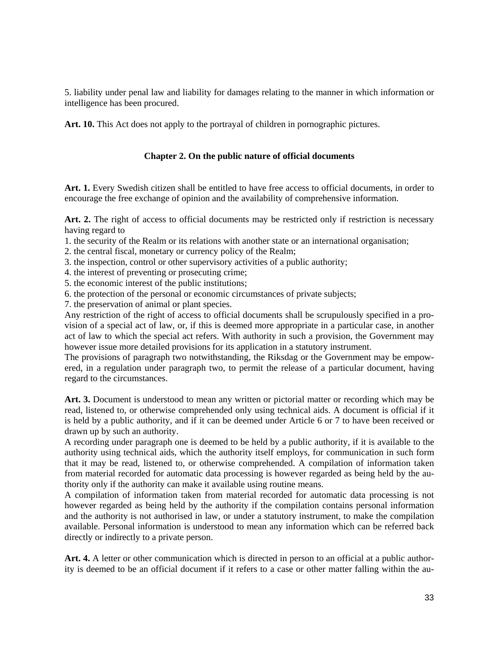5. liability under penal law and liability for damages relating to the manner in which information or intelligence has been procured.

**Art. 10.** This Act does not apply to the portrayal of children in pornographic pictures.

## **Chapter 2. On the public nature of official documents**

**Art. 1.** Every Swedish citizen shall be entitled to have free access to official documents, in order to encourage the free exchange of opinion and the availability of comprehensive information.

**Art. 2.** The right of access to official documents may be restricted only if restriction is necessary having regard to

1. the security of the Realm or its relations with another state or an international organisation;

2. the central fiscal, monetary or currency policy of the Realm;

3. the inspection, control or other supervisory activities of a public authority;

4. the interest of preventing or prosecuting crime;

5. the economic interest of the public institutions;

6. the protection of the personal or economic circumstances of private subjects;

7. the preservation of animal or plant species.

Any restriction of the right of access to official documents shall be scrupulously specified in a provision of a special act of law, or, if this is deemed more appropriate in a particular case, in another act of law to which the special act refers. With authority in such a provision, the Government may however issue more detailed provisions for its application in a statutory instrument.

The provisions of paragraph two notwithstanding, the Riksdag or the Government may be empowered, in a regulation under paragraph two, to permit the release of a particular document, having regard to the circumstances.

**Art. 3.** Document is understood to mean any written or pictorial matter or recording which may be read, listened to, or otherwise comprehended only using technical aids. A document is official if it is held by a public authority, and if it can be deemed under Article 6 or 7 to have been received or drawn up by such an authority.

A recording under paragraph one is deemed to be held by a public authority, if it is available to the authority using technical aids, which the authority itself employs, for communication in such form that it may be read, listened to, or otherwise comprehended. A compilation of information taken from material recorded for automatic data processing is however regarded as being held by the authority only if the authority can make it available using routine means.

A compilation of information taken from material recorded for automatic data processing is not however regarded as being held by the authority if the compilation contains personal information and the authority is not authorised in law, or under a statutory instrument, to make the compilation available. Personal information is understood to mean any information which can be referred back directly or indirectly to a private person.

**Art. 4.** A letter or other communication which is directed in person to an official at a public authority is deemed to be an official document if it refers to a case or other matter falling within the au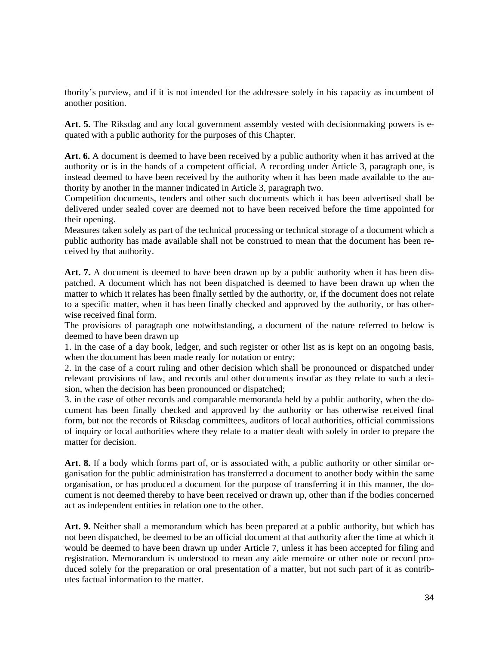thority's purview, and if it is not intended for the addressee solely in his capacity as incumbent of another position.

**Art. 5.** The Riksdag and any local government assembly vested with decisionmaking powers is equated with a public authority for the purposes of this Chapter.

**Art. 6.** A document is deemed to have been received by a public authority when it has arrived at the authority or is in the hands of a competent official. A recording under Article 3, paragraph one, is instead deemed to have been received by the authority when it has been made available to the authority by another in the manner indicated in Article 3, paragraph two.

Competition documents, tenders and other such documents which it has been advertised shall be delivered under sealed cover are deemed not to have been received before the time appointed for their opening.

Measures taken solely as part of the technical processing or technical storage of a document which a public authority has made available shall not be construed to mean that the document has been received by that authority.

**Art. 7.** A document is deemed to have been drawn up by a public authority when it has been dispatched. A document which has not been dispatched is deemed to have been drawn up when the matter to which it relates has been finally settled by the authority, or, if the document does not relate to a specific matter, when it has been finally checked and approved by the authority, or has otherwise received final form.

The provisions of paragraph one notwithstanding, a document of the nature referred to below is deemed to have been drawn up

1. in the case of a day book, ledger, and such register or other list as is kept on an ongoing basis, when the document has been made ready for notation or entry;

2. in the case of a court ruling and other decision which shall be pronounced or dispatched under relevant provisions of law, and records and other documents insofar as they relate to such a decision, when the decision has been pronounced or dispatched;

3. in the case of other records and comparable memoranda held by a public authority, when the document has been finally checked and approved by the authority or has otherwise received final form, but not the records of Riksdag committees, auditors of local authorities, official commissions of inquiry or local authorities where they relate to a matter dealt with solely in order to prepare the matter for decision.

**Art. 8.** If a body which forms part of, or is associated with, a public authority or other similar organisation for the public administration has transferred a document to another body within the same organisation, or has produced a document for the purpose of transferring it in this manner, the document is not deemed thereby to have been received or drawn up, other than if the bodies concerned act as independent entities in relation one to the other.

**Art. 9.** Neither shall a memorandum which has been prepared at a public authority, but which has not been dispatched, be deemed to be an official document at that authority after the time at which it would be deemed to have been drawn up under Article 7, unless it has been accepted for filing and registration. Memorandum is understood to mean any aide memoire or other note or record produced solely for the preparation or oral presentation of a matter, but not such part of it as contributes factual information to the matter.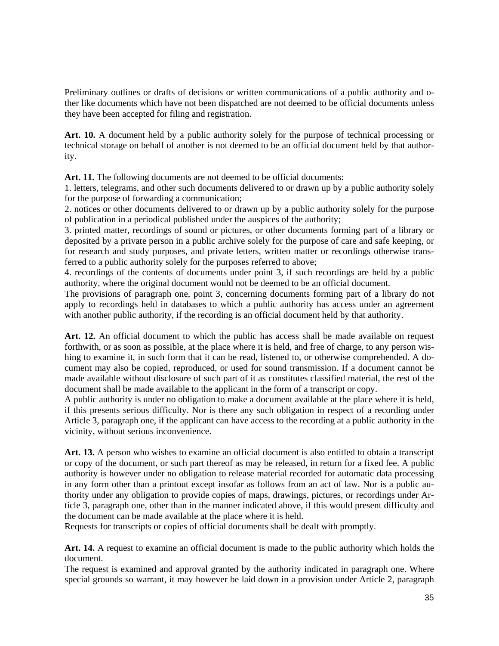Preliminary outlines or drafts of decisions or written communications of a public authority and other like documents which have not been dispatched are not deemed to be official documents unless they have been accepted for filing and registration.

**Art. 10.** A document held by a public authority solely for the purpose of technical processing or technical storage on behalf of another is not deemed to be an official document held by that authority.

Art. 11. The following documents are not deemed to be official documents:

1. letters, telegrams, and other such documents delivered to or drawn up by a public authority solely for the purpose of forwarding a communication;

2. notices or other documents delivered to or drawn up by a public authority solely for the purpose of publication in a periodical published under the auspices of the authority;

3. printed matter, recordings of sound or pictures, or other documents forming part of a library or deposited by a private person in a public archive solely for the purpose of care and safe keeping, or for research and study purposes, and private letters, written matter or recordings otherwise transferred to a public authority solely for the purposes referred to above;

4. recordings of the contents of documents under point 3, if such recordings are held by a public authority, where the original document would not be deemed to be an official document.

The provisions of paragraph one, point 3, concerning documents forming part of a library do not apply to recordings held in databases to which a public authority has access under an agreement with another public authority, if the recording is an official document held by that authority.

**Art. 12.** An official document to which the public has access shall be made available on request forthwith, or as soon as possible, at the place where it is held, and free of charge, to any person wishing to examine it, in such form that it can be read, listened to, or otherwise comprehended. A document may also be copied, reproduced, or used for sound transmission. If a document cannot be made available without disclosure of such part of it as constitutes classified material, the rest of the document shall be made available to the applicant in the form of a transcript or copy.

A public authority is under no obligation to make a document available at the place where it is held, if this presents serious difficulty. Nor is there any such obligation in respect of a recording under Article 3, paragraph one, if the applicant can have access to the recording at a public authority in the vicinity, without serious inconvenience.

**Art. 13.** A person who wishes to examine an official document is also entitled to obtain a transcript or copy of the document, or such part thereof as may be released, in return for a fixed fee. A public authority is however under no obligation to release material recorded for automatic data processing in any form other than a printout except insofar as follows from an act of law. Nor is a public authority under any obligation to provide copies of maps, drawings, pictures, or recordings under Article 3, paragraph one, other than in the manner indicated above, if this would present difficulty and the document can be made available at the place where it is held.

Requests for transcripts or copies of official documents shall be dealt with promptly.

**Art. 14.** A request to examine an official document is made to the public authority which holds the document.

The request is examined and approval granted by the authority indicated in paragraph one. Where special grounds so warrant, it may however be laid down in a provision under Article 2, paragraph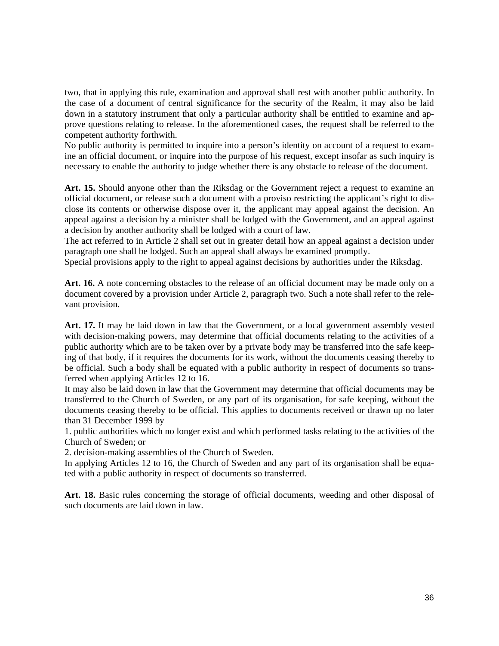two, that in applying this rule, examination and approval shall rest with another public authority. In the case of a document of central significance for the security of the Realm, it may also be laid down in a statutory instrument that only a particular authority shall be entitled to examine and approve questions relating to release. In the aforementioned cases, the request shall be referred to the competent authority forthwith.

No public authority is permitted to inquire into a person's identity on account of a request to examine an official document, or inquire into the purpose of his request, except insofar as such inquiry is necessary to enable the authority to judge whether there is any obstacle to release of the document.

Art. 15. Should anyone other than the Riksdag or the Government reject a request to examine an official document, or release such a document with a proviso restricting the applicant's right to disclose its contents or otherwise dispose over it, the applicant may appeal against the decision. An appeal against a decision by a minister shall be lodged with the Government, and an appeal against a decision by another authority shall be lodged with a court of law.

The act referred to in Article 2 shall set out in greater detail how an appeal against a decision under paragraph one shall be lodged. Such an appeal shall always be examined promptly.

Special provisions apply to the right to appeal against decisions by authorities under the Riksdag.

Art. 16. A note concerning obstacles to the release of an official document may be made only on a document covered by a provision under Article 2, paragraph two. Such a note shall refer to the relevant provision.

**Art. 17.** It may be laid down in law that the Government, or a local government assembly vested with decision-making powers, may determine that official documents relating to the activities of a public authority which are to be taken over by a private body may be transferred into the safe keeping of that body, if it requires the documents for its work, without the documents ceasing thereby to be official. Such a body shall be equated with a public authority in respect of documents so transferred when applying Articles 12 to 16.

It may also be laid down in law that the Government may determine that official documents may be transferred to the Church of Sweden, or any part of its organisation, for safe keeping, without the documents ceasing thereby to be official. This applies to documents received or drawn up no later than 31 December 1999 by

1. public authorities which no longer exist and which performed tasks relating to the activities of the Church of Sweden; or

2. decision-making assemblies of the Church of Sweden.

In applying Articles 12 to 16, the Church of Sweden and any part of its organisation shall be equated with a public authority in respect of documents so transferred.

**Art. 18.** Basic rules concerning the storage of official documents, weeding and other disposal of such documents are laid down in law.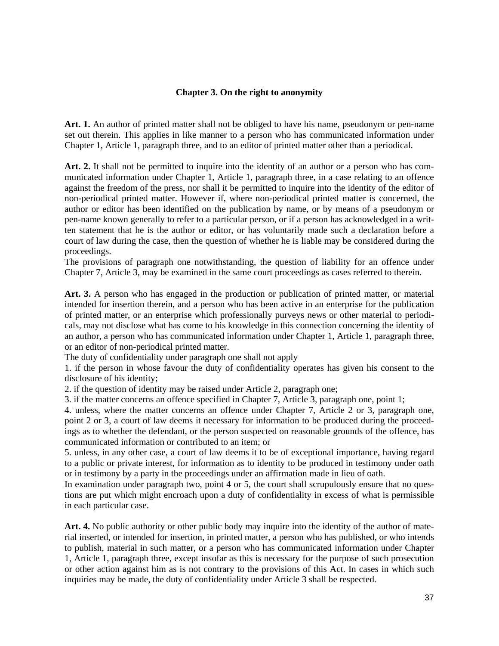### **Chapter 3. On the right to anonymity**

**Art. 1.** An author of printed matter shall not be obliged to have his name, pseudonym or pen-name set out therein. This applies in like manner to a person who has communicated information under Chapter 1, Article 1, paragraph three, and to an editor of printed matter other than a periodical.

**Art. 2.** It shall not be permitted to inquire into the identity of an author or a person who has communicated information under Chapter 1, Article 1, paragraph three, in a case relating to an offence against the freedom of the press, nor shall it be permitted to inquire into the identity of the editor of non-periodical printed matter. However if, where non-periodical printed matter is concerned, the author or editor has been identified on the publication by name, or by means of a pseudonym or pen-name known generally to refer to a particular person, or if a person has acknowledged in a written statement that he is the author or editor, or has voluntarily made such a declaration before a court of law during the case, then the question of whether he is liable may be considered during the proceedings.

The provisions of paragraph one notwithstanding, the question of liability for an offence under Chapter 7, Article 3, may be examined in the same court proceedings as cases referred to therein.

**Art. 3.** A person who has engaged in the production or publication of printed matter, or material intended for insertion therein, and a person who has been active in an enterprise for the publication of printed matter, or an enterprise which professionally purveys news or other material to periodicals, may not disclose what has come to his knowledge in this connection concerning the identity of an author, a person who has communicated information under Chapter 1, Article 1, paragraph three, or an editor of non-periodical printed matter.

The duty of confidentiality under paragraph one shall not apply

1. if the person in whose favour the duty of confidentiality operates has given his consent to the disclosure of his identity;

2. if the question of identity may be raised under Article 2, paragraph one;

3. if the matter concerns an offence specified in Chapter 7, Article 3, paragraph one, point 1;

4. unless, where the matter concerns an offence under Chapter 7, Article 2 or 3, paragraph one, point 2 or 3, a court of law deems it necessary for information to be produced during the proceedings as to whether the defendant, or the person suspected on reasonable grounds of the offence, has communicated information or contributed to an item; or

5. unless, in any other case, a court of law deems it to be of exceptional importance, having regard to a public or private interest, for information as to identity to be produced in testimony under oath or in testimony by a party in the proceedings under an affirmation made in lieu of oath.

In examination under paragraph two, point 4 or 5, the court shall scrupulously ensure that no questions are put which might encroach upon a duty of confidentiality in excess of what is permissible in each particular case.

**Art. 4.** No public authority or other public body may inquire into the identity of the author of material inserted, or intended for insertion, in printed matter, a person who has published, or who intends to publish, material in such matter, or a person who has communicated information under Chapter 1, Article 1, paragraph three, except insofar as this is necessary for the purpose of such prosecution or other action against him as is not contrary to the provisions of this Act. In cases in which such inquiries may be made, the duty of confidentiality under Article 3 shall be respected.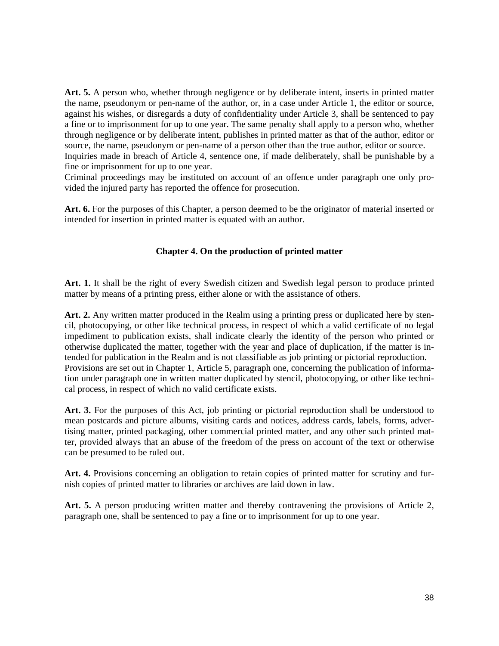**Art. 5.** A person who, whether through negligence or by deliberate intent, inserts in printed matter the name, pseudonym or pen-name of the author, or, in a case under Article 1, the editor or source, against his wishes, or disregards a duty of confidentiality under Article 3, shall be sentenced to pay a fine or to imprisonment for up to one year. The same penalty shall apply to a person who, whether through negligence or by deliberate intent, publishes in printed matter as that of the author, editor or source, the name, pseudonym or pen-name of a person other than the true author, editor or source. Inquiries made in breach of Article 4, sentence one, if made deliberately, shall be punishable by a fine or imprisonment for up to one year.

Criminal proceedings may be instituted on account of an offence under paragraph one only provided the injured party has reported the offence for prosecution.

**Art. 6.** For the purposes of this Chapter, a person deemed to be the originator of material inserted or intended for insertion in printed matter is equated with an author.

### **Chapter 4. On the production of printed matter**

**Art. 1.** It shall be the right of every Swedish citizen and Swedish legal person to produce printed matter by means of a printing press, either alone or with the assistance of others.

**Art. 2.** Any written matter produced in the Realm using a printing press or duplicated here by stencil, photocopying, or other like technical process, in respect of which a valid certificate of no legal impediment to publication exists, shall indicate clearly the identity of the person who printed or otherwise duplicated the matter, together with the year and place of duplication, if the matter is intended for publication in the Realm and is not classifiable as job printing or pictorial reproduction. Provisions are set out in Chapter 1, Article 5, paragraph one, concerning the publication of information under paragraph one in written matter duplicated by stencil, photocopying, or other like technical process, in respect of which no valid certificate exists.

**Art. 3.** For the purposes of this Act, job printing or pictorial reproduction shall be understood to mean postcards and picture albums, visiting cards and notices, address cards, labels, forms, advertising matter, printed packaging, other commercial printed matter, and any other such printed matter, provided always that an abuse of the freedom of the press on account of the text or otherwise can be presumed to be ruled out.

**Art. 4.** Provisions concerning an obligation to retain copies of printed matter for scrutiny and furnish copies of printed matter to libraries or archives are laid down in law.

**Art. 5.** A person producing written matter and thereby contravening the provisions of Article 2, paragraph one, shall be sentenced to pay a fine or to imprisonment for up to one year.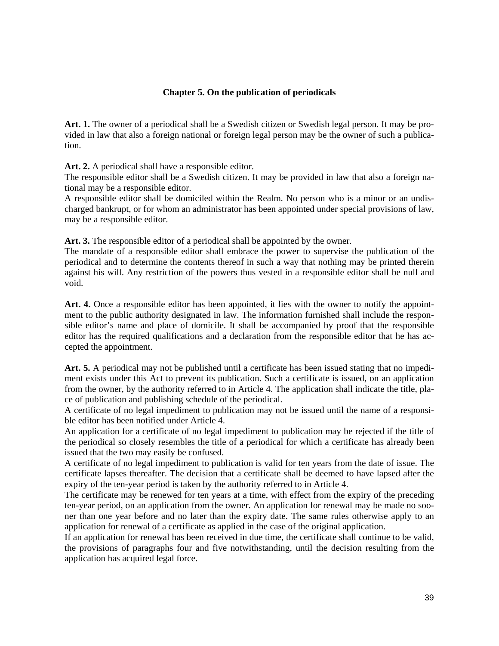### **Chapter 5. On the publication of periodicals**

**Art. 1.** The owner of a periodical shall be a Swedish citizen or Swedish legal person. It may be provided in law that also a foreign national or foreign legal person may be the owner of such a publication.

**Art. 2.** A periodical shall have a responsible editor.

The responsible editor shall be a Swedish citizen. It may be provided in law that also a foreign national may be a responsible editor.

A responsible editor shall be domiciled within the Realm. No person who is a minor or an undischarged bankrupt, or for whom an administrator has been appointed under special provisions of law, may be a responsible editor.

**Art. 3.** The responsible editor of a periodical shall be appointed by the owner.

The mandate of a responsible editor shall embrace the power to supervise the publication of the periodical and to determine the contents thereof in such a way that nothing may be printed therein against his will. Any restriction of the powers thus vested in a responsible editor shall be null and void.

**Art. 4.** Once a responsible editor has been appointed, it lies with the owner to notify the appointment to the public authority designated in law. The information furnished shall include the responsible editor's name and place of domicile. It shall be accompanied by proof that the responsible editor has the required qualifications and a declaration from the responsible editor that he has accepted the appointment.

**Art. 5.** A periodical may not be published until a certificate has been issued stating that no impediment exists under this Act to prevent its publication. Such a certificate is issued, on an application from the owner, by the authority referred to in Article 4. The application shall indicate the title, place of publication and publishing schedule of the periodical.

A certificate of no legal impediment to publication may not be issued until the name of a responsible editor has been notified under Article 4.

An application for a certificate of no legal impediment to publication may be rejected if the title of the periodical so closely resembles the title of a periodical for which a certificate has already been issued that the two may easily be confused.

A certificate of no legal impediment to publication is valid for ten years from the date of issue. The certificate lapses thereafter. The decision that a certificate shall be deemed to have lapsed after the expiry of the ten-year period is taken by the authority referred to in Article 4.

The certificate may be renewed for ten years at a time, with effect from the expiry of the preceding ten-year period, on an application from the owner. An application for renewal may be made no sooner than one year before and no later than the expiry date. The same rules otherwise apply to an application for renewal of a certificate as applied in the case of the original application.

If an application for renewal has been received in due time, the certificate shall continue to be valid, the provisions of paragraphs four and five notwithstanding, until the decision resulting from the application has acquired legal force.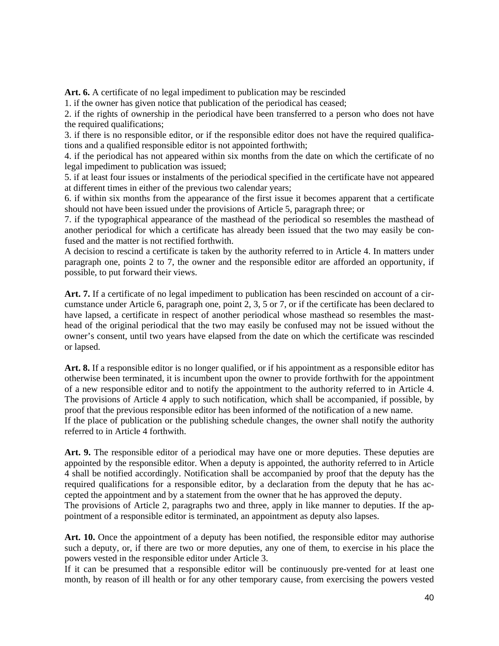**Art. 6.** A certificate of no legal impediment to publication may be rescinded

1. if the owner has given notice that publication of the periodical has ceased;

2. if the rights of ownership in the periodical have been transferred to a person who does not have the required qualifications;

3. if there is no responsible editor, or if the responsible editor does not have the required qualifications and a qualified responsible editor is not appointed forthwith;

4. if the periodical has not appeared within six months from the date on which the certificate of no legal impediment to publication was issued;

5. if at least four issues or instalments of the periodical specified in the certificate have not appeared at different times in either of the previous two calendar years;

6. if within six months from the appearance of the first issue it becomes apparent that a certificate should not have been issued under the provisions of Article 5, paragraph three; or

7. if the typographical appearance of the masthead of the periodical so resembles the masthead of another periodical for which a certificate has already been issued that the two may easily be confused and the matter is not rectified forthwith.

A decision to rescind a certificate is taken by the authority referred to in Article 4. In matters under paragraph one, points 2 to 7, the owner and the responsible editor are afforded an opportunity, if possible, to put forward their views.

**Art. 7.** If a certificate of no legal impediment to publication has been rescinded on account of a circumstance under Article 6, paragraph one, point 2, 3, 5 or 7, or if the certificate has been declared to have lapsed, a certificate in respect of another periodical whose masthead so resembles the masthead of the original periodical that the two may easily be confused may not be issued without the owner's consent, until two years have elapsed from the date on which the certificate was rescinded or lapsed.

**Art. 8.** If a responsible editor is no longer qualified, or if his appointment as a responsible editor has otherwise been terminated, it is incumbent upon the owner to provide forthwith for the appointment of a new responsible editor and to notify the appointment to the authority referred to in Article 4. The provisions of Article 4 apply to such notification, which shall be accompanied, if possible, by proof that the previous responsible editor has been informed of the notification of a new name. If the place of publication or the publishing schedule changes, the owner shall notify the authority referred to in Article 4 forthwith.

Art. 9. The responsible editor of a periodical may have one or more deputies. These deputies are appointed by the responsible editor. When a deputy is appointed, the authority referred to in Article 4 shall be notified accordingly. Notification shall be accompanied by proof that the deputy has the required qualifications for a responsible editor, by a declaration from the deputy that he has accepted the appointment and by a statement from the owner that he has approved the deputy.

The provisions of Article 2, paragraphs two and three, apply in like manner to deputies. If the appointment of a responsible editor is terminated, an appointment as deputy also lapses.

**Art. 10.** Once the appointment of a deputy has been notified, the responsible editor may authorise such a deputy, or, if there are two or more deputies, any one of them, to exercise in his place the powers vested in the responsible editor under Article 3.

If it can be presumed that a responsible editor will be continuously pre-vented for at least one month, by reason of ill health or for any other temporary cause, from exercising the powers vested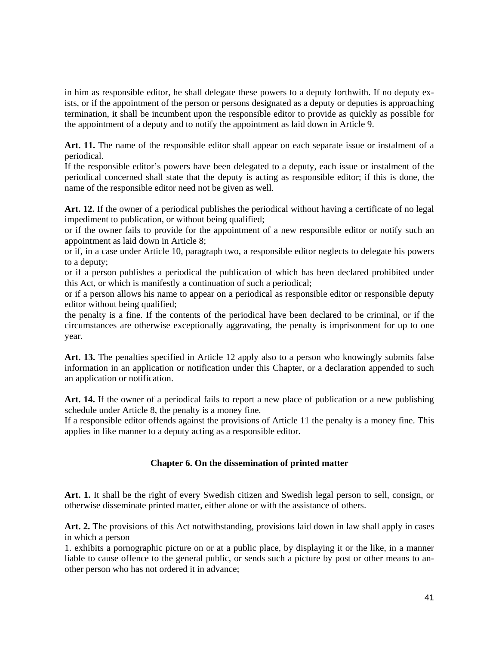in him as responsible editor, he shall delegate these powers to a deputy forthwith. If no deputy exists, or if the appointment of the person or persons designated as a deputy or deputies is approaching termination, it shall be incumbent upon the responsible editor to provide as quickly as possible for the appointment of a deputy and to notify the appointment as laid down in Article 9.

**Art. 11.** The name of the responsible editor shall appear on each separate issue or instalment of a periodical.

If the responsible editor's powers have been delegated to a deputy, each issue or instalment of the periodical concerned shall state that the deputy is acting as responsible editor; if this is done, the name of the responsible editor need not be given as well.

**Art. 12.** If the owner of a periodical publishes the periodical without having a certificate of no legal impediment to publication, or without being qualified;

or if the owner fails to provide for the appointment of a new responsible editor or notify such an appointment as laid down in Article 8;

or if, in a case under Article 10, paragraph two, a responsible editor neglects to delegate his powers to a deputy;

or if a person publishes a periodical the publication of which has been declared prohibited under this Act, or which is manifestly a continuation of such a periodical;

or if a person allows his name to appear on a periodical as responsible editor or responsible deputy editor without being qualified;

the penalty is a fine. If the contents of the periodical have been declared to be criminal, or if the circumstances are otherwise exceptionally aggravating, the penalty is imprisonment for up to one year.

**Art. 13.** The penalties specified in Article 12 apply also to a person who knowingly submits false information in an application or notification under this Chapter, or a declaration appended to such an application or notification.

**Art. 14.** If the owner of a periodical fails to report a new place of publication or a new publishing schedule under Article 8, the penalty is a money fine.

If a responsible editor offends against the provisions of Article 11 the penalty is a money fine. This applies in like manner to a deputy acting as a responsible editor.

### **Chapter 6. On the dissemination of printed matter**

**Art. 1.** It shall be the right of every Swedish citizen and Swedish legal person to sell, consign, or otherwise disseminate printed matter, either alone or with the assistance of others.

**Art. 2.** The provisions of this Act notwithstanding, provisions laid down in law shall apply in cases in which a person

1. exhibits a pornographic picture on or at a public place, by displaying it or the like, in a manner liable to cause offence to the general public, or sends such a picture by post or other means to another person who has not ordered it in advance;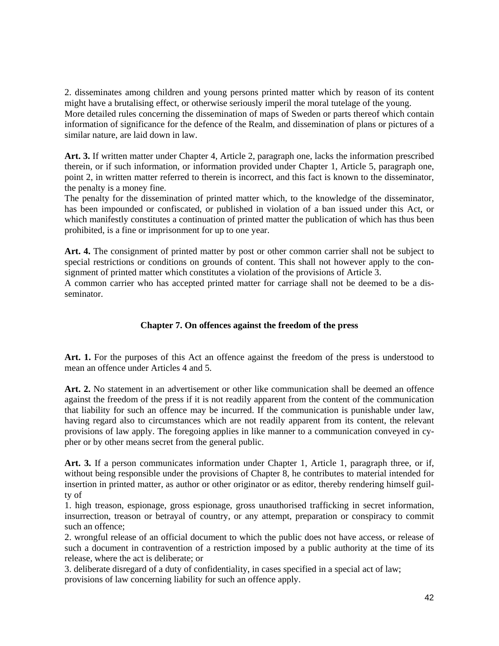2. disseminates among children and young persons printed matter which by reason of its content might have a brutalising effect, or otherwise seriously imperil the moral tutelage of the young. More detailed rules concerning the dissemination of maps of Sweden or parts thereof which contain information of significance for the defence of the Realm, and dissemination of plans or pictures of a similar nature, are laid down in law.

**Art. 3.** If written matter under Chapter 4, Article 2, paragraph one, lacks the information prescribed therein, or if such information, or information provided under Chapter 1, Article 5, paragraph one, point 2, in written matter referred to therein is incorrect, and this fact is known to the disseminator, the penalty is a money fine.

The penalty for the dissemination of printed matter which, to the knowledge of the disseminator, has been impounded or confiscated, or published in violation of a ban issued under this Act, or which manifestly constitutes a continuation of printed matter the publication of which has thus been prohibited, is a fine or imprisonment for up to one year.

Art. 4. The consignment of printed matter by post or other common carrier shall not be subject to special restrictions or conditions on grounds of content. This shall not however apply to the consignment of printed matter which constitutes a violation of the provisions of Article 3.

A common carrier who has accepted printed matter for carriage shall not be deemed to be a disseminator.

# **Chapter 7. On offences against the freedom of the press**

Art. 1. For the purposes of this Act an offence against the freedom of the press is understood to mean an offence under Articles 4 and 5.

**Art. 2.** No statement in an advertisement or other like communication shall be deemed an offence against the freedom of the press if it is not readily apparent from the content of the communication that liability for such an offence may be incurred. If the communication is punishable under law, having regard also to circumstances which are not readily apparent from its content, the relevant provisions of law apply. The foregoing applies in like manner to a communication conveyed in cypher or by other means secret from the general public.

**Art. 3.** If a person communicates information under Chapter 1, Article 1, paragraph three, or if, without being responsible under the provisions of Chapter 8, he contributes to material intended for insertion in printed matter, as author or other originator or as editor, thereby rendering himself guilty of

1. high treason, espionage, gross espionage, gross unauthorised trafficking in secret information, insurrection, treason or betrayal of country, or any attempt, preparation or conspiracy to commit such an offence;

2. wrongful release of an official document to which the public does not have access, or release of such a document in contravention of a restriction imposed by a public authority at the time of its release, where the act is deliberate; or

3. deliberate disregard of a duty of confidentiality, in cases specified in a special act of law; provisions of law concerning liability for such an offence apply.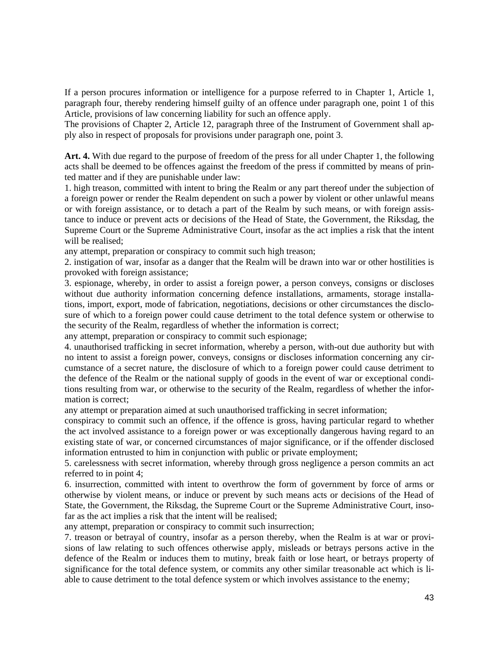If a person procures information or intelligence for a purpose referred to in Chapter 1, Article 1, paragraph four, thereby rendering himself guilty of an offence under paragraph one, point 1 of this Article, provisions of law concerning liability for such an offence apply.

The provisions of Chapter 2, Article 12, paragraph three of the Instrument of Government shall apply also in respect of proposals for provisions under paragraph one, point 3.

**Art. 4.** With due regard to the purpose of freedom of the press for all under Chapter 1, the following acts shall be deemed to be offences against the freedom of the press if committed by means of printed matter and if they are punishable under law:

1. high treason, committed with intent to bring the Realm or any part thereof under the subjection of a foreign power or render the Realm dependent on such a power by violent or other unlawful means or with foreign assistance, or to detach a part of the Realm by such means, or with foreign assistance to induce or prevent acts or decisions of the Head of State, the Government, the Riksdag, the Supreme Court or the Supreme Administrative Court, insofar as the act implies a risk that the intent will be realised;

any attempt, preparation or conspiracy to commit such high treason;

2. instigation of war, insofar as a danger that the Realm will be drawn into war or other hostilities is provoked with foreign assistance;

3. espionage, whereby, in order to assist a foreign power, a person conveys, consigns or discloses without due authority information concerning defence installations, armaments, storage installations, import, export, mode of fabrication, negotiations, decisions or other circumstances the disclosure of which to a foreign power could cause detriment to the total defence system or otherwise to the security of the Realm, regardless of whether the information is correct;

any attempt, preparation or conspiracy to commit such espionage;

4. unauthorised trafficking in secret information, whereby a person, with-out due authority but with no intent to assist a foreign power, conveys, consigns or discloses information concerning any circumstance of a secret nature, the disclosure of which to a foreign power could cause detriment to the defence of the Realm or the national supply of goods in the event of war or exceptional conditions resulting from war, or otherwise to the security of the Realm, regardless of whether the information is correct;

any attempt or preparation aimed at such unauthorised trafficking in secret information;

conspiracy to commit such an offence, if the offence is gross, having particular regard to whether the act involved assistance to a foreign power or was exceptionally dangerous having regard to an existing state of war, or concerned circumstances of major significance, or if the offender disclosed information entrusted to him in conjunction with public or private employment;

5. carelessness with secret information, whereby through gross negligence a person commits an act referred to in point 4;

6. insurrection, committed with intent to overthrow the form of government by force of arms or otherwise by violent means, or induce or prevent by such means acts or decisions of the Head of State, the Government, the Riksdag, the Supreme Court or the Supreme Administrative Court, insofar as the act implies a risk that the intent will be realised;

any attempt, preparation or conspiracy to commit such insurrection;

7. treason or betrayal of country, insofar as a person thereby, when the Realm is at war or provisions of law relating to such offences otherwise apply, misleads or betrays persons active in the defence of the Realm or induces them to mutiny, break faith or lose heart, or betrays property of significance for the total defence system, or commits any other similar treasonable act which is liable to cause detriment to the total defence system or which involves assistance to the enemy;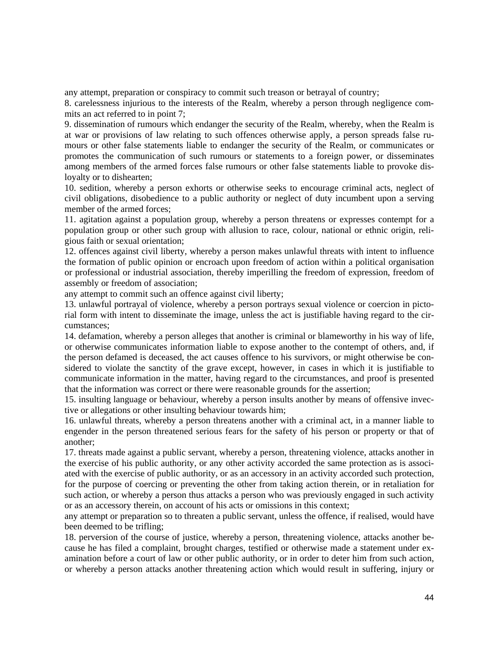any attempt, preparation or conspiracy to commit such treason or betrayal of country;

8. carelessness injurious to the interests of the Realm, whereby a person through negligence commits an act referred to in point 7;

9. dissemination of rumours which endanger the security of the Realm, whereby, when the Realm is at war or provisions of law relating to such offences otherwise apply, a person spreads false rumours or other false statements liable to endanger the security of the Realm, or communicates or promotes the communication of such rumours or statements to a foreign power, or disseminates among members of the armed forces false rumours or other false statements liable to provoke disloyalty or to dishearten;

10. sedition, whereby a person exhorts or otherwise seeks to encourage criminal acts, neglect of civil obligations, disobedience to a public authority or neglect of duty incumbent upon a serving member of the armed forces;

11. agitation against a population group, whereby a person threatens or expresses contempt for a population group or other such group with allusion to race, colour, national or ethnic origin, religious faith or sexual orientation;

12. offences against civil liberty, whereby a person makes unlawful threats with intent to influence the formation of public opinion or encroach upon freedom of action within a political organisation or professional or industrial association, thereby imperilling the freedom of expression, freedom of assembly or freedom of association;

any attempt to commit such an offence against civil liberty;

13. unlawful portrayal of violence, whereby a person portrays sexual violence or coercion in pictorial form with intent to disseminate the image, unless the act is justifiable having regard to the circumstances;

14. defamation, whereby a person alleges that another is criminal or blameworthy in his way of life, or otherwise communicates information liable to expose another to the contempt of others, and, if the person defamed is deceased, the act causes offence to his survivors, or might otherwise be considered to violate the sanctity of the grave except, however, in cases in which it is justifiable to communicate information in the matter, having regard to the circumstances, and proof is presented that the information was correct or there were reasonable grounds for the assertion;

15. insulting language or behaviour, whereby a person insults another by means of offensive invective or allegations or other insulting behaviour towards him;

16. unlawful threats, whereby a person threatens another with a criminal act, in a manner liable to engender in the person threatened serious fears for the safety of his person or property or that of another;

17. threats made against a public servant, whereby a person, threatening violence, attacks another in the exercise of his public authority, or any other activity accorded the same protection as is associated with the exercise of public authority, or as an accessory in an activity accorded such protection, for the purpose of coercing or preventing the other from taking action therein, or in retaliation for such action, or whereby a person thus attacks a person who was previously engaged in such activity or as an accessory therein, on account of his acts or omissions in this context;

any attempt or preparation so to threaten a public servant, unless the offence, if realised, would have been deemed to be trifling;

18. perversion of the course of justice, whereby a person, threatening violence, attacks another because he has filed a complaint, brought charges, testified or otherwise made a statement under examination before a court of law or other public authority, or in order to deter him from such action, or whereby a person attacks another threatening action which would result in suffering, injury or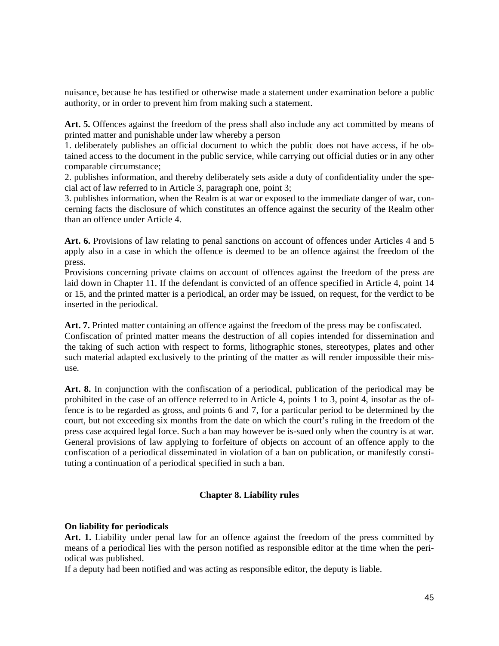nuisance, because he has testified or otherwise made a statement under examination before a public authority, or in order to prevent him from making such a statement.

**Art. 5.** Offences against the freedom of the press shall also include any act committed by means of printed matter and punishable under law whereby a person

1. deliberately publishes an official document to which the public does not have access, if he obtained access to the document in the public service, while carrying out official duties or in any other comparable circumstance;

2. publishes information, and thereby deliberately sets aside a duty of confidentiality under the special act of law referred to in Article 3, paragraph one, point 3;

3. publishes information, when the Realm is at war or exposed to the immediate danger of war, concerning facts the disclosure of which constitutes an offence against the security of the Realm other than an offence under Article 4.

**Art. 6.** Provisions of law relating to penal sanctions on account of offences under Articles 4 and 5 apply also in a case in which the offence is deemed to be an offence against the freedom of the press.

Provisions concerning private claims on account of offences against the freedom of the press are laid down in Chapter 11. If the defendant is convicted of an offence specified in Article 4, point 14 or 15, and the printed matter is a periodical, an order may be issued, on request, for the verdict to be inserted in the periodical.

**Art. 7.** Printed matter containing an offence against the freedom of the press may be confiscated. Confiscation of printed matter means the destruction of all copies intended for dissemination and the taking of such action with respect to forms, lithographic stones, stereotypes, plates and other such material adapted exclusively to the printing of the matter as will render impossible their misuse.

**Art. 8.** In conjunction with the confiscation of a periodical, publication of the periodical may be prohibited in the case of an offence referred to in Article 4, points 1 to 3, point 4, insofar as the offence is to be regarded as gross, and points 6 and 7, for a particular period to be determined by the court, but not exceeding six months from the date on which the court's ruling in the freedom of the press case acquired legal force. Such a ban may however be is-sued only when the country is at war. General provisions of law applying to forfeiture of objects on account of an offence apply to the confiscation of a periodical disseminated in violation of a ban on publication, or manifestly constituting a continuation of a periodical specified in such a ban.

### **Chapter 8. Liability rules**

#### **On liability for periodicals**

**Art. 1.** Liability under penal law for an offence against the freedom of the press committed by means of a periodical lies with the person notified as responsible editor at the time when the periodical was published.

If a deputy had been notified and was acting as responsible editor, the deputy is liable.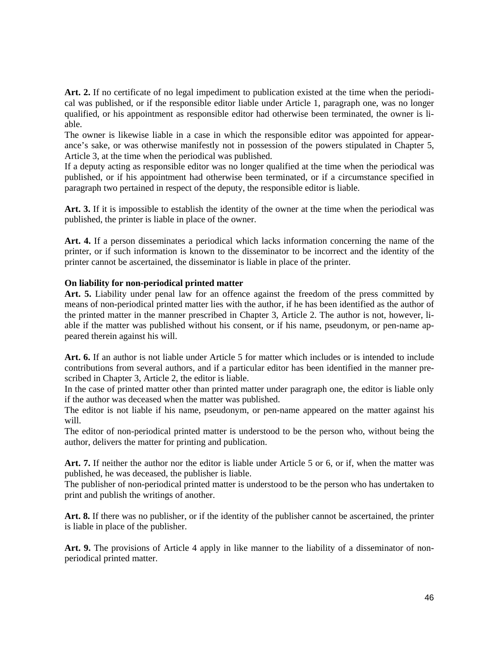**Art. 2.** If no certificate of no legal impediment to publication existed at the time when the periodical was published, or if the responsible editor liable under Article 1, paragraph one, was no longer qualified, or his appointment as responsible editor had otherwise been terminated, the owner is liable.

The owner is likewise liable in a case in which the responsible editor was appointed for appearance's sake, or was otherwise manifestly not in possession of the powers stipulated in Chapter 5, Article 3, at the time when the periodical was published.

If a deputy acting as responsible editor was no longer qualified at the time when the periodical was published, or if his appointment had otherwise been terminated, or if a circumstance specified in paragraph two pertained in respect of the deputy, the responsible editor is liable.

**Art. 3.** If it is impossible to establish the identity of the owner at the time when the periodical was published, the printer is liable in place of the owner.

**Art. 4.** If a person disseminates a periodical which lacks information concerning the name of the printer, or if such information is known to the disseminator to be incorrect and the identity of the printer cannot be ascertained, the disseminator is liable in place of the printer.

### **On liability for non-periodical printed matter**

**Art. 5.** Liability under penal law for an offence against the freedom of the press committed by means of non-periodical printed matter lies with the author, if he has been identified as the author of the printed matter in the manner prescribed in Chapter 3, Article 2. The author is not, however, liable if the matter was published without his consent, or if his name, pseudonym, or pen-name appeared therein against his will.

**Art. 6.** If an author is not liable under Article 5 for matter which includes or is intended to include contributions from several authors, and if a particular editor has been identified in the manner prescribed in Chapter 3, Article 2, the editor is liable.

In the case of printed matter other than printed matter under paragraph one, the editor is liable only if the author was deceased when the matter was published.

The editor is not liable if his name, pseudonym, or pen-name appeared on the matter against his will.

The editor of non-periodical printed matter is understood to be the person who, without being the author, delivers the matter for printing and publication.

**Art. 7.** If neither the author nor the editor is liable under Article 5 or 6, or if, when the matter was published, he was deceased, the publisher is liable.

The publisher of non-periodical printed matter is understood to be the person who has undertaken to print and publish the writings of another.

Art. 8. If there was no publisher, or if the identity of the publisher cannot be ascertained, the printer is liable in place of the publisher.

**Art. 9.** The provisions of Article 4 apply in like manner to the liability of a disseminator of nonperiodical printed matter.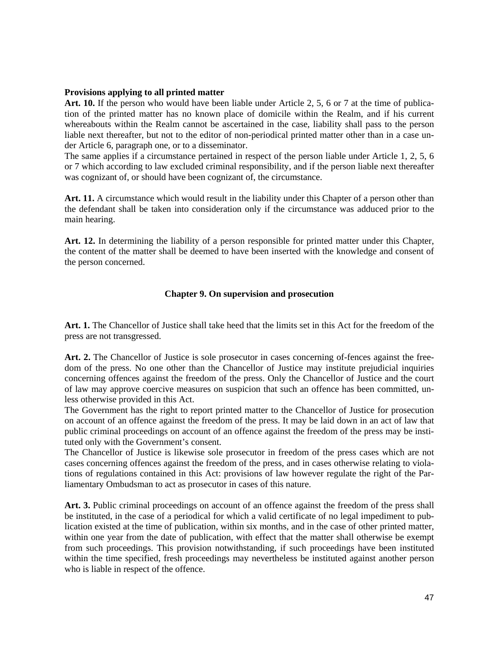### **Provisions applying to all printed matter**

**Art. 10.** If the person who would have been liable under Article 2, 5, 6 or 7 at the time of publication of the printed matter has no known place of domicile within the Realm, and if his current whereabouts within the Realm cannot be ascertained in the case, liability shall pass to the person liable next thereafter, but not to the editor of non-periodical printed matter other than in a case under Article 6, paragraph one, or to a disseminator.

The same applies if a circumstance pertained in respect of the person liable under Article 1, 2, 5, 6 or 7 which according to law excluded criminal responsibility, and if the person liable next thereafter was cognizant of, or should have been cognizant of, the circumstance.

Art. 11. A circumstance which would result in the liability under this Chapter of a person other than the defendant shall be taken into consideration only if the circumstance was adduced prior to the main hearing.

Art. 12. In determining the liability of a person responsible for printed matter under this Chapter, the content of the matter shall be deemed to have been inserted with the knowledge and consent of the person concerned.

## **Chapter 9. On supervision and prosecution**

**Art. 1.** The Chancellor of Justice shall take heed that the limits set in this Act for the freedom of the press are not transgressed.

Art. 2. The Chancellor of Justice is sole prosecutor in cases concerning of-fences against the freedom of the press. No one other than the Chancellor of Justice may institute prejudicial inquiries concerning offences against the freedom of the press. Only the Chancellor of Justice and the court of law may approve coercive measures on suspicion that such an offence has been committed, unless otherwise provided in this Act.

The Government has the right to report printed matter to the Chancellor of Justice for prosecution on account of an offence against the freedom of the press. It may be laid down in an act of law that public criminal proceedings on account of an offence against the freedom of the press may be instituted only with the Government's consent.

The Chancellor of Justice is likewise sole prosecutor in freedom of the press cases which are not cases concerning offences against the freedom of the press, and in cases otherwise relating to violations of regulations contained in this Act: provisions of law however regulate the right of the Parliamentary Ombudsman to act as prosecutor in cases of this nature.

Art. 3. Public criminal proceedings on account of an offence against the freedom of the press shall be instituted, in the case of a periodical for which a valid certificate of no legal impediment to publication existed at the time of publication, within six months, and in the case of other printed matter, within one year from the date of publication, with effect that the matter shall otherwise be exempt from such proceedings. This provision notwithstanding, if such proceedings have been instituted within the time specified, fresh proceedings may nevertheless be instituted against another person who is liable in respect of the offence.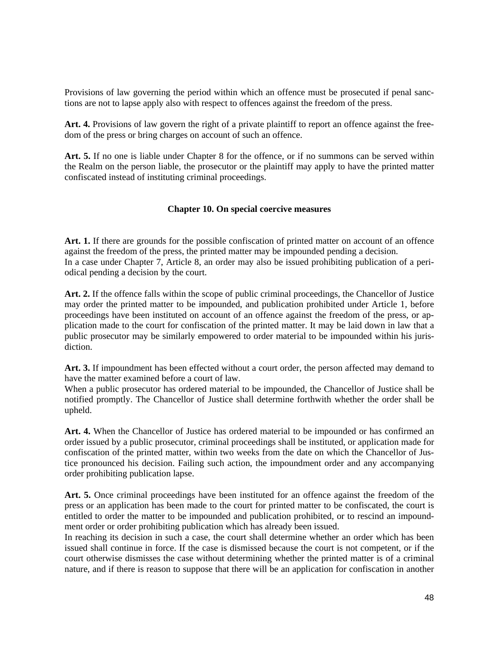Provisions of law governing the period within which an offence must be prosecuted if penal sanctions are not to lapse apply also with respect to offences against the freedom of the press.

**Art. 4.** Provisions of law govern the right of a private plaintiff to report an offence against the freedom of the press or bring charges on account of such an offence.

**Art. 5.** If no one is liable under Chapter 8 for the offence, or if no summons can be served within the Realm on the person liable, the prosecutor or the plaintiff may apply to have the printed matter confiscated instead of instituting criminal proceedings.

### **Chapter 10. On special coercive measures**

Art. 1. If there are grounds for the possible confiscation of printed matter on account of an offence against the freedom of the press, the printed matter may be impounded pending a decision. In a case under Chapter 7, Article 8, an order may also be issued prohibiting publication of a periodical pending a decision by the court.

**Art. 2.** If the offence falls within the scope of public criminal proceedings, the Chancellor of Justice may order the printed matter to be impounded, and publication prohibited under Article 1, before proceedings have been instituted on account of an offence against the freedom of the press, or application made to the court for confiscation of the printed matter. It may be laid down in law that a public prosecutor may be similarly empowered to order material to be impounded within his jurisdiction.

**Art. 3.** If impoundment has been effected without a court order, the person affected may demand to have the matter examined before a court of law.

When a public prosecutor has ordered material to be impounded, the Chancellor of Justice shall be notified promptly. The Chancellor of Justice shall determine forthwith whether the order shall be upheld.

**Art. 4.** When the Chancellor of Justice has ordered material to be impounded or has confirmed an order issued by a public prosecutor, criminal proceedings shall be instituted, or application made for confiscation of the printed matter, within two weeks from the date on which the Chancellor of Justice pronounced his decision. Failing such action, the impoundment order and any accompanying order prohibiting publication lapse.

**Art. 5.** Once criminal proceedings have been instituted for an offence against the freedom of the press or an application has been made to the court for printed matter to be confiscated, the court is entitled to order the matter to be impounded and publication prohibited, or to rescind an impoundment order or order prohibiting publication which has already been issued.

In reaching its decision in such a case, the court shall determine whether an order which has been issued shall continue in force. If the case is dismissed because the court is not competent, or if the court otherwise dismisses the case without determining whether the printed matter is of a criminal nature, and if there is reason to suppose that there will be an application for confiscation in another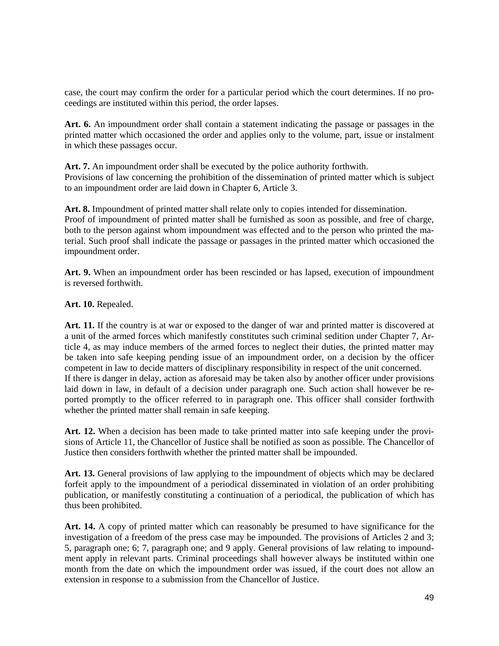case, the court may confirm the order for a particular period which the court determines. If no proceedings are instituted within this period, the order lapses.

**Art. 6.** An impoundment order shall contain a statement indicating the passage or passages in the printed matter which occasioned the order and applies only to the volume, part, issue or instalment in which these passages occur.

**Art. 7.** An impoundment order shall be executed by the police authority forthwith. Provisions of law concerning the prohibition of the dissemination of printed matter which is subject to an impoundment order are laid down in Chapter 6, Article 3.

**Art. 8.** Impoundment of printed matter shall relate only to copies intended for dissemination. Proof of impoundment of printed matter shall be furnished as soon as possible, and free of charge, both to the person against whom impoundment was effected and to the person who printed the material. Such proof shall indicate the passage or passages in the printed matter which occasioned the impoundment order.

**Art. 9.** When an impoundment order has been rescinded or has lapsed, execution of impoundment is reversed forthwith.

**Art. 10.** Repealed.

**Art. 11.** If the country is at war or exposed to the danger of war and printed matter is discovered at a unit of the armed forces which manifestly constitutes such criminal sedition under Chapter 7, Article 4, as may induce members of the armed forces to neglect their duties, the printed matter may be taken into safe keeping pending issue of an impoundment order, on a decision by the officer competent in law to decide matters of disciplinary responsibility in respect of the unit concerned. If there is danger in delay, action as aforesaid may be taken also by another officer under provisions laid down in law, in default of a decision under paragraph one. Such action shall however be reported promptly to the officer referred to in paragraph one. This officer shall consider forthwith whether the printed matter shall remain in safe keeping.

**Art. 12.** When a decision has been made to take printed matter into safe keeping under the provisions of Article 11, the Chancellor of Justice shall be notified as soon as possible. The Chancellor of Justice then considers forthwith whether the printed matter shall be impounded.

**Art. 13.** General provisions of law applying to the impoundment of objects which may be declared forfeit apply to the impoundment of a periodical disseminated in violation of an order prohibiting publication, or manifestly constituting a continuation of a periodical, the publication of which has thus been prohibited.

**Art. 14.** A copy of printed matter which can reasonably be presumed to have significance for the investigation of a freedom of the press case may be impounded. The provisions of Articles 2 and 3; 5, paragraph one; 6; 7, paragraph one; and 9 apply. General provisions of law relating to impoundment apply in relevant parts. Criminal proceedings shall however always be instituted within one month from the date on which the impoundment order was issued, if the court does not allow an extension in response to a submission from the Chancellor of Justice.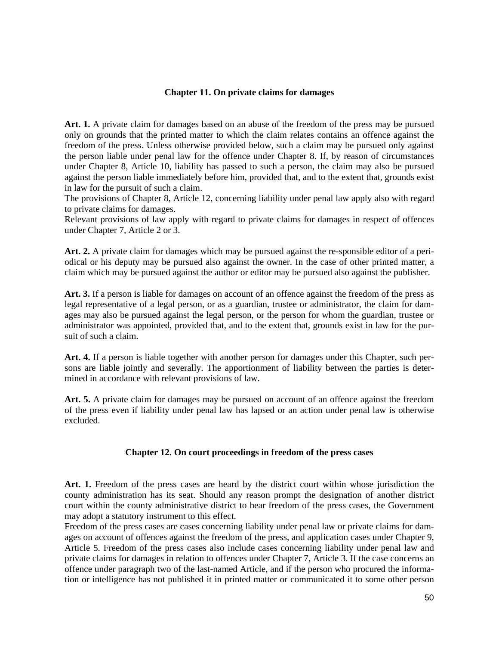### **Chapter 11. On private claims for damages**

**Art. 1.** A private claim for damages based on an abuse of the freedom of the press may be pursued only on grounds that the printed matter to which the claim relates contains an offence against the freedom of the press. Unless otherwise provided below, such a claim may be pursued only against the person liable under penal law for the offence under Chapter 8. If, by reason of circumstances under Chapter 8, Article 10, liability has passed to such a person, the claim may also be pursued against the person liable immediately before him, provided that, and to the extent that, grounds exist in law for the pursuit of such a claim.

The provisions of Chapter 8, Article 12, concerning liability under penal law apply also with regard to private claims for damages.

Relevant provisions of law apply with regard to private claims for damages in respect of offences under Chapter 7, Article 2 or 3.

**Art. 2.** A private claim for damages which may be pursued against the re-sponsible editor of a periodical or his deputy may be pursued also against the owner. In the case of other printed matter, a claim which may be pursued against the author or editor may be pursued also against the publisher.

**Art. 3.** If a person is liable for damages on account of an offence against the freedom of the press as legal representative of a legal person, or as a guardian, trustee or administrator, the claim for damages may also be pursued against the legal person, or the person for whom the guardian, trustee or administrator was appointed, provided that, and to the extent that, grounds exist in law for the pursuit of such a claim.

**Art. 4.** If a person is liable together with another person for damages under this Chapter, such persons are liable jointly and severally. The apportionment of liability between the parties is determined in accordance with relevant provisions of law.

**Art. 5.** A private claim for damages may be pursued on account of an offence against the freedom of the press even if liability under penal law has lapsed or an action under penal law is otherwise excluded.

### **Chapter 12. On court proceedings in freedom of the press cases**

**Art. 1.** Freedom of the press cases are heard by the district court within whose jurisdiction the county administration has its seat. Should any reason prompt the designation of another district court within the county administrative district to hear freedom of the press cases, the Government may adopt a statutory instrument to this effect.

Freedom of the press cases are cases concerning liability under penal law or private claims for damages on account of offences against the freedom of the press, and application cases under Chapter 9, Article 5. Freedom of the press cases also include cases concerning liability under penal law and private claims for damages in relation to offences under Chapter 7, Article 3. If the case concerns an offence under paragraph two of the last-named Article, and if the person who procured the information or intelligence has not published it in printed matter or communicated it to some other person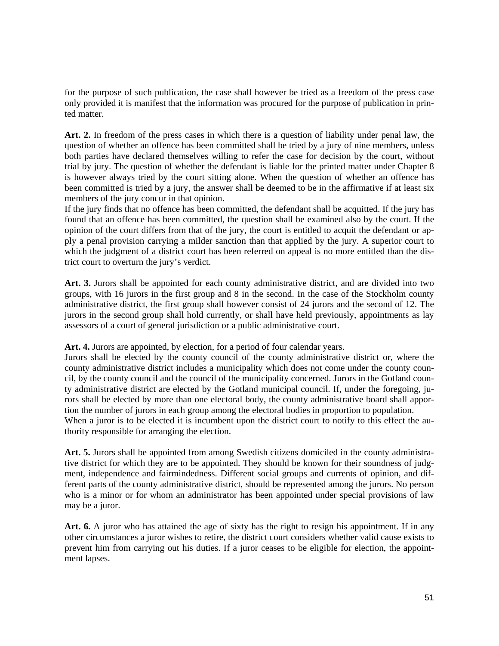for the purpose of such publication, the case shall however be tried as a freedom of the press case only provided it is manifest that the information was procured for the purpose of publication in printed matter.

**Art. 2.** In freedom of the press cases in which there is a question of liability under penal law, the question of whether an offence has been committed shall be tried by a jury of nine members, unless both parties have declared themselves willing to refer the case for decision by the court, without trial by jury. The question of whether the defendant is liable for the printed matter under Chapter 8 is however always tried by the court sitting alone. When the question of whether an offence has been committed is tried by a jury, the answer shall be deemed to be in the affirmative if at least six members of the jury concur in that opinion.

If the jury finds that no offence has been committed, the defendant shall be acquitted. If the jury has found that an offence has been committed, the question shall be examined also by the court. If the opinion of the court differs from that of the jury, the court is entitled to acquit the defendant or apply a penal provision carrying a milder sanction than that applied by the jury. A superior court to which the judgment of a district court has been referred on appeal is no more entitled than the district court to overturn the jury's verdict.

**Art. 3.** Jurors shall be appointed for each county administrative district, and are divided into two groups, with 16 jurors in the first group and 8 in the second. In the case of the Stockholm county administrative district, the first group shall however consist of 24 jurors and the second of 12. The jurors in the second group shall hold currently, or shall have held previously, appointments as lay assessors of a court of general jurisdiction or a public administrative court.

Art. 4. Jurors are appointed, by election, for a period of four calendar years.

Jurors shall be elected by the county council of the county administrative district or, where the county administrative district includes a municipality which does not come under the county council, by the county council and the council of the municipality concerned. Jurors in the Gotland county administrative district are elected by the Gotland municipal council. If, under the foregoing, jurors shall be elected by more than one electoral body, the county administrative board shall apportion the number of jurors in each group among the electoral bodies in proportion to population. When a juror is to be elected it is incumbent upon the district court to notify to this effect the authority responsible for arranging the election.

**Art. 5.** Jurors shall be appointed from among Swedish citizens domiciled in the county administrative district for which they are to be appointed. They should be known for their soundness of judgment, independence and fairmindedness. Different social groups and currents of opinion, and different parts of the county administrative district, should be represented among the jurors. No person who is a minor or for whom an administrator has been appointed under special provisions of law may be a juror.

**Art. 6.** A juror who has attained the age of sixty has the right to resign his appointment. If in any other circumstances a juror wishes to retire, the district court considers whether valid cause exists to prevent him from carrying out his duties. If a juror ceases to be eligible for election, the appointment lapses.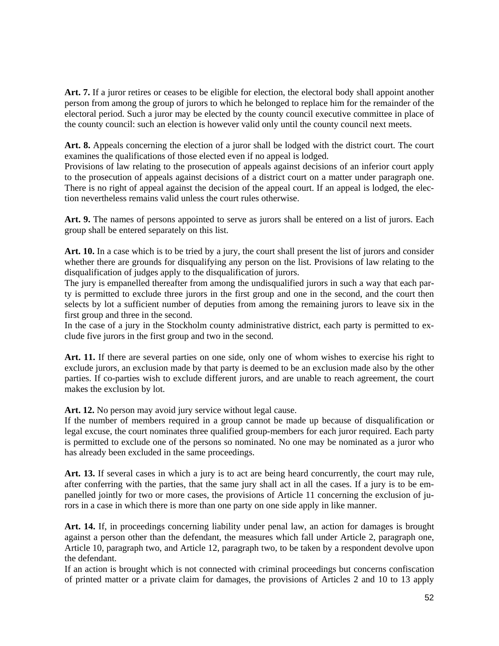Art. 7. If a juror retires or ceases to be eligible for election, the electoral body shall appoint another person from among the group of jurors to which he belonged to replace him for the remainder of the electoral period. Such a juror may be elected by the county council executive committee in place of the county council: such an election is however valid only until the county council next meets.

**Art. 8.** Appeals concerning the election of a juror shall be lodged with the district court. The court examines the qualifications of those elected even if no appeal is lodged.

Provisions of law relating to the prosecution of appeals against decisions of an inferior court apply to the prosecution of appeals against decisions of a district court on a matter under paragraph one. There is no right of appeal against the decision of the appeal court. If an appeal is lodged, the election nevertheless remains valid unless the court rules otherwise.

**Art. 9.** The names of persons appointed to serve as jurors shall be entered on a list of jurors. Each group shall be entered separately on this list.

**Art. 10.** In a case which is to be tried by a jury, the court shall present the list of jurors and consider whether there are grounds for disqualifying any person on the list. Provisions of law relating to the disqualification of judges apply to the disqualification of jurors.

The jury is empanelled thereafter from among the undisqualified jurors in such a way that each party is permitted to exclude three jurors in the first group and one in the second, and the court then selects by lot a sufficient number of deputies from among the remaining jurors to leave six in the first group and three in the second.

In the case of a jury in the Stockholm county administrative district, each party is permitted to exclude five jurors in the first group and two in the second.

Art. 11. If there are several parties on one side, only one of whom wishes to exercise his right to exclude jurors, an exclusion made by that party is deemed to be an exclusion made also by the other parties. If co-parties wish to exclude different jurors, and are unable to reach agreement, the court makes the exclusion by lot.

**Art. 12.** No person may avoid jury service without legal cause.

If the number of members required in a group cannot be made up because of disqualification or legal excuse, the court nominates three qualified group-members for each juror required. Each party is permitted to exclude one of the persons so nominated. No one may be nominated as a juror who has already been excluded in the same proceedings.

**Art. 13.** If several cases in which a jury is to act are being heard concurrently, the court may rule, after conferring with the parties, that the same jury shall act in all the cases. If a jury is to be empanelled jointly for two or more cases, the provisions of Article 11 concerning the exclusion of jurors in a case in which there is more than one party on one side apply in like manner.

Art. 14. If, in proceedings concerning liability under penal law, an action for damages is brought against a person other than the defendant, the measures which fall under Article 2, paragraph one, Article 10, paragraph two, and Article 12, paragraph two, to be taken by a respondent devolve upon the defendant.

If an action is brought which is not connected with criminal proceedings but concerns confiscation of printed matter or a private claim for damages, the provisions of Articles 2 and 10 to 13 apply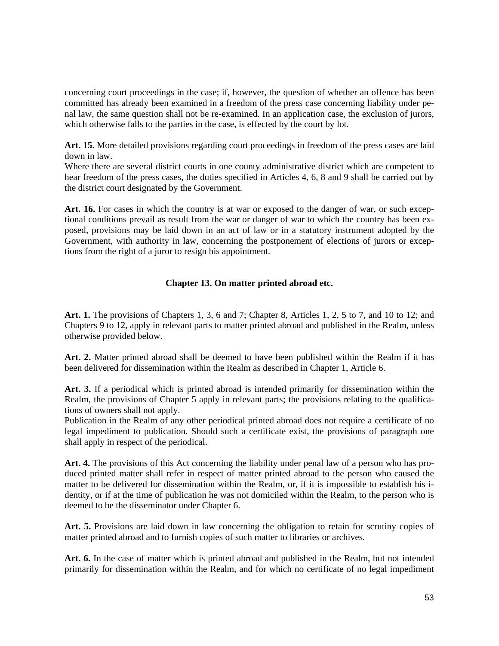concerning court proceedings in the case; if, however, the question of whether an offence has been committed has already been examined in a freedom of the press case concerning liability under penal law, the same question shall not be re-examined. In an application case, the exclusion of jurors, which otherwise falls to the parties in the case, is effected by the court by lot.

**Art. 15.** More detailed provisions regarding court proceedings in freedom of the press cases are laid down in law.

Where there are several district courts in one county administrative district which are competent to hear freedom of the press cases, the duties specified in Articles 4, 6, 8 and 9 shall be carried out by the district court designated by the Government.

Art. 16. For cases in which the country is at war or exposed to the danger of war, or such exceptional conditions prevail as result from the war or danger of war to which the country has been exposed, provisions may be laid down in an act of law or in a statutory instrument adopted by the Government, with authority in law, concerning the postponement of elections of jurors or exceptions from the right of a juror to resign his appointment.

### **Chapter 13. On matter printed abroad etc.**

**Art. 1.** The provisions of Chapters 1, 3, 6 and 7; Chapter 8, Articles 1, 2, 5 to 7, and 10 to 12; and Chapters 9 to 12, apply in relevant parts to matter printed abroad and published in the Realm, unless otherwise provided below.

**Art. 2.** Matter printed abroad shall be deemed to have been published within the Realm if it has been delivered for dissemination within the Realm as described in Chapter 1, Article 6.

**Art. 3.** If a periodical which is printed abroad is intended primarily for dissemination within the Realm, the provisions of Chapter 5 apply in relevant parts; the provisions relating to the qualifications of owners shall not apply.

Publication in the Realm of any other periodical printed abroad does not require a certificate of no legal impediment to publication. Should such a certificate exist, the provisions of paragraph one shall apply in respect of the periodical.

**Art. 4.** The provisions of this Act concerning the liability under penal law of a person who has produced printed matter shall refer in respect of matter printed abroad to the person who caused the matter to be delivered for dissemination within the Realm, or, if it is impossible to establish his identity, or if at the time of publication he was not domiciled within the Realm, to the person who is deemed to be the disseminator under Chapter 6.

**Art. 5.** Provisions are laid down in law concerning the obligation to retain for scrutiny copies of matter printed abroad and to furnish copies of such matter to libraries or archives.

**Art. 6.** In the case of matter which is printed abroad and published in the Realm, but not intended primarily for dissemination within the Realm, and for which no certificate of no legal impediment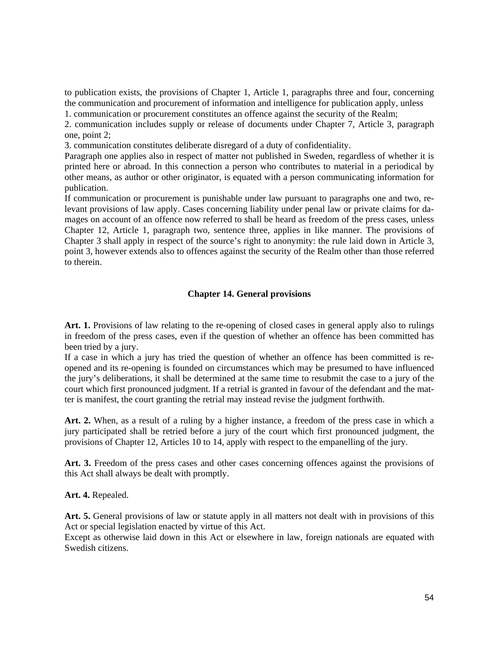to publication exists, the provisions of Chapter 1, Article 1, paragraphs three and four, concerning the communication and procurement of information and intelligence for publication apply, unless

1. communication or procurement constitutes an offence against the security of the Realm;

2. communication includes supply or release of documents under Chapter 7, Article 3, paragraph one, point 2;

3. communication constitutes deliberate disregard of a duty of confidentiality.

Paragraph one applies also in respect of matter not published in Sweden, regardless of whether it is printed here or abroad. In this connection a person who contributes to material in a periodical by other means, as author or other originator, is equated with a person communicating information for publication.

If communication or procurement is punishable under law pursuant to paragraphs one and two, relevant provisions of law apply. Cases concerning liability under penal law or private claims for damages on account of an offence now referred to shall be heard as freedom of the press cases, unless Chapter 12, Article 1, paragraph two, sentence three, applies in like manner. The provisions of Chapter 3 shall apply in respect of the source's right to anonymity: the rule laid down in Article 3, point 3, however extends also to offences against the security of the Realm other than those referred to therein.

### **Chapter 14. General provisions**

**Art. 1.** Provisions of law relating to the re-opening of closed cases in general apply also to rulings in freedom of the press cases, even if the question of whether an offence has been committed has been tried by a jury.

If a case in which a jury has tried the question of whether an offence has been committed is reopened and its re-opening is founded on circumstances which may be presumed to have influenced the jury's deliberations, it shall be determined at the same time to resubmit the case to a jury of the court which first pronounced judgment. If a retrial is granted in favour of the defendant and the matter is manifest, the court granting the retrial may instead revise the judgment forthwith.

**Art. 2.** When, as a result of a ruling by a higher instance, a freedom of the press case in which a jury participated shall be retried before a jury of the court which first pronounced judgment, the provisions of Chapter 12, Articles 10 to 14, apply with respect to the empanelling of the jury.

**Art. 3.** Freedom of the press cases and other cases concerning offences against the provisions of this Act shall always be dealt with promptly.

**Art. 4.** Repealed.

**Art. 5.** General provisions of law or statute apply in all matters not dealt with in provisions of this Act or special legislation enacted by virtue of this Act.

Except as otherwise laid down in this Act or elsewhere in law, foreign nationals are equated with Swedish citizens.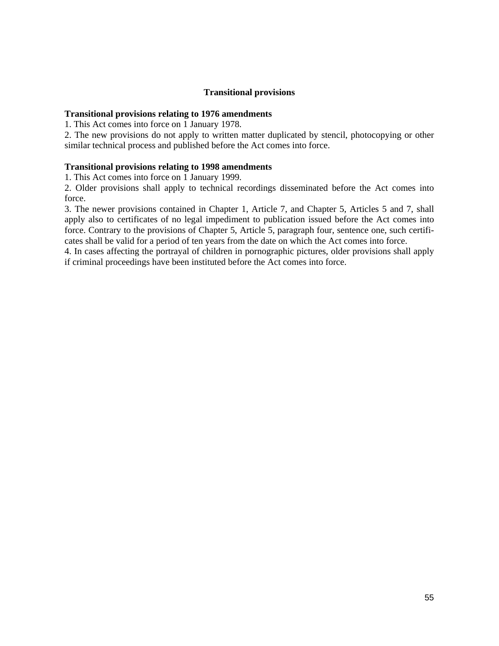### **Transitional provisions**

### **Transitional provisions relating to 1976 amendments**

1. This Act comes into force on 1 January 1978.

2. The new provisions do not apply to written matter duplicated by stencil, photocopying or other similar technical process and published before the Act comes into force.

## **Transitional provisions relating to 1998 amendments**

1. This Act comes into force on 1 January 1999.

2. Older provisions shall apply to technical recordings disseminated before the Act comes into force.

3. The newer provisions contained in Chapter 1, Article 7, and Chapter 5, Articles 5 and 7, shall apply also to certificates of no legal impediment to publication issued before the Act comes into force. Contrary to the provisions of Chapter 5, Article 5, paragraph four, sentence one, such certificates shall be valid for a period of ten years from the date on which the Act comes into force.

4. In cases affecting the portrayal of children in pornographic pictures, older provisions shall apply if criminal proceedings have been instituted before the Act comes into force.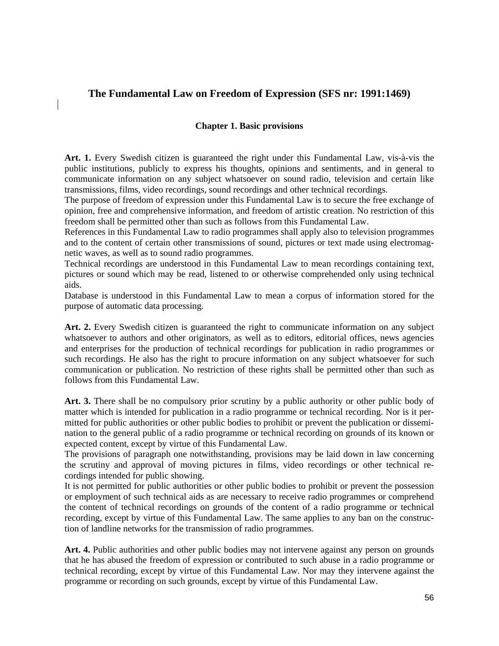# **The Fundamental Law on Freedom of Expression (SFS nr: 1991:1469)**

### **Chapter 1. Basic provisions**

**Art. 1.** Every Swedish citizen is guaranteed the right under this Fundamental Law, vis-à-vis the public institutions, publicly to express his thoughts, opinions and sentiments, and in general to communicate information on any subject whatsoever on sound radio, television and certain like transmissions, films, video recordings, sound recordings and other technical recordings.

The purpose of freedom of expression under this Fundamental Law is to secure the free exchange of opinion, free and comprehensive information, and freedom of artistic creation. No restriction of this freedom shall be permitted other than such as follows from this Fundamental Law.

References in this Fundamental Law to radio programmes shall apply also to television programmes and to the content of certain other transmissions of sound, pictures or text made using electromagnetic waves, as well as to sound radio programmes.

Technical recordings are understood in this Fundamental Law to mean recordings containing text, pictures or sound which may be read, listened to or otherwise comprehended only using technical aids.

Database is understood in this Fundamental Law to mean a corpus of information stored for the purpose of automatic data processing.

Art. 2. Every Swedish citizen is guaranteed the right to communicate information on any subject whatsoever to authors and other originators, as well as to editors, editorial offices, news agencies and enterprises for the production of technical recordings for publication in radio programmes or such recordings. He also has the right to procure information on any subject whatsoever for such communication or publication. No restriction of these rights shall be permitted other than such as follows from this Fundamental Law.

Art. 3. There shall be no compulsory prior scrutiny by a public authority or other public body of matter which is intended for publication in a radio programme or technical recording. Nor is it permitted for public authorities or other public bodies to prohibit or prevent the publication or dissemination to the general public of a radio programme or technical recording on grounds of its known or expected content, except by virtue of this Fundamental Law.

The provisions of paragraph one notwithstanding, provisions may be laid down in law concerning the scrutiny and approval of moving pictures in films, video recordings or other technical recordings intended for public showing.

It is not permitted for public authorities or other public bodies to prohibit or prevent the possession or employment of such technical aids as are necessary to receive radio programmes or comprehend the content of technical recordings on grounds of the content of a radio programme or technical recording, except by virtue of this Fundamental Law. The same applies to any ban on the construction of landline networks for the transmission of radio programmes.

Art. 4. Public authorities and other public bodies may not intervene against any person on grounds that he has abused the freedom of expression or contributed to such abuse in a radio programme or technical recording, except by virtue of this Fundamental Law. Nor may they intervene against the programme or recording on such grounds, except by virtue of this Fundamental Law.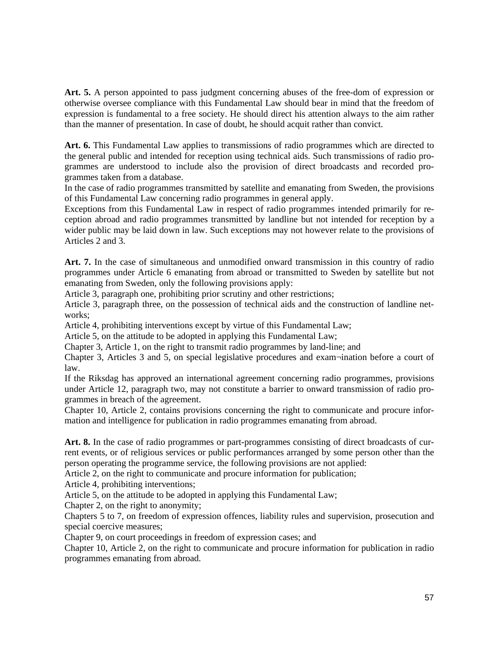**Art. 5.** A person appointed to pass judgment concerning abuses of the free-dom of expression or otherwise oversee compliance with this Fundamental Law should bear in mind that the freedom of expression is fundamental to a free society. He should direct his attention always to the aim rather than the manner of presentation. In case of doubt, he should acquit rather than convict.

**Art. 6.** This Fundamental Law applies to transmissions of radio programmes which are directed to the general public and intended for reception using technical aids. Such transmissions of radio programmes are understood to include also the provision of direct broadcasts and recorded programmes taken from a database.

In the case of radio programmes transmitted by satellite and emanating from Sweden, the provisions of this Fundamental Law concerning radio programmes in general apply.

Exceptions from this Fundamental Law in respect of radio programmes intended primarily for reception abroad and radio programmes transmitted by landline but not intended for reception by a wider public may be laid down in law. Such exceptions may not however relate to the provisions of Articles 2 and 3.

**Art. 7.** In the case of simultaneous and unmodified onward transmission in this country of radio programmes under Article 6 emanating from abroad or transmitted to Sweden by satellite but not emanating from Sweden, only the following provisions apply:

Article 3, paragraph one, prohibiting prior scrutiny and other restrictions;

Article 3, paragraph three, on the possession of technical aids and the construction of landline networks;

Article 4, prohibiting interventions except by virtue of this Fundamental Law;

Article 5, on the attitude to be adopted in applying this Fundamental Law;

Chapter 3, Article 1, on the right to transmit radio programmes by land-line; and

Chapter 3, Articles 3 and 5, on special legislative procedures and exam¬ination before a court of law.

If the Riksdag has approved an international agreement concerning radio programmes, provisions under Article 12, paragraph two, may not constitute a barrier to onward transmission of radio programmes in breach of the agreement.

Chapter 10, Article 2, contains provisions concerning the right to communicate and procure information and intelligence for publication in radio programmes emanating from abroad.

**Art. 8.** In the case of radio programmes or part-programmes consisting of direct broadcasts of current events, or of religious services or public performances arranged by some person other than the person operating the programme service, the following provisions are not applied:

Article 2, on the right to communicate and procure information for publication;

Article 4, prohibiting interventions;

Article 5, on the attitude to be adopted in applying this Fundamental Law;

Chapter 2, on the right to anonymity;

Chapters 5 to 7, on freedom of expression offences, liability rules and supervision, prosecution and special coercive measures;

Chapter 9, on court proceedings in freedom of expression cases; and

Chapter 10, Article 2, on the right to communicate and procure information for publication in radio programmes emanating from abroad.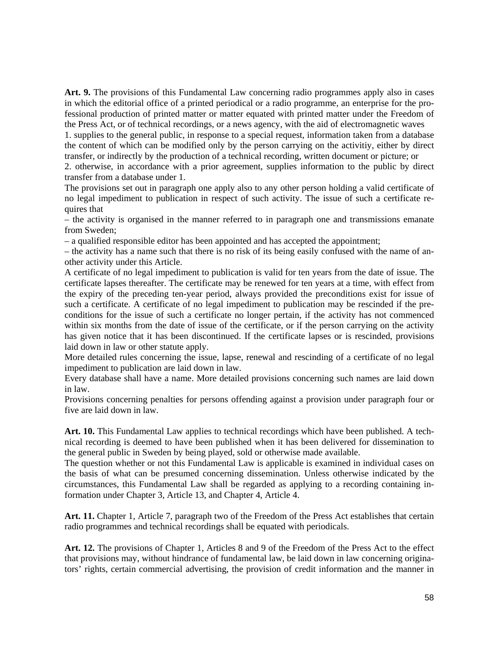**Art. 9.** The provisions of this Fundamental Law concerning radio programmes apply also in cases in which the editorial office of a printed periodical or a radio programme, an enterprise for the professional production of printed matter or matter equated with printed matter under the Freedom of the Press Act, or of technical recordings, or a news agency, with the aid of electromagnetic waves

1. supplies to the general public, in response to a special request, information taken from a database the content of which can be modified only by the person carrying on the activitiy, either by direct transfer, or indirectly by the production of a technical recording, written document or picture; or

2. otherwise, in accordance with a prior agreement, supplies information to the public by direct transfer from a database under 1.

The provisions set out in paragraph one apply also to any other person holding a valid certificate of no legal impediment to publication in respect of such activity. The issue of such a certificate requires that

– the activity is organised in the manner referred to in paragraph one and transmissions emanate from Sweden;

– a qualified responsible editor has been appointed and has accepted the appointment;

– the activity has a name such that there is no risk of its being easily confused with the name of another activity under this Article.

A certificate of no legal impediment to publication is valid for ten years from the date of issue. The certificate lapses thereafter. The certificate may be renewed for ten years at a time, with effect from the expiry of the preceding ten-year period, always provided the preconditions exist for issue of such a certificate. A certificate of no legal impediment to publication may be rescinded if the preconditions for the issue of such a certificate no longer pertain, if the activity has not commenced within six months from the date of issue of the certificate, or if the person carrying on the activity has given notice that it has been discontinued. If the certificate lapses or is rescinded, provisions laid down in law or other statute apply.

More detailed rules concerning the issue, lapse, renewal and rescinding of a certificate of no legal impediment to publication are laid down in law.

Every database shall have a name. More detailed provisions concerning such names are laid down in law.

Provisions concerning penalties for persons offending against a provision under paragraph four or five are laid down in law.

**Art. 10.** This Fundamental Law applies to technical recordings which have been published. A technical recording is deemed to have been published when it has been delivered for dissemination to the general public in Sweden by being played, sold or otherwise made available.

The question whether or not this Fundamental Law is applicable is examined in individual cases on the basis of what can be presumed concerning dissemination. Unless otherwise indicated by the circumstances, this Fundamental Law shall be regarded as applying to a recording containing information under Chapter 3, Article 13, and Chapter 4, Article 4.

**Art. 11.** Chapter 1, Article 7, paragraph two of the Freedom of the Press Act establishes that certain radio programmes and technical recordings shall be equated with periodicals.

**Art. 12.** The provisions of Chapter 1, Articles 8 and 9 of the Freedom of the Press Act to the effect that provisions may, without hindrance of fundamental law, be laid down in law concerning originators' rights, certain commercial advertising, the provision of credit information and the manner in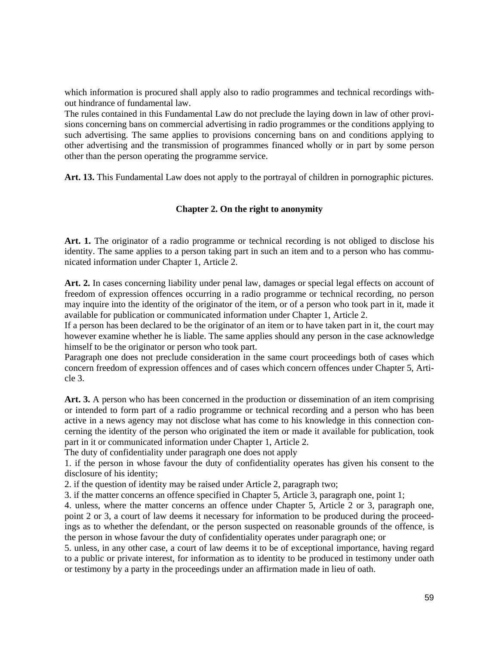which information is procured shall apply also to radio programmes and technical recordings without hindrance of fundamental law.

The rules contained in this Fundamental Law do not preclude the laying down in law of other provisions concerning bans on commercial advertising in radio programmes or the conditions applying to such advertising. The same applies to provisions concerning bans on and conditions applying to other advertising and the transmission of programmes financed wholly or in part by some person other than the person operating the programme service.

**Art. 13.** This Fundamental Law does not apply to the portrayal of children in pornographic pictures.

### **Chapter 2. On the right to anonymity**

**Art. 1.** The originator of a radio programme or technical recording is not obliged to disclose his identity. The same applies to a person taking part in such an item and to a person who has communicated information under Chapter 1, Article 2.

**Art. 2.** In cases concerning liability under penal law, damages or special legal effects on account of freedom of expression offences occurring in a radio programme or technical recording, no person may inquire into the identity of the originator of the item, or of a person who took part in it, made it available for publication or communicated information under Chapter 1, Article 2.

If a person has been declared to be the originator of an item or to have taken part in it, the court may however examine whether he is liable. The same applies should any person in the case acknowledge himself to be the originator or person who took part.

Paragraph one does not preclude consideration in the same court proceedings both of cases which concern freedom of expression offences and of cases which concern offences under Chapter 5, Article 3.

**Art. 3.** A person who has been concerned in the production or dissemination of an item comprising or intended to form part of a radio programme or technical recording and a person who has been active in a news agency may not disclose what has come to his knowledge in this connection concerning the identity of the person who originated the item or made it available for publication, took part in it or communicated information under Chapter 1, Article 2.

The duty of confidentiality under paragraph one does not apply

1. if the person in whose favour the duty of confidentiality operates has given his consent to the disclosure of his identity;

2. if the question of identity may be raised under Article 2, paragraph two;

3. if the matter concerns an offence specified in Chapter 5, Article 3, paragraph one, point 1;

4. unless, where the matter concerns an offence under Chapter 5, Article 2 or 3, paragraph one, point 2 or 3, a court of law deems it necessary for information to be produced during the proceedings as to whether the defendant, or the person suspected on reasonable grounds of the offence, is the person in whose favour the duty of confidentiality operates under paragraph one; or

5. unless, in any other case, a court of law deems it to be of exceptional importance, having regard to a public or private interest, for information as to identity to be produced in testimony under oath or testimony by a party in the proceedings under an affirmation made in lieu of oath.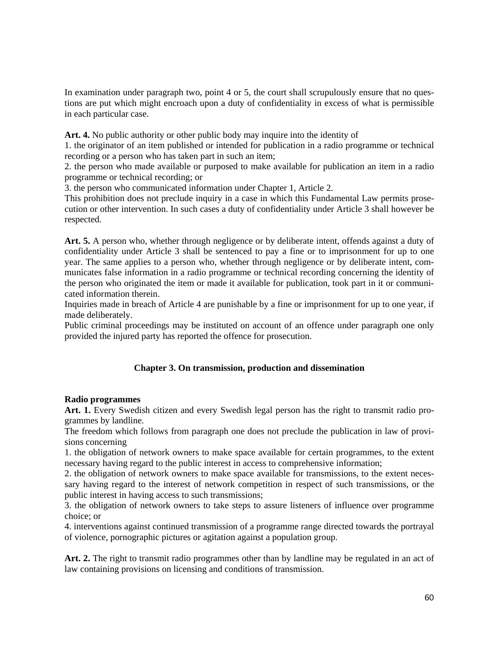In examination under paragraph two, point 4 or 5, the court shall scrupulously ensure that no questions are put which might encroach upon a duty of confidentiality in excess of what is permissible in each particular case.

**Art. 4.** No public authority or other public body may inquire into the identity of

1. the originator of an item published or intended for publication in a radio programme or technical recording or a person who has taken part in such an item;

2. the person who made available or purposed to make available for publication an item in a radio programme or technical recording; or

3. the person who communicated information under Chapter 1, Article 2.

This prohibition does not preclude inquiry in a case in which this Fundamental Law permits prosecution or other intervention. In such cases a duty of confidentiality under Article 3 shall however be respected.

**Art. 5.** A person who, whether through negligence or by deliberate intent, offends against a duty of confidentiality under Article 3 shall be sentenced to pay a fine or to imprisonment for up to one year. The same applies to a person who, whether through negligence or by deliberate intent, communicates false information in a radio programme or technical recording concerning the identity of the person who originated the item or made it available for publication, took part in it or communicated information therein.

Inquiries made in breach of Article 4 are punishable by a fine or imprisonment for up to one year, if made deliberately.

Public criminal proceedings may be instituted on account of an offence under paragraph one only provided the injured party has reported the offence for prosecution.

# **Chapter 3. On transmission, production and dissemination**

#### **Radio programmes**

**Art. 1.** Every Swedish citizen and every Swedish legal person has the right to transmit radio programmes by landline.

The freedom which follows from paragraph one does not preclude the publication in law of provisions concerning

1. the obligation of network owners to make space available for certain programmes, to the extent necessary having regard to the public interest in access to comprehensive information;

2. the obligation of network owners to make space available for transmissions, to the extent necessary having regard to the interest of network competition in respect of such transmissions, or the public interest in having access to such transmissions;

3. the obligation of network owners to take steps to assure listeners of influence over programme choice; or

4. interventions against continued transmission of a programme range directed towards the portrayal of violence, pornographic pictures or agitation against a population group.

**Art. 2.** The right to transmit radio programmes other than by landline may be regulated in an act of law containing provisions on licensing and conditions of transmission.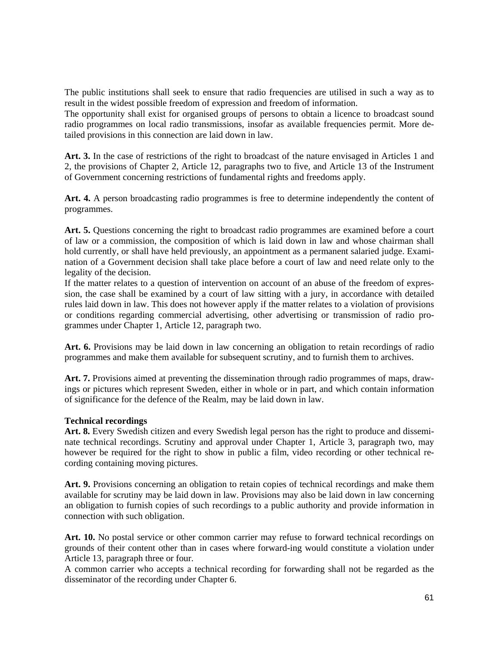The public institutions shall seek to ensure that radio frequencies are utilised in such a way as to result in the widest possible freedom of expression and freedom of information.

The opportunity shall exist for organised groups of persons to obtain a licence to broadcast sound radio programmes on local radio transmissions, insofar as available frequencies permit. More detailed provisions in this connection are laid down in law.

**Art. 3.** In the case of restrictions of the right to broadcast of the nature envisaged in Articles 1 and 2, the provisions of Chapter 2, Article 12, paragraphs two to five, and Article 13 of the Instrument of Government concerning restrictions of fundamental rights and freedoms apply.

**Art. 4.** A person broadcasting radio programmes is free to determine independently the content of programmes.

**Art. 5.** Questions concerning the right to broadcast radio programmes are examined before a court of law or a commission, the composition of which is laid down in law and whose chairman shall hold currently, or shall have held previously, an appointment as a permanent salaried judge. Examination of a Government decision shall take place before a court of law and need relate only to the legality of the decision.

If the matter relates to a question of intervention on account of an abuse of the freedom of expression, the case shall be examined by a court of law sitting with a jury, in accordance with detailed rules laid down in law. This does not however apply if the matter relates to a violation of provisions or conditions regarding commercial advertising, other advertising or transmission of radio programmes under Chapter 1, Article 12, paragraph two.

**Art. 6.** Provisions may be laid down in law concerning an obligation to retain recordings of radio programmes and make them available for subsequent scrutiny, and to furnish them to archives.

**Art. 7.** Provisions aimed at preventing the dissemination through radio programmes of maps, drawings or pictures which represent Sweden, either in whole or in part, and which contain information of significance for the defence of the Realm, may be laid down in law.

### **Technical recordings**

**Art. 8.** Every Swedish citizen and every Swedish legal person has the right to produce and disseminate technical recordings. Scrutiny and approval under Chapter 1, Article 3, paragraph two, may however be required for the right to show in public a film, video recording or other technical recording containing moving pictures.

Art. 9. Provisions concerning an obligation to retain copies of technical recordings and make them available for scrutiny may be laid down in law. Provisions may also be laid down in law concerning an obligation to furnish copies of such recordings to a public authority and provide information in connection with such obligation.

**Art. 10.** No postal service or other common carrier may refuse to forward technical recordings on grounds of their content other than in cases where forward-ing would constitute a violation under Article 13, paragraph three or four.

A common carrier who accepts a technical recording for forwarding shall not be regarded as the disseminator of the recording under Chapter 6.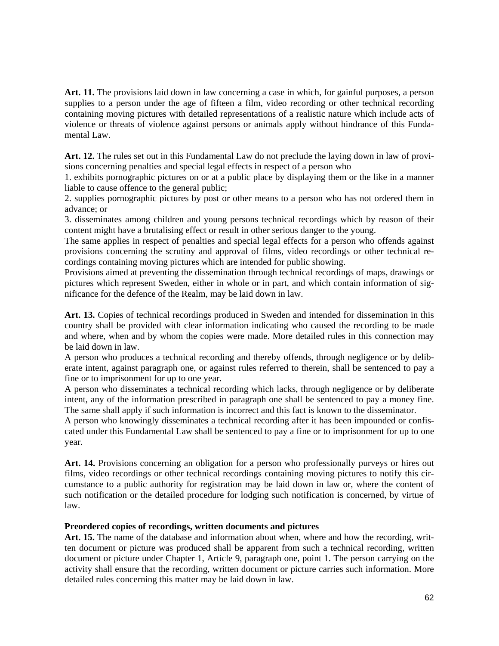**Art. 11.** The provisions laid down in law concerning a case in which, for gainful purposes, a person supplies to a person under the age of fifteen a film, video recording or other technical recording containing moving pictures with detailed representations of a realistic nature which include acts of violence or threats of violence against persons or animals apply without hindrance of this Fundamental Law.

**Art. 12.** The rules set out in this Fundamental Law do not preclude the laying down in law of provisions concerning penalties and special legal effects in respect of a person who

1. exhibits pornographic pictures on or at a public place by displaying them or the like in a manner liable to cause offence to the general public;

2. supplies pornographic pictures by post or other means to a person who has not ordered them in advance; or

3. disseminates among children and young persons technical recordings which by reason of their content might have a brutalising effect or result in other serious danger to the young.

The same applies in respect of penalties and special legal effects for a person who offends against provisions concerning the scrutiny and approval of films, video recordings or other technical recordings containing moving pictures which are intended for public showing.

Provisions aimed at preventing the dissemination through technical recordings of maps, drawings or pictures which represent Sweden, either in whole or in part, and which contain information of significance for the defence of the Realm, may be laid down in law.

Art. 13. Copies of technical recordings produced in Sweden and intended for dissemination in this country shall be provided with clear information indicating who caused the recording to be made and where, when and by whom the copies were made. More detailed rules in this connection may be laid down in law.

A person who produces a technical recording and thereby offends, through negligence or by deliberate intent, against paragraph one, or against rules referred to therein, shall be sentenced to pay a fine or to imprisonment for up to one year.

A person who disseminates a technical recording which lacks, through negligence or by deliberate intent, any of the information prescribed in paragraph one shall be sentenced to pay a money fine. The same shall apply if such information is incorrect and this fact is known to the disseminator.

A person who knowingly disseminates a technical recording after it has been impounded or confiscated under this Fundamental Law shall be sentenced to pay a fine or to imprisonment for up to one year.

**Art. 14.** Provisions concerning an obligation for a person who professionally purveys or hires out films, video recordings or other technical recordings containing moving pictures to notify this circumstance to a public authority for registration may be laid down in law or, where the content of such notification or the detailed procedure for lodging such notification is concerned, by virtue of law.

### **Preordered copies of recordings, written documents and pictures**

**Art. 15.** The name of the database and information about when, where and how the recording, written document or picture was produced shall be apparent from such a technical recording, written document or picture under Chapter 1, Article 9, paragraph one, point 1. The person carrying on the activity shall ensure that the recording, written document or picture carries such information. More detailed rules concerning this matter may be laid down in law.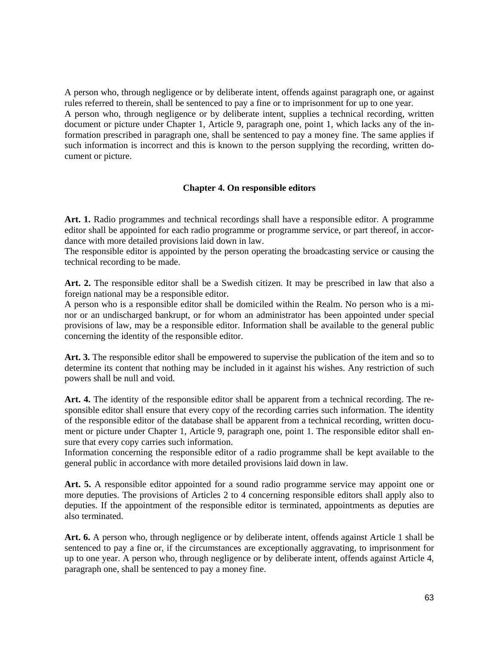A person who, through negligence or by deliberate intent, offends against paragraph one, or against rules referred to therein, shall be sentenced to pay a fine or to imprisonment for up to one year. A person who, through negligence or by deliberate intent, supplies a technical recording, written document or picture under Chapter 1, Article 9, paragraph one, point 1, which lacks any of the information prescribed in paragraph one, shall be sentenced to pay a money fine. The same applies if such information is incorrect and this is known to the person supplying the recording, written document or picture.

### **Chapter 4. On responsible editors**

**Art. 1.** Radio programmes and technical recordings shall have a responsible editor. A programme editor shall be appointed for each radio programme or programme service, or part thereof, in accordance with more detailed provisions laid down in law.

The responsible editor is appointed by the person operating the broadcasting service or causing the technical recording to be made.

**Art. 2.** The responsible editor shall be a Swedish citizen. It may be prescribed in law that also a foreign national may be a responsible editor.

A person who is a responsible editor shall be domiciled within the Realm. No person who is a minor or an undischarged bankrupt, or for whom an administrator has been appointed under special provisions of law, may be a responsible editor. Information shall be available to the general public concerning the identity of the responsible editor.

**Art. 3.** The responsible editor shall be empowered to supervise the publication of the item and so to determine its content that nothing may be included in it against his wishes. Any restriction of such powers shall be null and void.

**Art. 4.** The identity of the responsible editor shall be apparent from a technical recording. The responsible editor shall ensure that every copy of the recording carries such information. The identity of the responsible editor of the database shall be apparent from a technical recording, written document or picture under Chapter 1, Article 9, paragraph one, point 1. The responsible editor shall ensure that every copy carries such information.

Information concerning the responsible editor of a radio programme shall be kept available to the general public in accordance with more detailed provisions laid down in law.

**Art. 5.** A responsible editor appointed for a sound radio programme service may appoint one or more deputies. The provisions of Articles 2 to 4 concerning responsible editors shall apply also to deputies. If the appointment of the responsible editor is terminated, appointments as deputies are also terminated.

**Art. 6.** A person who, through negligence or by deliberate intent, offends against Article 1 shall be sentenced to pay a fine or, if the circumstances are exceptionally aggravating, to imprisonment for up to one year. A person who, through negligence or by deliberate intent, offends against Article 4, paragraph one, shall be sentenced to pay a money fine.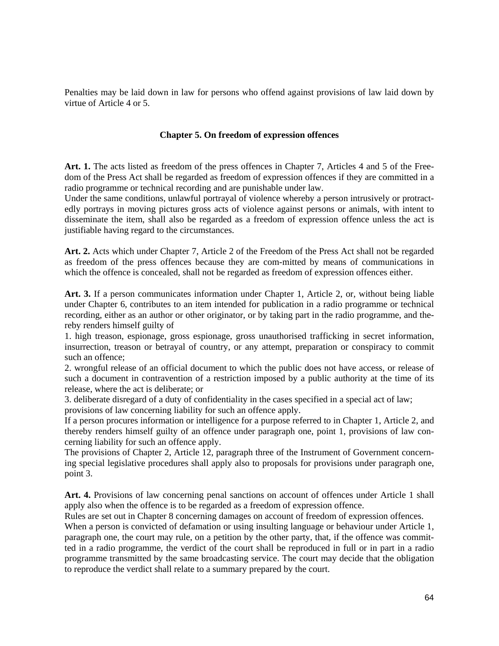Penalties may be laid down in law for persons who offend against provisions of law laid down by virtue of Article 4 or 5.

### **Chapter 5. On freedom of expression offences**

**Art. 1.** The acts listed as freedom of the press offences in Chapter 7, Articles 4 and 5 of the Freedom of the Press Act shall be regarded as freedom of expression offences if they are committed in a radio programme or technical recording and are punishable under law.

Under the same conditions, unlawful portrayal of violence whereby a person intrusively or protractedly portrays in moving pictures gross acts of violence against persons or animals, with intent to disseminate the item, shall also be regarded as a freedom of expression offence unless the act is justifiable having regard to the circumstances.

**Art. 2.** Acts which under Chapter 7, Article 2 of the Freedom of the Press Act shall not be regarded as freedom of the press offences because they are com-mitted by means of communications in which the offence is concealed, shall not be regarded as freedom of expression offences either.

**Art. 3.** If a person communicates information under Chapter 1, Article 2, or, without being liable under Chapter 6, contributes to an item intended for publication in a radio programme or technical recording, either as an author or other originator, or by taking part in the radio programme, and thereby renders himself guilty of

1. high treason, espionage, gross espionage, gross unauthorised trafficking in secret information, insurrection, treason or betrayal of country, or any attempt, preparation or conspiracy to commit such an offence;

2. wrongful release of an official document to which the public does not have access, or release of such a document in contravention of a restriction imposed by a public authority at the time of its release, where the act is deliberate; or

3. deliberate disregard of a duty of confidentiality in the cases specified in a special act of law; provisions of law concerning liability for such an offence apply.

If a person procures information or intelligence for a purpose referred to in Chapter 1, Article 2, and thereby renders himself guilty of an offence under paragraph one, point 1, provisions of law concerning liability for such an offence apply.

The provisions of Chapter 2, Article 12, paragraph three of the Instrument of Government concerning special legislative procedures shall apply also to proposals for provisions under paragraph one, point 3.

**Art. 4.** Provisions of law concerning penal sanctions on account of offences under Article 1 shall apply also when the offence is to be regarded as a freedom of expression offence.

Rules are set out in Chapter 8 concerning damages on account of freedom of expression offences.

When a person is convicted of defamation or using insulting language or behaviour under Article 1, paragraph one, the court may rule, on a petition by the other party, that, if the offence was committed in a radio programme, the verdict of the court shall be reproduced in full or in part in a radio programme transmitted by the same broadcasting service. The court may decide that the obligation to reproduce the verdict shall relate to a summary prepared by the court.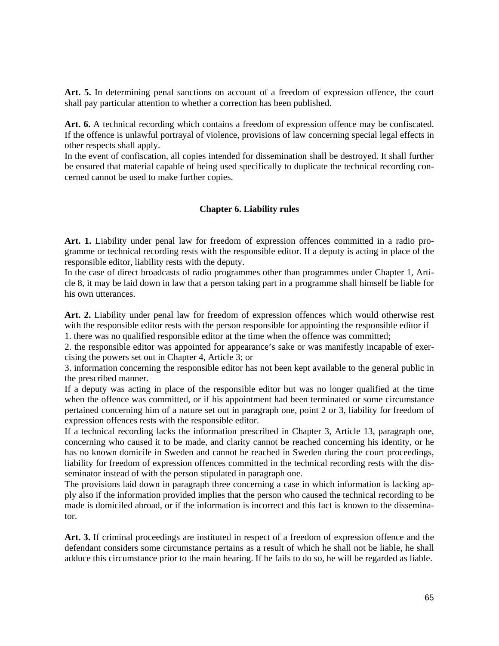**Art. 5.** In determining penal sanctions on account of a freedom of expression offence, the court shall pay particular attention to whether a correction has been published.

**Art. 6.** A technical recording which contains a freedom of expression offence may be confiscated. If the offence is unlawful portrayal of violence, provisions of law concerning special legal effects in other respects shall apply.

In the event of confiscation, all copies intended for dissemination shall be destroyed. It shall further be ensured that material capable of being used specifically to duplicate the technical recording concerned cannot be used to make further copies.

### **Chapter 6. Liability rules**

**Art. 1.** Liability under penal law for freedom of expression offences committed in a radio programme or technical recording rests with the responsible editor. If a deputy is acting in place of the responsible editor, liability rests with the deputy.

In the case of direct broadcasts of radio programmes other than programmes under Chapter 1, Article 8, it may be laid down in law that a person taking part in a programme shall himself be liable for his own utterances.

**Art. 2.** Liability under penal law for freedom of expression offences which would otherwise rest with the responsible editor rests with the person responsible for appointing the responsible editor if 1. there was no qualified responsible editor at the time when the offence was committed;

2. the responsible editor was appointed for appearance's sake or was manifestly incapable of exercising the powers set out in Chapter 4, Article 3; or

3. information concerning the responsible editor has not been kept available to the general public in the prescribed manner.

If a deputy was acting in place of the responsible editor but was no longer qualified at the time when the offence was committed, or if his appointment had been terminated or some circumstance pertained concerning him of a nature set out in paragraph one, point 2 or 3, liability for freedom of expression offences rests with the responsible editor.

If a technical recording lacks the information prescribed in Chapter 3, Article 13, paragraph one, concerning who caused it to be made, and clarity cannot be reached concerning his identity, or he has no known domicile in Sweden and cannot be reached in Sweden during the court proceedings, liability for freedom of expression offences committed in the technical recording rests with the disseminator instead of with the person stipulated in paragraph one.

The provisions laid down in paragraph three concerning a case in which information is lacking apply also if the information provided implies that the person who caused the technical recording to be made is domiciled abroad, or if the information is incorrect and this fact is known to the disseminator.

Art. 3. If criminal proceedings are instituted in respect of a freedom of expression offence and the defendant considers some circumstance pertains as a result of which he shall not be liable, he shall adduce this circumstance prior to the main hearing. If he fails to do so, he will be regarded as liable.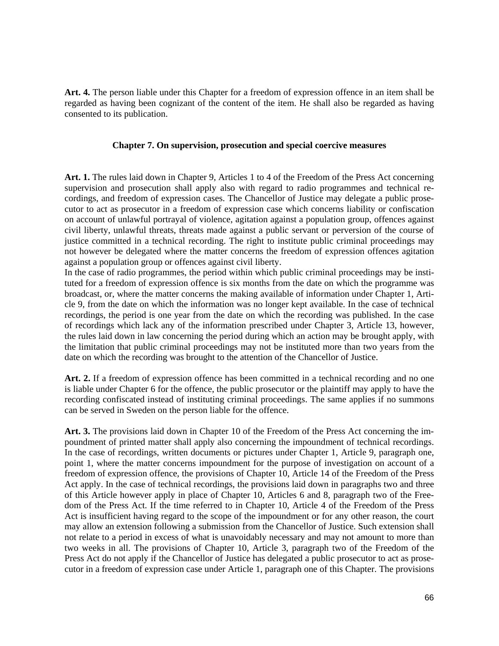**Art. 4.** The person liable under this Chapter for a freedom of expression offence in an item shall be regarded as having been cognizant of the content of the item. He shall also be regarded as having consented to its publication.

#### **Chapter 7. On supervision, prosecution and special coercive measures**

**Art. 1.** The rules laid down in Chapter 9, Articles 1 to 4 of the Freedom of the Press Act concerning supervision and prosecution shall apply also with regard to radio programmes and technical recordings, and freedom of expression cases. The Chancellor of Justice may delegate a public prosecutor to act as prosecutor in a freedom of expression case which concerns liability or confiscation on account of unlawful portrayal of violence, agitation against a population group, offences against civil liberty, unlawful threats, threats made against a public servant or perversion of the course of justice committed in a technical recording. The right to institute public criminal proceedings may not however be delegated where the matter concerns the freedom of expression offences agitation against a population group or offences against civil liberty.

In the case of radio programmes, the period within which public criminal proceedings may be instituted for a freedom of expression offence is six months from the date on which the programme was broadcast, or, where the matter concerns the making available of information under Chapter 1, Article 9, from the date on which the information was no longer kept available. In the case of technical recordings, the period is one year from the date on which the recording was published. In the case of recordings which lack any of the information prescribed under Chapter 3, Article 13, however, the rules laid down in law concerning the period during which an action may be brought apply, with the limitation that public criminal proceedings may not be instituted more than two years from the date on which the recording was brought to the attention of the Chancellor of Justice.

**Art. 2.** If a freedom of expression offence has been committed in a technical recording and no one is liable under Chapter 6 for the offence, the public prosecutor or the plaintiff may apply to have the recording confiscated instead of instituting criminal proceedings. The same applies if no summons can be served in Sweden on the person liable for the offence.

**Art. 3.** The provisions laid down in Chapter 10 of the Freedom of the Press Act concerning the impoundment of printed matter shall apply also concerning the impoundment of technical recordings. In the case of recordings, written documents or pictures under Chapter 1, Article 9, paragraph one, point 1, where the matter concerns impoundment for the purpose of investigation on account of a freedom of expression offence, the provisions of Chapter 10, Article 14 of the Freedom of the Press Act apply. In the case of technical recordings, the provisions laid down in paragraphs two and three of this Article however apply in place of Chapter 10, Articles 6 and 8, paragraph two of the Freedom of the Press Act. If the time referred to in Chapter 10, Article 4 of the Freedom of the Press Act is insufficient having regard to the scope of the impoundment or for any other reason, the court may allow an extension following a submission from the Chancellor of Justice. Such extension shall not relate to a period in excess of what is unavoidably necessary and may not amount to more than two weeks in all. The provisions of Chapter 10, Article 3, paragraph two of the Freedom of the Press Act do not apply if the Chancellor of Justice has delegated a public prosecutor to act as prosecutor in a freedom of expression case under Article 1, paragraph one of this Chapter. The provisions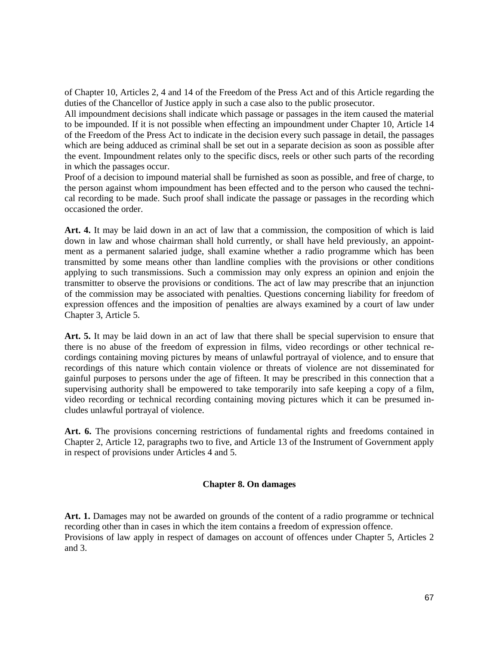of Chapter 10, Articles 2, 4 and 14 of the Freedom of the Press Act and of this Article regarding the duties of the Chancellor of Justice apply in such a case also to the public prosecutor.

All impoundment decisions shall indicate which passage or passages in the item caused the material to be impounded. If it is not possible when effecting an impoundment under Chapter 10, Article 14 of the Freedom of the Press Act to indicate in the decision every such passage in detail, the passages which are being adduced as criminal shall be set out in a separate decision as soon as possible after the event. Impoundment relates only to the specific discs, reels or other such parts of the recording in which the passages occur.

Proof of a decision to impound material shall be furnished as soon as possible, and free of charge, to the person against whom impoundment has been effected and to the person who caused the technical recording to be made. Such proof shall indicate the passage or passages in the recording which occasioned the order.

**Art. 4.** It may be laid down in an act of law that a commission, the composition of which is laid down in law and whose chairman shall hold currently, or shall have held previously, an appointment as a permanent salaried judge, shall examine whether a radio programme which has been transmitted by some means other than landline complies with the provisions or other conditions applying to such transmissions. Such a commission may only express an opinion and enjoin the transmitter to observe the provisions or conditions. The act of law may prescribe that an injunction of the commission may be associated with penalties. Questions concerning liability for freedom of expression offences and the imposition of penalties are always examined by a court of law under Chapter 3, Article 5.

Art. 5. It may be laid down in an act of law that there shall be special supervision to ensure that there is no abuse of the freedom of expression in films, video recordings or other technical recordings containing moving pictures by means of unlawful portrayal of violence, and to ensure that recordings of this nature which contain violence or threats of violence are not disseminated for gainful purposes to persons under the age of fifteen. It may be prescribed in this connection that a supervising authority shall be empowered to take temporarily into safe keeping a copy of a film, video recording or technical recording containing moving pictures which it can be presumed includes unlawful portrayal of violence.

**Art. 6.** The provisions concerning restrictions of fundamental rights and freedoms contained in Chapter 2, Article 12, paragraphs two to five, and Article 13 of the Instrument of Government apply in respect of provisions under Articles 4 and 5.

# **Chapter 8. On damages**

**Art. 1.** Damages may not be awarded on grounds of the content of a radio programme or technical recording other than in cases in which the item contains a freedom of expression offence. Provisions of law apply in respect of damages on account of offences under Chapter 5, Articles 2 and 3.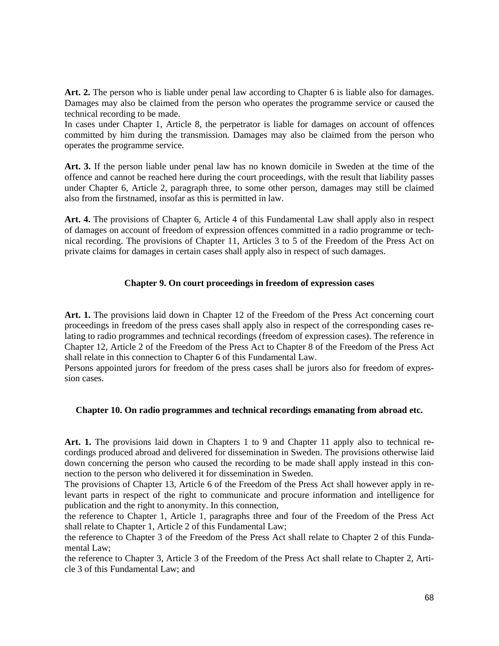**Art. 2.** The person who is liable under penal law according to Chapter 6 is liable also for damages. Damages may also be claimed from the person who operates the programme service or caused the technical recording to be made.

In cases under Chapter 1, Article 8, the perpetrator is liable for damages on account of offences committed by him during the transmission. Damages may also be claimed from the person who operates the programme service.

**Art. 3.** If the person liable under penal law has no known domicile in Sweden at the time of the offence and cannot be reached here during the court proceedings, with the result that liability passes under Chapter 6, Article 2, paragraph three, to some other person, damages may still be claimed also from the firstnamed, insofar as this is permitted in law.

**Art. 4.** The provisions of Chapter 6, Article 4 of this Fundamental Law shall apply also in respect of damages on account of freedom of expression offences committed in a radio programme or technical recording. The provisions of Chapter 11, Articles 3 to 5 of the Freedom of the Press Act on private claims for damages in certain cases shall apply also in respect of such damages.

### **Chapter 9. On court proceedings in freedom of expression cases**

**Art. 1.** The provisions laid down in Chapter 12 of the Freedom of the Press Act concerning court proceedings in freedom of the press cases shall apply also in respect of the corresponding cases relating to radio programmes and technical recordings (freedom of expression cases). The reference in Chapter 12, Article 2 of the Freedom of the Press Act to Chapter 8 of the Freedom of the Press Act shall relate in this connection to Chapter 6 of this Fundamental Law.

Persons appointed jurors for freedom of the press cases shall be jurors also for freedom of expression cases.

### **Chapter 10. On radio programmes and technical recordings emanating from abroad etc.**

**Art. 1.** The provisions laid down in Chapters 1 to 9 and Chapter 11 apply also to technical recordings produced abroad and delivered for dissemination in Sweden. The provisions otherwise laid down concerning the person who caused the recording to be made shall apply instead in this connection to the person who delivered it for dissemination in Sweden.

The provisions of Chapter 13, Article 6 of the Freedom of the Press Act shall however apply in relevant parts in respect of the right to communicate and procure information and intelligence for publication and the right to anonymity. In this connection,

the reference to Chapter 1, Article 1, paragraphs three and four of the Freedom of the Press Act shall relate to Chapter 1, Article 2 of this Fundamental Law;

the reference to Chapter 3 of the Freedom of the Press Act shall relate to Chapter 2 of this Fundamental Law;

the reference to Chapter 3, Article 3 of the Freedom of the Press Act shall relate to Chapter 2, Article 3 of this Fundamental Law; and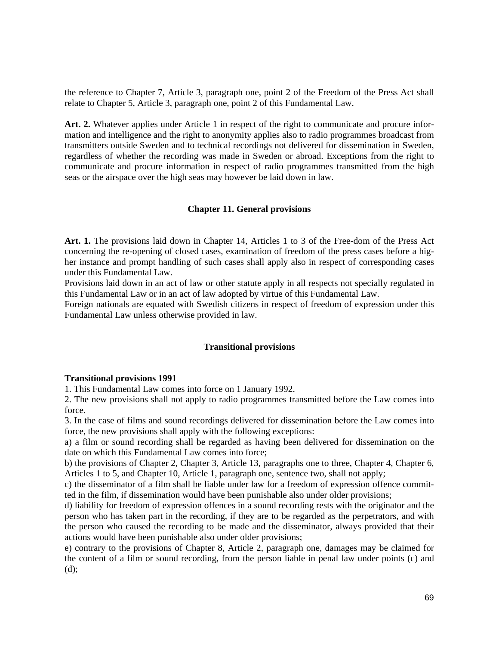the reference to Chapter 7, Article 3, paragraph one, point 2 of the Freedom of the Press Act shall relate to Chapter 5, Article 3, paragraph one, point 2 of this Fundamental Law.

**Art. 2.** Whatever applies under Article 1 in respect of the right to communicate and procure information and intelligence and the right to anonymity applies also to radio programmes broadcast from transmitters outside Sweden and to technical recordings not delivered for dissemination in Sweden, regardless of whether the recording was made in Sweden or abroad. Exceptions from the right to communicate and procure information in respect of radio programmes transmitted from the high seas or the airspace over the high seas may however be laid down in law.

### **Chapter 11. General provisions**

**Art. 1.** The provisions laid down in Chapter 14, Articles 1 to 3 of the Free-dom of the Press Act concerning the re-opening of closed cases, examination of freedom of the press cases before a higher instance and prompt handling of such cases shall apply also in respect of corresponding cases under this Fundamental Law.

Provisions laid down in an act of law or other statute apply in all respects not specially regulated in this Fundamental Law or in an act of law adopted by virtue of this Fundamental Law.

Foreign nationals are equated with Swedish citizens in respect of freedom of expression under this Fundamental Law unless otherwise provided in law.

### **Transitional provisions**

#### **Transitional provisions 1991**

1. This Fundamental Law comes into force on 1 January 1992.

2. The new provisions shall not apply to radio programmes transmitted before the Law comes into force.

3. In the case of films and sound recordings delivered for dissemination before the Law comes into force, the new provisions shall apply with the following exceptions:

a) a film or sound recording shall be regarded as having been delivered for dissemination on the date on which this Fundamental Law comes into force;

b) the provisions of Chapter 2, Chapter 3, Article 13, paragraphs one to three, Chapter 4, Chapter 6, Articles 1 to 5, and Chapter 10, Article 1, paragraph one, sentence two, shall not apply;

c) the disseminator of a film shall be liable under law for a freedom of expression offence committed in the film, if dissemination would have been punishable also under older provisions;

d) liability for freedom of expression offences in a sound recording rests with the originator and the person who has taken part in the recording, if they are to be regarded as the perpetrators, and with the person who caused the recording to be made and the disseminator, always provided that their actions would have been punishable also under older provisions;

e) contrary to the provisions of Chapter 8, Article 2, paragraph one, damages may be claimed for the content of a film or sound recording, from the person liable in penal law under points (c) and (d);